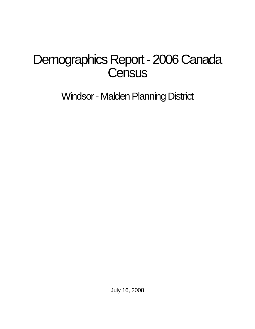# Demographics Report - 2006 Canada **Census**

Windsor - Malden Planning District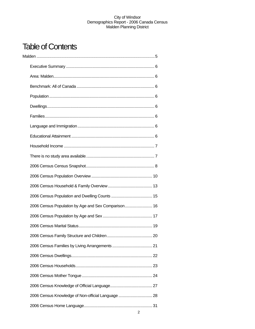## **Table of Contents**

| 2006 Census Population by Age and Sex Comparison 16 |  |
|-----------------------------------------------------|--|
|                                                     |  |
|                                                     |  |
|                                                     |  |
|                                                     |  |
|                                                     |  |
|                                                     |  |
|                                                     |  |
|                                                     |  |
| 2006 Census Knowledge of Non-official Language  28  |  |
|                                                     |  |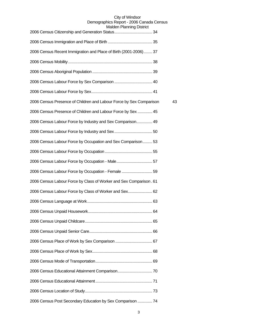| maluti i lahiling District                                          |    |
|---------------------------------------------------------------------|----|
|                                                                     |    |
| 2006 Census Recent Immigration and Place of Birth (2001-2006)  37   |    |
|                                                                     |    |
|                                                                     |    |
|                                                                     |    |
|                                                                     |    |
| 2006 Census Presence of Children and Labour Force by Sex Comparison | 43 |
| 2006 Census Presence of Children and Labour Force by Sex  45        |    |
| 2006 Census Labour Force by Industry and Sex Comparison 49          |    |
|                                                                     |    |
| 2006 Census Labour Force by Occupation and Sex Comparison 53        |    |
|                                                                     |    |
| 2006 Census Labour Force by Occupation - Male 57                    |    |
| 2006 Census Labour Force by Occupation - Female  59                 |    |
| 2006 Census Labour Force by Class of Worker and Sex Comparison. 61  |    |
| 2006 Census Labour Force by Class of Worker and Sex 62              |    |
|                                                                     |    |
|                                                                     |    |
|                                                                     |    |
|                                                                     |    |
|                                                                     |    |
|                                                                     |    |
|                                                                     |    |
|                                                                     |    |
|                                                                     |    |
|                                                                     |    |
| 2006 Census Post Secondary Education by Sex Comparison  74          |    |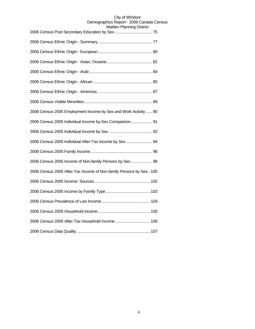| <b>aluci i Filai III III IY District</b>                           |
|--------------------------------------------------------------------|
|                                                                    |
|                                                                    |
|                                                                    |
|                                                                    |
|                                                                    |
|                                                                    |
|                                                                    |
| 2006 Census 2005 Employment Income by Sex and Work Activity  90    |
| 2006 Census 2005 Individual Income by Sex Comparison  91           |
|                                                                    |
| 2006 Census 2005 Individual After-Tax Income by Sex  94            |
|                                                                    |
| 2006 Census 2005 Income of Non-family Persons by Sex  98           |
| 2006 Census 2005 After-Tax Income of Non-family Persons by Sex 100 |
|                                                                    |
|                                                                    |
|                                                                    |
|                                                                    |
| 2006 Census 2005 After-Tax Household Income  106                   |
|                                                                    |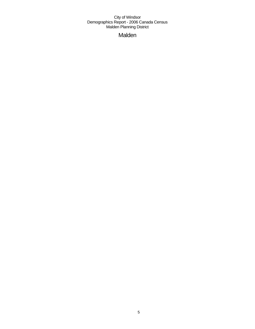Malden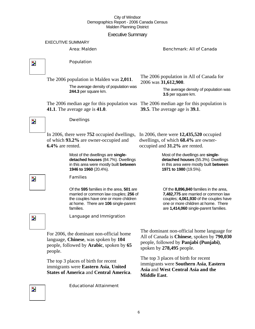Executive Summary

EXECUTIVE SUMMARY

Area: Malden Benchmark: All of Canada



## Population

The 2006 population in Malden was **2,011**.

The average density of population was **244.3** per square km.

The 2006 median age for this population was The 2006 median age for this population is **41.1**. The average age is **41.0**.

The 2006 population in All of Canada for 2006 was **31,612,900**.

> The average density of population was **3.5** per square km.

**39.5**. The average age is **39.1**.



## Dwellings

In 2006, there were **752** occupied dwellings, of which **93.2%** are owner-occupied and **6.4%** are rented.

> Most of the dwellings are **singledetached houses** (84.7%). Dwellings in this area were mostly built **between 1946 to 1960** (20.4%).

## Families

Of the **595** families in the area, **501** are married or common law couples; **256** of the couples have one or more children at home. There are **106** single-parent families.

In 2006, there were **12,435,520** occupied dwellings, of which **68.4%** are owneroccupied and **31.2%** are rented.

> Most of the dwellings are **singledetached houses** (55.3%). Dwellings in this area were mostly built **between 1971 to 1980** (19.5%).

Of the **8,896,840** families in the area, **7,482,775** are married or common law couples; **4,061,930** of the couples have one or more children at home. There are **1,414,060** single-parent families.

Z.

Z.

Language and Immigration

For 2006, the dominant non-official home language, **Chinese**, was spoken by **104** people, followed by **Arabic**, spoken by **65** people.

The top 3 places of birth for recent immigrants were **Eastern Asia**, **United States of America** and **Central America**.

Educational Attainment

The dominant non-official home language for All of Canada is **Chinese**, spoken by **790,030** people, followed by **Panjabi (Punjabi)**, spoken by **278,495** people.

The top 3 places of birth for recent immigrants were **Southern Asia**, **Eastern Asia** and **West Central Asia and the Middle East**.

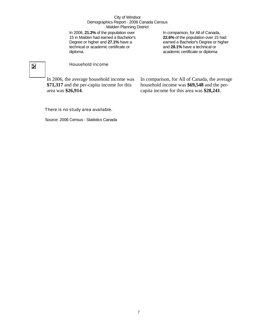In 2006, **21.3%** of the population over 15 in Malden had earned a Bachelor's Degree or higher and **27.1%** have a technical or academic certificate or diploma.

In comparison, for All of Canada, **22.6%** of the population over 15 had earned a Bachelor's Degree or higher and **28.1%** have a technical or academic certificate or diploma.

## $\overline{\phantom{a}}$

## Household Income

In 2006, the average household income was **\$71,317** and the per-capita income for this area was **\$26,914**.

In comparison, for All of Canada, the average household income was **\$69,548** and the percapita income for this area was **\$28,241**.

## There is no study area available.

Source: 2006 Census - Statistics Canada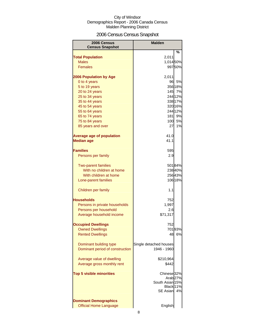## 2006 Census Census Snapshot

| 2006 Census<br><b>Census Snapshot</b>               | <b>Malden</b>          |         |
|-----------------------------------------------------|------------------------|---------|
|                                                     |                        | %       |
| <b>Total Population</b>                             | 2,011                  |         |
| <b>Males</b>                                        | 1,014 50%              |         |
| <b>Females</b>                                      |                        | 99750%  |
|                                                     |                        |         |
| <b>2006 Population by Age</b>                       | 2,011                  |         |
| 0 to 4 years                                        | 96                     | 5%      |
| 5 to 19 years                                       |                        | 356 18% |
| 20 to 24 years                                      | 145                    | 7%      |
| 25 to 34 years                                      |                        | 244 12% |
| 35 to 44 years                                      |                        | 338 17% |
| 45 to 54 years                                      |                        | 320 16% |
| 55 to 64 years                                      |                        | 244 12% |
| 65 to 74 years                                      | 181                    | 9%      |
| 75 to 84 years                                      | 100                    | 5%      |
| 85 years and over                                   | 27                     | 1%      |
|                                                     |                        |         |
| <b>Average age of population</b>                    | 41.0                   |         |
| <b>Median age</b>                                   | 41.1                   |         |
|                                                     |                        |         |
| <b>Families</b>                                     | 595                    |         |
| Persons per family                                  | 2.9                    |         |
|                                                     |                        |         |
| <b>Two-parent families</b>                          |                        | 50184%  |
| With no children at home                            |                        | 23840%  |
| With children at home                               |                        | 25643%  |
| Lone-parent families                                |                        | 106 18% |
| Children per family                                 | 1.1                    |         |
|                                                     |                        |         |
| <b>Households</b>                                   | 752                    |         |
| Persons in private households                       | 1,997                  |         |
| Persons per household                               | 2.6                    |         |
| Average household income                            | \$71,317               |         |
|                                                     |                        |         |
| <b>Occupied Dwellings</b><br><b>Owned Dwellings</b> | 752                    | 70193%  |
| <b>Rented Dwellings</b>                             | 48                     | 6%      |
|                                                     |                        |         |
| Dominant building type                              | Single detached houses |         |
| Dominant period of construction                     | 1946 - 1960            |         |
|                                                     |                        |         |
| Average value of dwelling                           | \$210,964              |         |
| Average gross monthly rent                          | \$442                  |         |
|                                                     |                        |         |
| <b>Top 5 visible minorities</b>                     | Chinese <sub>32%</sub> |         |
|                                                     | Arab <sub>27%</sub>    |         |
|                                                     | South Asian 15%        |         |
|                                                     | Black 11%              |         |
|                                                     | <b>SE Asian</b>        | 4%      |
|                                                     |                        |         |
| <b>Dominant Demographics</b>                        |                        |         |
| <b>Official Home Language</b>                       | English                |         |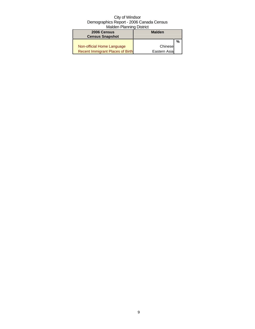| 2006 Census                             | <b>Malden</b> |   |
|-----------------------------------------|---------------|---|
| <b>Census Snapshot</b>                  |               |   |
|                                         |               | % |
| Non-official Home Language              | Chinese       |   |
| <b>Recent Immigrant Places of Birth</b> | Eastern Asia  |   |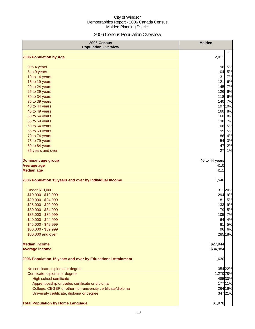## 2006 Census Population Overview

| 2006 Census<br><b>Population Overview</b>                   | <b>Malden</b>  |
|-------------------------------------------------------------|----------------|
| <b>2006 Population by Age</b>                               | $\%$<br>2,011  |
|                                                             |                |
| 0 to 4 years                                                | 96<br>5%       |
| 5 to 9 years                                                | 104<br>5%      |
| 10 to 14 years                                              | 7%<br>$131$    |
| 15 to 19 years                                              | 6%<br>121      |
| 20 to 24 years                                              | 145 7%         |
| 25 to 29 years                                              | 126 6%         |
| 30 to 34 years                                              | 118 6%         |
| 35 to 39 years                                              | 140 7%         |
| 40 to 44 years                                              | 19710%         |
| 45 to 49 years                                              | 160 8%         |
| 50 to 54 years                                              | 160 8%         |
| 55 to 59 years                                              | 138 7%         |
| 60 to 64 years                                              | 106 5%         |
| 65 to 69 years                                              | 95<br>5%       |
| 70 to 74 years                                              | 86 4%          |
| 75 to 79 years                                              | 54<br>3%       |
| 80 to 84 years                                              | 47<br>2%       |
| 85 years and over                                           | 27<br>1%       |
| <b>Dominant age group</b>                                   | 40 to 44 years |
| <b>Average age</b>                                          | 41.0           |
| <b>Median age</b>                                           | 41.1           |
| 2006 Population 15 years and over by Individual Income      | 1,546          |
| <b>Under \$10,000</b>                                       | 311 20%        |
| \$10,000 - \$19,999                                         | 294 19%        |
| \$20,000 - \$24,999                                         | 81<br>5%       |
| \$25,000 - \$29,999                                         | 133 9%         |
| \$30,000 - \$34,999                                         | 79<br>5%       |
| \$35,000 - \$39,999                                         | 105<br>7%      |
| \$40,000 - \$44,999                                         | 4%<br>64       |
| \$45,000 - \$49,999                                         | 81<br>5%       |
| \$50,000 - \$59,999                                         | 96 6%          |
| \$60,000 and over                                           | 285 18%        |
| <b>Median income</b>                                        | \$27,944       |
| <b>Average income</b>                                       | \$34,984       |
|                                                             |                |
| 2006 Population 15 years and over by Educational Attainment | 1,630          |
| No certificate, diploma or degree                           | 354 22%        |
| Certificate, diploma or degree                              | 1,270 78%      |
| <b>High school certificate</b>                              | 485 30%        |
| Apprenticeship or trades certificate or diploma             | 177 11%        |
| College, CEGEP or other non-university certificate/diploma  | 264 16%        |
| University certificate, diploma or degree                   | 34721%         |
| <b>Total Population by Home Language</b>                    | \$1,978        |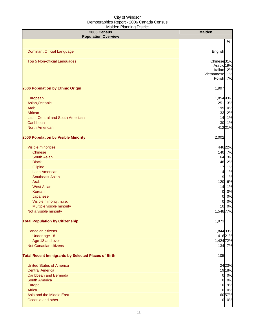| 2006 Census<br><b>Population Overview</b>                  | <b>Malden</b>          |
|------------------------------------------------------------|------------------------|
|                                                            | %                      |
|                                                            |                        |
| <b>Dominant Official Language</b>                          | English                |
| <b>Top 5 Non-official Languages</b>                        | Chinese <sub>31%</sub> |
|                                                            | Arabic 19%             |
|                                                            | Italian <sub>12%</sub> |
|                                                            | Vietnamese 11%         |
|                                                            | Polish 7%              |
| 2006 Population by Ethnic Origin                           | 1,997                  |
| European                                                   | 1,854 93%              |
| Asian, Oceanic                                             | 251 13%                |
| Arab                                                       | 199 10%                |
| African                                                    | 33 2%                  |
| Latin, Central and South American                          | 14 1%                  |
| Caribbean                                                  | 30 1%                  |
| <b>North American</b>                                      | 41221%                 |
|                                                            |                        |
| 2006 Population by Visible Minority                        | 2,002                  |
| <b>Visible minorities</b>                                  | 446 22%                |
| <b>Chinese</b>                                             | 140 7%                 |
| <b>South Asian</b>                                         | 64 3%                  |
| <b>Black</b>                                               | 48 2%                  |
| Filipino                                                   | 17<br>1%               |
| <b>Latin American</b>                                      | 14 1%                  |
| <b>Southeast Asian</b>                                     | 19 1%                  |
| Arab                                                       | 120 6%                 |
| <b>West Asian</b>                                          | 1%<br>14               |
| Korean                                                     | 0%<br>$\overline{0}$   |
| Japanese                                                   | 0%<br>$\overline{0}$   |
| Visible minority, n.i.e.                                   | 0%<br>0                |
| Multiple visible minority                                  | 10 0%                  |
| Not a visible minority                                     | 1,548 77%              |
| <b>Total Population by Citizenship</b>                     | 1,973                  |
| Canadian citizens                                          |                        |
|                                                            | 1,844 93%              |
| Under age 18<br>Age 18 and over                            | 41621%<br>1,424 72%    |
| Not Canadian citizens                                      | 134 7%                 |
|                                                            |                        |
| <b>Total Recent Immigrants by Selected Places of Birth</b> | 105                    |
| <b>United States of America</b>                            | 24 23%                 |
| <b>Central America</b>                                     | 19 18%                 |
| <b>Caribbean and Bermuda</b>                               | 0 0%                   |
| <b>South America</b>                                       | 0 0%                   |
| Europe                                                     | 10 9%                  |
| Africa                                                     | 0 0%                   |
| Asia and the Middle East                                   | 6057%                  |
| Oceania and other                                          | 0 0%                   |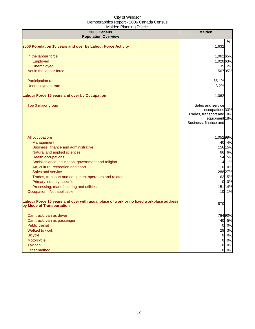| 2006 Census<br><b>Population Overview</b>                                                                          | <b>Malden</b>                                                                                               |
|--------------------------------------------------------------------------------------------------------------------|-------------------------------------------------------------------------------------------------------------|
|                                                                                                                    | %                                                                                                           |
| 2006 Population 15 years and over by Labour Force Activity                                                         | 1,632                                                                                                       |
| In the labour force                                                                                                | 1,06265%                                                                                                    |
| Employed                                                                                                           | 1,020 63%                                                                                                   |
| Unemployed                                                                                                         | 35 2%                                                                                                       |
| Not in the labour force                                                                                            | 56735%                                                                                                      |
| Participation rate                                                                                                 | 65.1%                                                                                                       |
| Unemployment rate                                                                                                  | 3.2%                                                                                                        |
| <b>Labour Force 15 years and over by Occupation</b>                                                                | 1,062                                                                                                       |
| Top 3 major group                                                                                                  | Sales and service<br>occupations 33%<br>Trades, transport and 18%<br>equipment 18%<br>Business, finance and |
| All occupations                                                                                                    | 1,052 99%                                                                                                   |
| Management                                                                                                         | 40 4%                                                                                                       |
| Business, finance and administrative                                                                               | 156 15%                                                                                                     |
| Natural and applied sciences                                                                                       | 66 6%                                                                                                       |
| <b>Health occupations</b>                                                                                          | 54 5%                                                                                                       |
| Social science, education, government and religion<br>Art, culture, recreation and sport                           | 11411%<br>0 0%                                                                                              |
| Sales and service                                                                                                  | 288 27%                                                                                                     |
| Trades, transport and equipment operators and related                                                              | 162 15%                                                                                                     |
| Primary industry-specific                                                                                          | 0 0%                                                                                                        |
| Processing, manufacturing and utilities                                                                            | 151 14%                                                                                                     |
| Occupation - Not applicable                                                                                        | 10 1%                                                                                                       |
| Labour Force 15 years and over with usual place of work or no fixed workplace address<br>by Mode of Transportation | 870                                                                                                         |
| Car, truck, van as driver                                                                                          | 78490%                                                                                                      |
| Car, truck, van as passenger                                                                                       | 40 5%                                                                                                       |
| <b>Public transit</b>                                                                                              | 0%<br>01                                                                                                    |
| Walked to work                                                                                                     | 29 3%                                                                                                       |
| <b>Bicycle</b>                                                                                                     | 0%<br>0                                                                                                     |
| Motorcycle                                                                                                         | 0%<br>0                                                                                                     |
| <b>Taxicab</b>                                                                                                     | 0%<br>0                                                                                                     |
| Other method                                                                                                       | 0%<br>0                                                                                                     |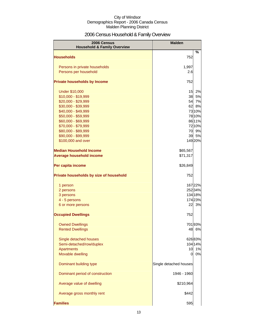## 2006 Census Household & Family Overview

| 2006 Census<br><b>Household &amp; Family Overview</b> | <b>Malden</b>          |                  |
|-------------------------------------------------------|------------------------|------------------|
|                                                       |                        | $\%$             |
| <b>Households</b>                                     | 752                    |                  |
| Persons in private households                         | 1,997                  |                  |
| Persons per household                                 | 2.6                    |                  |
|                                                       |                        |                  |
| <b>Private households by Income</b>                   | 752                    |                  |
| <b>Under \$10,000</b>                                 | 15                     | 2%               |
| \$10,000 - \$19,999                                   | 38                     | 5%               |
| \$20,000 - \$29,999                                   | 54                     | 7%               |
| \$30,000 - \$39,999                                   | 62                     | 8%               |
| \$40,000 - \$49,999                                   |                        | 73 10%           |
| \$50,000 - \$59,999<br>\$60,000 - \$69,999            |                        | 78 10%<br>86 11% |
| \$70,000 - \$79,999                                   |                        | 72 10%           |
| \$80,000 - \$89,999                                   |                        | 70 9%            |
| \$90,000 - \$99,999                                   | 39                     | 5%               |
| \$100,000 and over                                    |                        | 149 20%          |
| <b>Median Household Income</b>                        | \$65,567               |                  |
| <b>Average household income</b>                       | \$71,317               |                  |
|                                                       |                        |                  |
| Per capita income                                     | \$26,849               |                  |
| Private households by size of household               | 752                    |                  |
| 1 person                                              |                        | 16722%           |
| 2 persons                                             |                        | 252 34%          |
| 3 persons                                             |                        | 134 18%          |
| 4 - 5 persons                                         |                        | 17423%           |
| 6 or more persons                                     | 22                     | 3%               |
| <b>Occupied Dwellings</b>                             | 752                    |                  |
| <b>Owned Dwellings</b>                                |                        | 70193%           |
| <b>Rented Dwellings</b>                               | 48                     | 6%               |
| Single detached houses                                |                        | 62683%           |
| Semi-detached/row/duplex                              |                        | 104 14%          |
| <b>Apartments</b>                                     | 10                     | 1%               |
| Movable dwelling                                      | 0                      | 0%               |
| Dominant building type                                | Single detached houses |                  |
| Dominant period of construction                       | 1946 - 1960            |                  |
| Average value of dwelling                             | \$210,964              |                  |
| Average gross monthly rent                            | \$442                  |                  |
| <b>Families</b>                                       | 595                    |                  |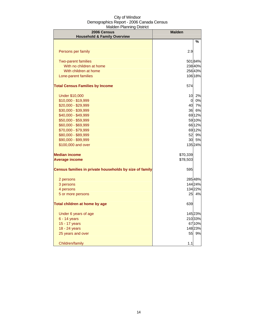| 2006 Census<br><b>Household &amp; Family Overview</b>   | <b>Malden</b> |         |
|---------------------------------------------------------|---------------|---------|
|                                                         |               | ℅       |
| Persons per family                                      | 2.9           |         |
| <b>Two-parent families</b>                              |               | 50184%  |
| With no children at home                                |               | 238 40% |
| With children at home                                   |               | 25643%  |
| Lone-parent families                                    |               | 106 18% |
| <b>Total Census Families by Income</b>                  | 574           |         |
| <b>Under \$10,000</b>                                   | 10            | 2%      |
| $$10,000 - $19,999$                                     | 0             | 0%      |
| \$20,000 - \$29,999                                     | 40            | 7%      |
| \$30,000 - \$39,999                                     | 36            | 6%      |
| \$40,000 - \$49,999                                     |               | 6912%   |
| \$50,000 - \$59,999                                     |               | 5910%   |
| \$60,000 - \$69,999                                     |               | 6612%   |
| \$70,000 - \$79,999                                     |               | 6912%   |
| \$80,000 - \$89,999                                     | 52            | 9%      |
| \$90,000 - \$99,999                                     | 30            | 5%      |
| \$100,000 and over                                      |               | 135 24% |
| <b>Median income</b>                                    | \$70,339      |         |
| <b>Average income</b>                                   | \$78,503      |         |
| Census families in private households by size of family | 595           |         |
| 2 persons                                               |               | 28548%  |
| 3 persons                                               |               | 144 24% |
| 4 persons                                               |               | 13422%  |
| 5 or more persons                                       | 25            | 4%      |
| Total children at home by age                           | 639           |         |
| Under 6 years of age                                    |               | 145 23% |
| 6 - 14 years                                            |               | 21033%  |
| 15 - 17 years                                           |               | 6710%   |
| 18 - 24 years                                           |               | 148 23% |
| 25 years and over                                       | 55            | 9%      |
| Children/family                                         | 1.1           |         |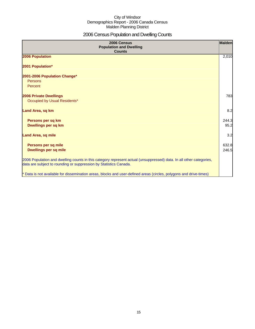## 2006 Census Population and Dwelling Counts

| 2006 Census<br><b>Population and Dwelling</b><br><b>Counts</b>                                                                                                                           | Malden         |
|------------------------------------------------------------------------------------------------------------------------------------------------------------------------------------------|----------------|
| 2006 Population                                                                                                                                                                          | 2,010          |
| 2001 Population*                                                                                                                                                                         |                |
| 2001-2006 Population Change*<br>Persons<br>Percent                                                                                                                                       |                |
| <b>2006 Private Dwellings</b><br>Occupied by Usual Residents*                                                                                                                            | 783            |
| Land Area, sq km                                                                                                                                                                         | 8.2            |
| Persons per sq km<br>Dwellings per sq km                                                                                                                                                 | 244.3<br>95.2  |
| <b>Land Area, sq mile</b>                                                                                                                                                                | 3.2            |
| Persons per sq mile<br><b>Dwellings per sq mile</b>                                                                                                                                      | 632.8<br>246.5 |
| 2006 Population and dwelling counts in this category represent actual (unsuppressed) data. In all other categories,<br>data are subject to rounding or suppression by Statistics Canada. |                |
| * Data is not available for dissemination areas, blocks and user-defined areas (circles, polygons and drive-times)                                                                       |                |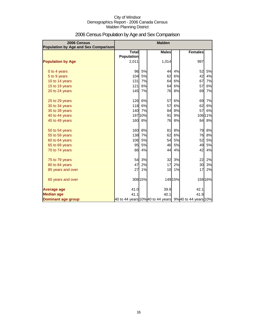| 2006 Census<br><b>Population by Age and Sex Comparison</b> |                                   |         | <b>Malden</b>                                           |           |                |         |
|------------------------------------------------------------|-----------------------------------|---------|---------------------------------------------------------|-----------|----------------|---------|
|                                                            | <b>Total</b><br><b>Population</b> |         | <b>Males</b>                                            |           | <b>Females</b> |         |
| <b>Population by Age</b>                                   | 2,011                             |         | 1,014                                                   |           | 997            |         |
| 0 to 4 years                                               | 96                                | 5%      | 44                                                      | 4%        | 52             | 5%      |
| 5 to 9 years                                               | 104                               | 5%      | 62                                                      | 6%        | 42             | 4%      |
| 10 to 14 years                                             | 131                               | 7%      | 64                                                      | 6%        | 67             | 7%      |
| 15 to 19 years                                             | 121                               | 6%      | 64                                                      | 6%        | 57             | 6%      |
| 20 to 24 years                                             | 145                               | 7%      | 76                                                      | 8%        | 69             | 7%      |
| 25 to 29 years                                             | 126                               | 6%      | 57                                                      | 6%        | 69             | 7%      |
| 30 to 34 years                                             | 118                               | 6%      | 57                                                      | 6%        | 62             | 6%      |
| 35 to 39 years                                             | 140                               | 7%      | 84                                                      | 8%        | 57             | 6%      |
| 40 to 44 years                                             |                                   | 197 10% | 91                                                      | 9%        |                | 106 11% |
| 45 to 49 years                                             | 160                               | 8%      | 76                                                      | 8%        | 84             | 8%      |
| 50 to 54 years                                             | 160                               | 8%      | 81                                                      | 8%        | 79             | 8%      |
| 55 to 59 years                                             | 138                               | 7%      | 62                                                      | 6%        | 76             | 8%      |
| 60 to 64 years                                             | 106                               | 5%      | 54                                                      | 5%        | 52             | 5%      |
| 65 to 69 years                                             | 95                                | 5%      | 46                                                      | <b>5%</b> | 49             | 5%      |
| 70 to 74 years                                             | 86                                | 4%      | 44                                                      | 4%        | 42             | 4%      |
| 75 to 79 years                                             | 54                                | 3%      | 32                                                      | 3%        | 22             | 2%      |
| 80 to 84 years                                             | 47                                | 2%      | 17                                                      | 2%        | 30             | 3%      |
| 85 years and over                                          | 27                                | 1%      | 10                                                      | 1%        | 17             | 2%      |
| 65 years and over                                          |                                   | 308 15% |                                                         | 149 15%   |                | 159 16% |
| <b>Average age</b>                                         | 41.0                              |         | 39.9                                                    |           | 42.1           |         |
| <b>Median age</b>                                          | 41.1                              |         | 40.1                                                    |           | 41.9           |         |
| <b>Dominant age group</b>                                  |                                   |         | 40 to 44 years 10% 40 to 44 years 9% 40 to 44 years 10% |           |                |         |

## 2006 Census Population by Age and Sex Comparison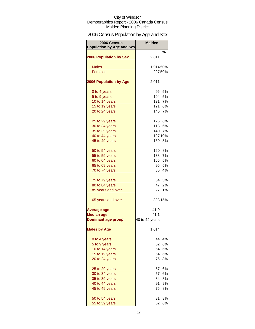## 2006 Census Population by Age and Sex

| 2006 Census<br><b>Population by Age and Sex</b> | <b>Malden</b>  |         |
|-------------------------------------------------|----------------|---------|
|                                                 |                | %       |
| <b>2006 Population by Sex</b>                   | 2,011          |         |
| <b>Males</b>                                    | 1,01450%       |         |
| <b>Females</b>                                  |                | 99750%  |
|                                                 |                |         |
| <b>2006 Population by Age</b>                   | 2,011          |         |
| 0 to 4 years                                    | 96             | 5%      |
| 5 to 9 years                                    | 104            | 5%      |
| 10 to 14 years                                  | $131$          | 7%      |
| 15 to 19 years                                  | 121            | 6%      |
| 20 to 24 years                                  | 145            | 7%      |
| 25 to 29 years                                  |                | 126 6%  |
| 30 to 34 years                                  |                | 118 6%  |
| 35 to 39 years                                  | 140            | 7%      |
| 40 to 44 years                                  |                | 19710%  |
| 45 to 49 years                                  | 160            | 8%      |
|                                                 |                |         |
| 50 to 54 years                                  | 160            | 8%      |
| 55 to 59 years                                  | 138            | 7%      |
| 60 to 64 years                                  | 106            | 5%      |
| 65 to 69 years                                  | 95             | 5%      |
| 70 to 74 years                                  | 86             | 4%      |
| 75 to 79 years                                  | 54             | 3%      |
| 80 to 84 years                                  | 47             | 2%      |
| 85 years and over                               | 27             | 1%      |
| 65 years and over                               |                | 308 15% |
| <b>Average age</b>                              | 41.0           |         |
| <b>Median age</b>                               | 41.1           |         |
| <b>Dominant age group</b>                       | 40 to 44 years |         |
| <b>Males by Age</b>                             | 1,014          |         |
| 0 to 4 years                                    | 44             | 4%      |
| 5 to 9 years                                    | 62             | 6%      |
| 10 to 14 years                                  | 64             | 6%      |
| 15 to 19 years                                  | 64             | 6%      |
| 20 to 24 years                                  | 76             | 8%      |
|                                                 |                |         |
| 25 to 29 years                                  | 57             | 6%      |
| 30 to 34 years                                  | 57             | 6%      |
| 35 to 39 years                                  | 84             | 8%      |
| 40 to 44 years                                  | 91             | 9%      |
| 45 to 49 years                                  | 76             | 8%      |
| 50 to 54 years                                  | 81             | 8%      |
| 55 to 59 years                                  | 62             | 6%      |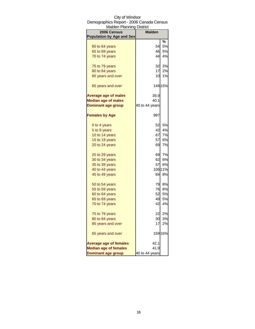| <b>Malden Planning District</b>  |                |         |
|----------------------------------|----------------|---------|
| 2006 Census                      | <b>Malden</b>  |         |
| <b>Population by Age and Sex</b> |                |         |
|                                  |                | %       |
| 60 to 64 years                   | 54             | 5%      |
| 65 to 69 years                   | 46             | 5%      |
| 70 to 74 years                   | 44             | 4%      |
| 75 to 79 years                   | 32             | 3%      |
| 80 to 84 years                   | 17             | 2%      |
| 85 years and over                | 10             | 1%      |
| 65 years and over                |                | 149 15% |
| <b>Average age of males</b>      | 39.9           |         |
| <b>Median age of males</b>       | 40.1           |         |
| <b>Dominant age group</b>        | 40 to 44 years |         |
| <b>Females by Age</b>            | 997            |         |
| 0 to 4 years                     | 52             | 5%      |
| 5 to 9 years                     | 42             | 4%      |
| 10 to 14 years                   | 67             | 7%      |
| 15 to 19 years                   | 57             | 6%      |
| 20 to 24 years                   | 69             | 7%      |
| 25 to 29 years                   | 69             | 7%      |
| 30 to 34 years                   | 62             | 6%      |
| 35 to 39 years                   | 57             | 6%      |
| 40 to 44 years                   |                | 106 11% |
| 45 to 49 years                   | 84             | 8%      |
| 50 to 54 years                   | 79             | 8%      |
| 55 to 59 years                   | 76             | 8%      |
| 60 to 64 years                   | 52             | 5%      |
| 65 to 69 years                   | 49             | 5%      |
| 70 to 74 years                   | 42             | 4%      |
|                                  |                |         |
| 75 to 79 years<br>80 to 84 years | 22             | 2%      |
|                                  | 30             | 3%      |
| 85 years and over                | 17             | 2%      |
| 65 years and over                |                | 159 16% |
| <b>Average age of females</b>    | 42.1           |         |
| <b>Median age of females</b>     | 41.9           |         |
| <b>Dominant age group</b>        | 40 to 44 years |         |

## City of Windsor Demographics Report - 2006 Canada Census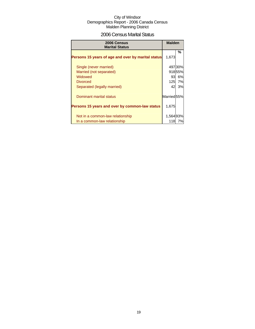## 2006 Census Marital Status

| 2006 Census<br><b>Marital Status</b>               | <b>Malden</b>          |         |
|----------------------------------------------------|------------------------|---------|
| Persons 15 years of age and over by marital status | 1,673                  | %       |
| Single (never married)                             |                        | 497 30% |
| Married (not separated)                            |                        | 91855%  |
| Widowed                                            | 931                    | 6%      |
| <b>Divorced</b>                                    | 125                    | 7%      |
| Separated (legally married)                        | 42                     | 3%      |
| Dominant marital status                            | Married <sub>55%</sub> |         |
| Persons 15 years and over by common-law status     | 1,675                  |         |
| Not in a common-law relationship                   | 1,56493%               |         |
| In a common-law relationship                       | 118                    | 7%      |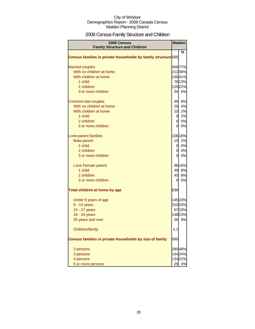## 2006 Census Family Structure and Children

| 2006 Census<br><b>Family Structure and Children</b>                      |                 | <b>Malden</b> |
|--------------------------------------------------------------------------|-----------------|---------------|
|                                                                          |                 | %             |
| Census families in private households by family structure <sup>595</sup> |                 |               |
| <b>Married couples</b>                                                   |                 | 456 77%       |
| With no children at home                                                 |                 | 21236%        |
| With children at home                                                    |                 | 24641%        |
| 1 child                                                                  |                 | 7813%         |
| 2 children                                                               |                 | 12922%        |
| 3 or more children                                                       |                 | 34 6%         |
| Common-law couples                                                       |                 | 46 8%         |
| With no children at home                                                 | 26              | 4%            |
| With children at home                                                    | 10              | 2%            |
| 1 child                                                                  | 9               | 2%            |
| 2 children                                                               | $\overline{0}$  | 0%            |
| 3 or more children                                                       | <sub>0</sub>    | 0%            |
| Lone-parent families                                                     |                 | 106 18%       |
| Male parent                                                              | 10 <sup>1</sup> | 2%            |
| 1 child                                                                  | 0l              | 0%            |
| 2 children                                                               | <sub>0</sub>    | 0%            |
| 3 or more children                                                       | $\overline{0}$  | 0%            |
| Lone Female parent                                                       |                 | 96 16%        |
| 1 child                                                                  | 49              | 8%            |
| 2 children                                                               | 45              | 8%            |
| 3 or more children                                                       | 0               | 0%            |
| Total children at home by age                                            | 639             |               |
| Under 6 years of age                                                     |                 | 145 23%       |
| 6 - 14 years                                                             |                 | 21033%        |
| 15 - 17 years                                                            |                 | 6710%         |
| 18 - 24 years                                                            |                 | 14823%        |
| 25 years and over                                                        |                 | 55 9%         |
| Children/family                                                          | 1.1             |               |
| Census families in private households by size of family                  | 595             |               |
| 2 persons                                                                |                 | 28548%        |
| 3 persons                                                                |                 | 14424%        |
| 4 persons                                                                |                 | 13422%        |
| 5 or more persons                                                        | 25              | 4%            |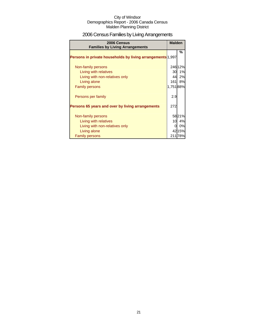## 2006 Census Families by Living Arrangements

| 2006 Census<br><b>Families by Living Arrangements</b>      | <b>Malden</b> |         |
|------------------------------------------------------------|---------------|---------|
| Persons in private households by living arrangements 1,997 |               | %       |
| Non-family persons                                         |               | 246 12% |
| Living with relatives                                      | 30            | 1%      |
| Living with non-relatives only                             | 44            | 2%      |
| Living alone                                               | 161           | 8%      |
| <b>Family persons</b>                                      | 1,75188%      |         |
| Persons per family                                         | 2.9           |         |
| Persons 65 years and over by living arrangements           | 272           |         |
| Non-family persons                                         |               | 5821%   |
| Living with relatives                                      | 10            | 4%      |
| Living with non-relatives only                             |               | 0%      |
| Living alone                                               |               | 4215%   |
| <b>Family persons</b>                                      | 211           | 78%     |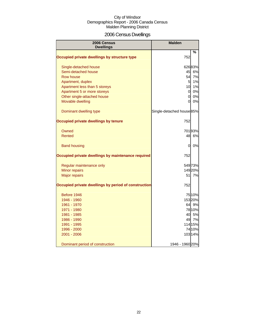## 2006 Census Dwellings

| 2006 Census<br><b>Dwellings</b>                      | <b>Malden</b>             |         |
|------------------------------------------------------|---------------------------|---------|
|                                                      |                           | %       |
| Occupied private dwellings by structure type         | 752                       |         |
| Single-detached house                                |                           | 62683%  |
| Semi-detached house                                  | 45                        | 6%      |
| <b>Row house</b>                                     | 54                        | 7%      |
| Apartment, duplex                                    | 5                         | 1%      |
| Apartment less than 5 storeys                        | 10                        | 1%      |
| Apartment 5 or more storeys                          | $\overline{0}$            | 0%      |
| Other single-attached house                          | $\overline{0}$            | 0%      |
| Movable dwelling                                     | 0                         | 0%      |
| Dominant dwelling type                               | Single-detached house 85% |         |
| Occupied private dwellings by tenure                 | 752                       |         |
| Owned                                                |                           | 70193%  |
| Rented                                               | 48                        | 6%      |
| <b>Band housing</b>                                  | 0                         | 0%      |
| Occupied private dwellings by maintenance required   | 752                       |         |
| Regular maintenance only                             |                           | 549 73% |
| Minor repairs                                        |                           | 149 20% |
| <b>Major repairs</b>                                 | 51                        | 7%      |
| Occupied private dwellings by period of construction | 752                       |         |
| Before 1946                                          |                           | 75 10%  |
| 1946 - 1960                                          |                           | 15320%  |
| 1961 - 1970                                          |                           | 64 9%   |
| 1971 - 1980                                          |                           | 78 10%  |
| 1981 - 1985                                          | 40                        | 5%      |
| 1986 - 1990                                          | 49                        | 7%      |
| 1991 - 1995                                          |                           | 114 15% |
| 1996 - 2000                                          |                           | 74 10%  |
| 2001 - 2006                                          |                           | 103 14% |
| Dominant period of construction                      | 1946 - 1960 20%           |         |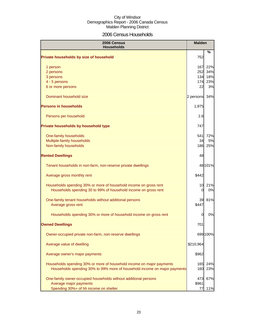## 2006 Census Households

| 2006 Census<br><b>Households</b>                                                                                                     |             | <b>Malden</b> |
|--------------------------------------------------------------------------------------------------------------------------------------|-------------|---------------|
| Private households by size of household                                                                                              | 752         | ℅             |
| 1 person                                                                                                                             | 167         | 22%           |
| 2 persons                                                                                                                            | 252         | 34%           |
| 3 persons                                                                                                                            | 134         | 18%           |
| 4 - 5 persons                                                                                                                        | 174         | 23%           |
| 6 or more persons                                                                                                                    | 22          | 3%            |
| Dominant household size                                                                                                              | 2 persons   | 34%           |
| <b>Persons in households</b>                                                                                                         | 1,975       |               |
| Persons per household                                                                                                                | 2.6         |               |
| Private households by household type                                                                                                 | 747         |               |
| One-family households                                                                                                                | 541         | 72%           |
| Multiple-family households                                                                                                           | 34          | 5%            |
| Non-family households                                                                                                                | 186         | 25%           |
| <b>Rented Dwellings</b>                                                                                                              | 48          |               |
| Tenant households in non-farm, non-reserve private dwellings                                                                         |             | 48 101%       |
| Average gross monthly rent                                                                                                           | \$442       |               |
| Households spending 30% or more of household income on gross rent<br>Households spending 30 to 99% of household income on gross rent | 10<br>0     | 21%<br>0%     |
| One-family tenant households without additional persons<br>Average gross rent                                                        | 39<br>\$447 | 81%           |
| Households spending 30% or more of household income on gross rent                                                                    | 0           | 0%            |
| <b>Owned Dwellings</b>                                                                                                               | 701         |               |
| Owner-occupied private non-farm, non-reserve dwellings                                                                               |             | 699 100%      |
| Average value of dwelling                                                                                                            | \$210,964   |               |
| Average owner's major payments                                                                                                       | \$962       |               |
| Households spending 30% or more of household income on major payments                                                                | 165         | 24%           |
| Households spending 30% to 99% more of household income on major payments                                                            | 160         | 23%           |
| One-family owner-occupied households without additional persons                                                                      | 473         | 67%           |
| Average major payments                                                                                                               | \$961       |               |
| Spending 30%+ of hh income on shelter                                                                                                | 77          | 11%           |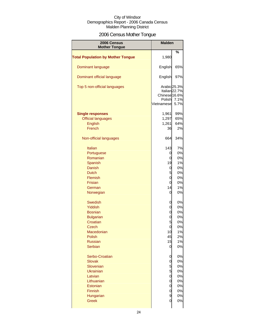## 2006 Census Mother Tongue

| 2006 Census<br><b>Mother Tongue</b>      | <b>Malden</b>                                         |                                          |
|------------------------------------------|-------------------------------------------------------|------------------------------------------|
|                                          |                                                       | %                                        |
| <b>Total Population by Mother Tongue</b> | 1,980                                                 |                                          |
| Dominant language                        | English                                               | 65%                                      |
| Dominant official language               | English                                               | 97%                                      |
| Top 5 non-official languages             | Arabic 25.3%<br>Chinese 16.6%<br>Polish<br>Vietnamese | Italian <sub>22.7%</sub><br>7.1%<br>5.7% |
| <b>Single responses</b>                  | 1,961                                                 | 99%                                      |
| <b>Official languages</b>                | 1,297                                                 | 65%                                      |
| English                                  | 1,261                                                 | 64%                                      |
| French                                   | 36                                                    | 2%                                       |
| Non-official languages                   | 664                                                   | 34%                                      |
| <b>Italian</b>                           | 143                                                   | 7%                                       |
| Portuguese                               | 0                                                     | 0%                                       |
| Romanian                                 | 0                                                     | 0%                                       |
|                                          | 19                                                    |                                          |
| Spanish                                  |                                                       | 1%                                       |
| Danish                                   | 0                                                     | 0%                                       |
| <b>Dutch</b>                             | 5                                                     | 0%                                       |
| Flemish                                  | 0                                                     | 0%                                       |
| <b>Frisian</b>                           | 0                                                     | 0%                                       |
| German                                   | 14                                                    | 1%                                       |
| Norwegian                                | 0                                                     | 0%                                       |
| <b>Swedish</b>                           | 0                                                     | 0%                                       |
| Yiddish                                  | 0                                                     | 0%                                       |
| <b>Bosnian</b>                           | 0                                                     | 0%                                       |
| <b>Bulgarian</b>                         | 0                                                     | 0%                                       |
|                                          | 5                                                     |                                          |
| Croatian                                 |                                                       | 0%                                       |
| Czech                                    | U                                                     | 0%                                       |
| Macedonian                               | 10                                                    | 1%                                       |
| <b>Polish</b>                            | 45                                                    | 2%                                       |
| <b>Russian</b>                           | 15                                                    | 1%                                       |
| Serbian                                  | $\overline{0}$                                        | 0%                                       |
| Serbo-Croatian                           | 0                                                     | 0%                                       |
| <b>Slovak</b>                            | 0                                                     | 0%                                       |
| Slovenian                                | 5                                                     | 0%                                       |
| <b>Ukrainian</b>                         | 5                                                     | 0%                                       |
| Latvian                                  | 0                                                     | 0%                                       |
|                                          |                                                       |                                          |
| Lithuanian                               | 0                                                     | 0%                                       |
| Estonian                                 | 0                                                     | 0%                                       |
| Finnish                                  | 0                                                     | 0%                                       |
| Hungarian                                | 9                                                     | 0%                                       |
| <b>Greek</b>                             | 0                                                     | 0%                                       |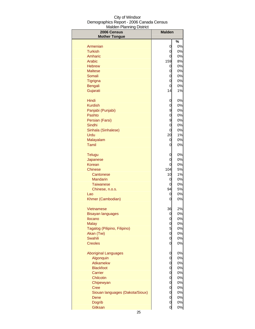| 2006 Census                                    | <b>Malden</b>  |          |
|------------------------------------------------|----------------|----------|
| <b>Mother Tongue</b>                           |                |          |
| Armenian                                       | 0              | ℅<br>0%  |
| <b>Turkish</b>                                 | 0              | 0%       |
| Amharic                                        | 0              | 0%       |
| Arabic                                         | 159            | 8%       |
| <b>Hebrew</b>                                  | 0              | 0%       |
| <b>Maltese</b>                                 | 0              | 0%       |
| Somali                                         | 0              | 0%       |
| Tigrigna                                       | 0              | 0%       |
| <b>Bengali</b>                                 | 0              | 0%       |
| Gujarati                                       | 14             | 1%       |
| Hindi                                          | 0              | 0%       |
| <b>Kurdish</b>                                 | 0              | 0%       |
| Panjabi (Punjabi)                              | 9              | 0%       |
| Pashto                                         | 0              | 0%       |
| Persian (Farsi)                                | 9              | 0%       |
| Sindhi                                         | 0              | 0%       |
| Sinhala (Sinhalese)                            | 0              | 0%       |
| Urdu                                           | 20             | 1%       |
| Malayalam                                      | 0              | 0%       |
| Tamil                                          | 0              | 0%       |
| <b>Telugu</b>                                  | 0              | 0%       |
| Japanese                                       | 0              | 0%       |
| Korean                                         | 0              | 0%       |
| Chinese                                        | 104            | 5%       |
| Cantonese                                      | 10             | 1%       |
| <b>Mandarin</b>                                | 0              | 0%       |
| <b>Taiwanese</b>                               | 0              | 0%       |
| Chinese, n.o.s.<br>Lao                         | 94             | 5%       |
| Khmer (Cambodian)                              | 0<br>0         | 0%<br>0% |
|                                                |                |          |
| Vietnamese                                     | 36             | 2%       |
| <b>Bisayan languages</b>                       | $\overline{0}$ | 0%       |
| Ilocano                                        | $\mathbf 0$    | 0%       |
| <b>Malay</b>                                   | 0              | 0%       |
| Tagalog (Pilipino, Filipino)                   | 5              | 0%       |
| Akan (Twi)                                     | $\overline{0}$ | 0%       |
| Swahili                                        | $\overline{0}$ | 0%       |
| <b>Creoles</b>                                 | 0              | 0%       |
| <b>Aboriginal Languages</b>                    | 0              | 0%       |
| Algonquin                                      | 0              | 0%       |
| Atikamekw                                      | $\mathbf 0$    | 0%       |
| <b>Blackfoot</b>                               | $\mathbf 0$    | 0%       |
| Carrier                                        | $\mathbf 0$    | 0%       |
| Chilcotin                                      | $\mathbf 0$    | 0%       |
| Chipewyan                                      | 0              | 0%       |
| <b>Cree</b><br>Siouan languages (Dakota/Sioux) | 0              | 0%<br>0% |
| Dene                                           | 0<br>0         | 0%       |
| <b>Dogrib</b>                                  | $\overline{0}$ | 0%       |
| <b>Gitksan</b>                                 | $\overline{0}$ | 0%       |
|                                                |                |          |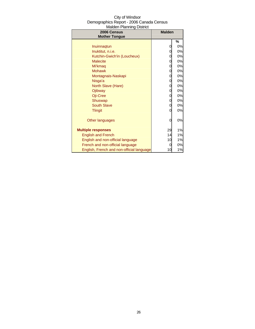| City of Windsor                          |
|------------------------------------------|
| Demographics Report - 2006 Canada Census |
| <b>Malden Planning District</b>          |

| 2006 Census                               | <b>Malden</b> |    |
|-------------------------------------------|---------------|----|
| <b>Mother Tongue</b>                      |               |    |
|                                           |               | %  |
| Inuinnagtun                               | 0             | 0% |
| Inuktitut, n.i.e.                         | 0             | 0% |
| Kutchin-Gwich'in (Loucheux)               | 0             | 0% |
| <b>Malecite</b>                           | 0             | 0% |
| Mi'kmag                                   | 0             | 0% |
| <b>Mohawk</b>                             | 0             | 0% |
| Montagnais-Naskapi                        | 0             | 0% |
| Nisga'a                                   | 0             | 0% |
| North Slave (Hare)                        | 0             | 0% |
| Ojibway                                   | 0             | 0% |
| Oji-Cree                                  | 0             | 0% |
| Shuswap                                   | 0             | 0% |
| <b>South Slave</b>                        | 0             | 0% |
| <b>Tlingit</b>                            | 0             | 0% |
|                                           |               |    |
| Other languages                           | 0             | 0% |
|                                           |               |    |
| <b>Multiple responses</b>                 | 29            | 1% |
| <b>English and French</b>                 | 14            | 1% |
| English and non-official language         | 10            | 1% |
| French and non-official language          | 0             | 0% |
| English, French and non-official language | 10            | 1% |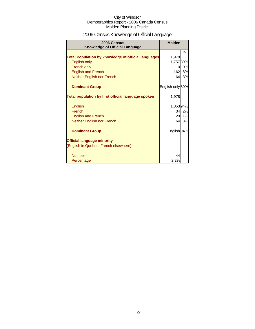## 2006 Census Knowledge of Official Language

| 2006 Census<br><b>Knowledge of Official Language</b>       | <b>Malden</b>          |    |
|------------------------------------------------------------|------------------------|----|
|                                                            |                        | %  |
| <b>Total Population by knowledge of official languages</b> | 1,978                  |    |
| English only                                               | 1,75789%               |    |
| French only                                                | 0                      | 0% |
| <b>English and French</b>                                  | 162                    | 8% |
| Neither English nor French                                 | 64                     | 3% |
| <b>Dominant Group</b>                                      | English only 89%       |    |
| Total population by first official language spoken         | 1,978                  |    |
| English                                                    | 1,85394%               |    |
| French                                                     | 34                     | 2% |
| <b>English and French</b>                                  | 20                     | 1% |
| Neither English nor French                                 | 64                     | 3% |
| <b>Dominant Group</b>                                      | English <sub>94%</sub> |    |
| <b>Official language minority</b>                          |                        |    |
| (English in Quebec, French elsewhere)                      |                        |    |
| <b>Number</b>                                              | 44                     |    |
| Percentage                                                 | 2.2%                   |    |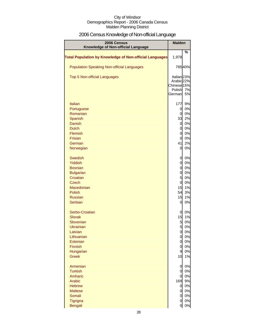## 2006 Census Knowledge of Non-official Language

| 2006 Census<br>Knowledge of Non-official Language              | <b>Malden</b>                        |          |
|----------------------------------------------------------------|--------------------------------------|----------|
| <b>Total Population by Knowledge of Non-official Languages</b> | 1,978                                | %        |
| <b>Population Speaking Non-official Languages</b>              |                                      | 78540%   |
| <b>Top 5 Non-official Languages</b>                            | Italian <sub>23%</sub><br>Arabic 22% |          |
|                                                                | Chinese <sup>15%</sup>               |          |
|                                                                | Polish                               | 7%<br>5% |
|                                                                | <b>German</b>                        |          |
| Italian                                                        | 177                                  | 9%       |
| Portuguese                                                     | $\overline{0}$                       | 0%       |
| Romanian                                                       | $\overline{0}$                       | 0%       |
| Spanish                                                        | 33                                   | 2%       |
| <b>Danish</b>                                                  | $\overline{0}$                       | 0%       |
| <b>Dutch</b>                                                   | $\overline{a}$                       | 0%       |
| Flemish                                                        | $\overline{0}$                       | 0%       |
| <b>Frisian</b><br>German                                       | $\overline{0}$<br>41                 | 0%<br>2% |
| Norwegian                                                      | $\overline{0}$                       | 0%       |
|                                                                |                                      |          |
| <b>Swedish</b>                                                 | $\overline{0}$                       | 0%       |
| Yiddish                                                        | 0                                    | 0%       |
| <b>Bosnian</b>                                                 | $\mathbf 0$                          | 0%       |
| <b>Bulgarian</b>                                               | 0                                    | 0%       |
| Croatian                                                       | $5\overline{a}$                      | 0%       |
| Czech                                                          | $\mathbf 0$                          | 0%       |
| Macedonian                                                     | 15<br>54                             | 1%<br>3% |
| Polish<br><b>Russian</b>                                       | 15                                   | 1%       |
| <b>Serbian</b>                                                 | 0                                    | 0%       |
|                                                                |                                      |          |
| Serbo-Croatian                                                 | 0                                    | 0%       |
| <b>Slovak</b>                                                  | 15                                   | 1%       |
| Slovenian                                                      | 5                                    | 0%       |
| Ukrainian                                                      | 5                                    | 0%       |
| Latvian                                                        | $\mathbf 0$                          | 0%       |
| Lithuanian                                                     | $\overline{0}$                       | 0%       |
| Estonian<br>Finnish                                            | $\overline{0}$<br>$\overline{0}$     | 0%<br>0% |
| Hungarian                                                      | $\mathbf{9}$                         | 0%       |
| <b>Greek</b>                                                   | 10                                   | 1%       |
|                                                                |                                      |          |
| Armenian                                                       | $\mathbf 0$                          | 0%       |
| <b>Turkish</b>                                                 | $\overline{0}$                       | 0%       |
| Amharic                                                        | $\mathbf{0}$                         | 0%       |
| Arabic                                                         | 169                                  | 9%       |
| <b>Hebrew</b><br><b>Maltese</b>                                | $\overline{0}$                       | 0%       |
| Somali                                                         | $\mathsf{d}$<br>$\mathbf{0}$         | 0%<br>0% |
| Tigrigna                                                       | <sub>0</sub>                         | 0%       |
| Bengali                                                        | <sub>0</sub>                         | $0\%$    |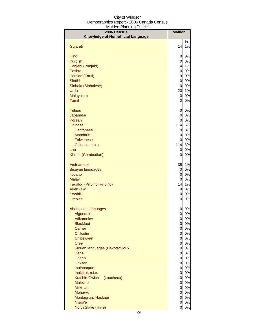| City of Windsor                          |  |  |  |  |
|------------------------------------------|--|--|--|--|
| Demographics Report - 2006 Canada Census |  |  |  |  |
| Malden Planning District                 |  |  |  |  |

| 2006 Census                                    | <b>Malden</b>                    |          |
|------------------------------------------------|----------------------------------|----------|
| Knowledge of Non-official Language             |                                  |          |
|                                                | 14                               | %<br>1%  |
| Gujarati                                       |                                  |          |
| Hindi                                          | 0                                | 0%       |
| <b>Kurdish</b>                                 | 0                                | 0%       |
| Panjabi (Punjabi)                              | 14                               | 1%       |
| Pashto                                         | $\overline{O}$                   | 0%       |
| Persian (Farsi)                                | 9                                | 0%       |
| Sindhi                                         | $\mathbf 0$                      | 0%       |
| Sinhala (Sinhalese)                            | $\mathbf 0$                      | 0%       |
| Urdu                                           | 20                               | 1%       |
| Malayalam<br>Tamil                             | 0<br>0                           | 0%<br>0% |
|                                                |                                  |          |
| Telugu                                         | 0                                | 0%       |
| Japanese                                       | $\mathbf 0$                      | 0%       |
| <b>Korean</b>                                  | $\mathbf 0$                      | 0%       |
| Chinese                                        | 114                              | 6%       |
| Cantonese                                      | 0                                | 0%       |
| <b>Mandarin</b>                                | 0                                | 0%       |
| <b>Taiwanese</b>                               | $\mathbf 0$                      | 0%       |
| Chinese, n.o.s.                                | 114                              | 6%       |
| Lao                                            | 0                                | 0%<br>0% |
| Khmer (Cambodian)                              | $\mathbf 0$                      |          |
| Vietnamese                                     | 38                               | 2%       |
| <b>Bisayan languages</b>                       | $\overline{0}$                   | 0%       |
| <b>Ilocano</b>                                 | $\overline{O}$                   | 0%       |
| <b>Malay</b>                                   | $\mathbf 0$                      | 0%       |
| Tagalog (Pilipino, Filipino)                   | 14                               | 1%       |
| Akan (Twi)                                     | $\overline{0}$                   | 0%       |
| <b>Swahili</b>                                 | $\mathbf 0$                      | 0%       |
| <b>Creoles</b>                                 | $\mathbf 0$                      | 0%       |
| <b>Aboriginal Languages</b>                    | 0                                | 0%       |
| Algonquin                                      | 0                                | 0%       |
| <b>Atikamekw</b>                               | $\overline{0}$                   | 0%       |
| <b>Blackfoot</b>                               | $\overline{0}$                   | 0%       |
| Carrier                                        | $\overline{a}$                   | 0%       |
| Chilcotin                                      | $\overline{0}$                   | 0%       |
| Chipewyan                                      | $\overline{0}$                   | 0%       |
| <b>Cree</b>                                    | $\overline{0}$                   | 0%       |
| Siouan languages (Dakota/Sioux)<br><b>Dene</b> | $\overline{0}$                   | 0%       |
| <b>Dogrib</b>                                  | $\overline{0}$<br>$\overline{0}$ | 0%<br>0% |
| Gitksan                                        | $\overline{0}$                   | 0%       |
| Inuinnaqtun                                    | $\overline{0}$                   | 0%       |
| Inuktitut, n.i.e.                              | $\overline{0}$                   | 0%       |
| Kutchin-Gwich'in (Loucheux)                    | $\mathbf 0$                      | 0%       |
| <b>Malecite</b>                                | $\overline{0}$                   | 0%       |
| Mi'kmaq                                        | $\overline{0}$                   | 0%       |
| <b>Mohawk</b>                                  | $\overline{0}$                   | 0%       |
| Montagnais-Naskapi                             | $\overline{O}$                   | 0%       |
| Nisga'a                                        | $\mathbf 0$                      | 0%       |
| North Slave (Hare)                             | 0                                | 0%       |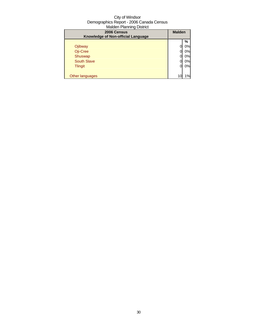| 2006 Census<br>Knowledge of Non-official Language | <b>Malden</b> |    |
|---------------------------------------------------|---------------|----|
|                                                   |               | %  |
| Ojibway                                           |               | 0% |
| Oji-Cree                                          |               | 0% |
| Shuswap                                           |               | 0% |
| <b>South Slave</b>                                |               | 0% |
| <b>Tlingit</b>                                    | 0             | 0% |
|                                                   |               |    |
| Other languages                                   | 10            | 1% |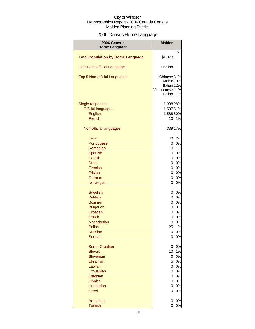## 2006 Census Home Language

| 2006 Census<br><b>Home Language</b>      | <b>Malden</b>                                       |          |
|------------------------------------------|-----------------------------------------------------|----------|
|                                          |                                                     | %        |
| <b>Total Population by Home Language</b> | \$1,978                                             |          |
| <b>Dominant Official Language</b>        | English                                             |          |
| Top 5 Non-official Languages             | Chinese <sub>31%</sub>                              |          |
|                                          | Arabic 19%                                          |          |
|                                          | Italian <sub>12%</sub><br>Vietnamese <sub>11%</sub> |          |
|                                          | Polish                                              | 7%       |
| Single responses                         | 1,93898%                                            |          |
| <b>Official languages</b>                | 1,59781%                                            |          |
| English                                  | 1,58880%                                            |          |
| French                                   | 10                                                  | 1%       |
| Non-official languages                   |                                                     | 339 17%  |
| <b>Italian</b>                           | 40                                                  | 2%       |
| Portuguese                               | 0                                                   | 0%       |
| Romanian                                 | 10                                                  | 1%       |
| Spanish                                  | $\overline{0}$                                      | 0%       |
| <b>Danish</b>                            | $\overline{0}$                                      | 0%       |
| <b>Dutch</b>                             | 0                                                   | 0%       |
| Flemish                                  | 0                                                   | 0%       |
| <b>Frisian</b>                           | $\overline{0}$                                      | 0%       |
| German                                   | $\overline{0}$                                      | 0%       |
| Norwegian                                | 0                                                   | 0%       |
| <b>Swedish</b>                           | 0                                                   | 0%       |
| <b>Yiddish</b>                           | 0                                                   | 0%       |
| <b>Bosnian</b>                           | 0                                                   | 0%       |
| <b>Bulgarian</b>                         | 0                                                   | 0%       |
| Croatian                                 | 0                                                   | 0%       |
| Czech                                    | 0                                                   | 0%       |
| Macedonian                               | 0                                                   | 0%       |
| Polish                                   | 25                                                  | 1%       |
| <b>Russian</b><br><b>Serbian</b>         | 0<br>0                                              | 0%<br>0% |
| Serbo-Croatian                           |                                                     |          |
| <b>Slovak</b>                            | 0<br>10                                             | 0%<br>1% |
| Slovenian                                | 0                                                   | 0%       |
| <b>Ukrainian</b>                         | 5 <sup>1</sup>                                      | 0%       |
| Latvian                                  | 0                                                   | 0%       |
| Lithuanian                               | 0                                                   | 0%       |
| Estonian                                 | 0                                                   | 0%       |
| <b>Finnish</b>                           | 0                                                   | 0%       |
| Hungarian                                | 0                                                   | 0%       |
| <b>Greek</b>                             | 0                                                   | 0%       |
| Armenian                                 | 0                                                   | 0%       |
| <b>Turkish</b>                           | 0                                                   | 0%       |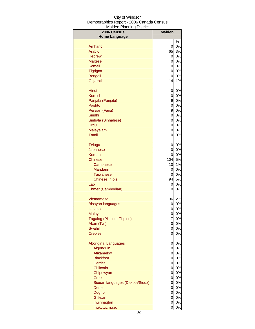| <b>2006 Census</b>              | <b>Malden</b>  |          |
|---------------------------------|----------------|----------|
| <b>Home Language</b>            |                |          |
|                                 |                | %<br>0%  |
| Amharic<br>Arabic               | 0<br>65        |          |
| <b>Hebrew</b>                   | 0              | 3%<br>0% |
| <b>Maltese</b>                  | $\mathbf 0$    | 0%       |
| Somali                          | $\mathbf 0$    | 0%       |
| Tigrigna                        | $\mathbf 0$    | 0%       |
| <b>Bengali</b>                  | $\mathbf 0$    | 0%       |
| Gujarati                        | 14             | 1%       |
|                                 |                |          |
| Hindi                           | 0              | $0\%$    |
| <b>Kurdish</b>                  | 0              | 0%       |
| Panjabi (Punjabi)               | 9              | 0%       |
| Pashto                          | 0              | 0%       |
| Persian (Farsi)                 | 9              | $0\%$    |
| Sindhi                          | 0              | 0%       |
| Sinhala (Sinhalese)             | 0              | $0\%$    |
| Urdu                            | 0              | $0\%$    |
| Malayalam                       | 0              | 0%       |
| <b>Tamil</b>                    | 0              | 0%       |
| <b>Telugu</b>                   | 0              | 0%       |
| Japanese                        | 0              | 0%       |
| Korean                          | $\mathbf 0$    | 0%       |
| <b>Chinese</b>                  | 104            | $5%$     |
| Cantonese                       | 10             | 1%       |
| <b>Mandarin</b>                 | 0              | 0%       |
| Taiwanese                       | 0              | 0%       |
| Chinese, n.o.s.                 | 94             | 5%       |
| Lao                             | 0              | 0%       |
| Khmer (Cambodian)               | 0              | 0%       |
| Vietnamese                      | 36             | 2%       |
| <b>Bisayan languages</b>        | 0              | 0%       |
| <b>Ilocano</b>                  | 0              | 0%       |
| <b>Malay</b>                    | 0              | 0%       |
| Tagalog (Pilipino, Filipino)    | 7              | 0%       |
| Akan (Twi)                      | 0              | 0%       |
| Swahili                         | 0              | 0%       |
| <b>Creoles</b>                  | $\overline{0}$ | 0%       |
| <b>Aboriginal Languages</b>     | 0              | 0%       |
| Algonquin                       | 0              | 0%       |
| Atikamekw                       | $\mathbf 0$    | 0%       |
| <b>Blackfoot</b>                | $\mathbf 0$    | 0%       |
| Carrier                         | $\mathbf 0$    | 0%       |
| Chilcotin                       | $\mathbf 0$    | 0%       |
| Chipewyan                       | $\mathbf 0$    | 0%       |
| <b>Cree</b>                     | $\mathbf 0$    | 0%       |
| Siouan languages (Dakota/Sioux) | $\overline{0}$ | 0%       |
| Dene                            | $\overline{0}$ | 0%       |
| Dogrib                          | $\mathbf 0$    | 0%       |
| Gitksan                         | 0              | 0%       |
| Inuinnaqtun                     | 0              | 0%       |
| Inuktitut, n.i.e.               | 0              | 0%       |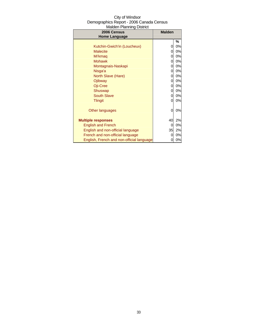| $1.1$ and $1.1$ and $1.1$ and $1.1$ and $1.1$ and $1.1$ and $1.1$ and $1.1$ and $1.1$ and $1.1$ and $1.1$ and $1.1$ and $1.1$ and $1.1$ and $1.1$ and $1.1$ and $1.1$ and $1.1$ and $1.1$ and $1.1$ and $1.1$ and $1.1$ and<br>2006 Census | <b>Malden</b> |    |
|--------------------------------------------------------------------------------------------------------------------------------------------------------------------------------------------------------------------------------------------|---------------|----|
| <b>Home Language</b>                                                                                                                                                                                                                       |               |    |
|                                                                                                                                                                                                                                            |               | ℅  |
| Kutchin-Gwich'in (Loucheux)                                                                                                                                                                                                                | 0             | 0% |
| <b>Malecite</b>                                                                                                                                                                                                                            | 0             | 0% |
| Mi'kmaq                                                                                                                                                                                                                                    | 0             | 0% |
| <b>Mohawk</b>                                                                                                                                                                                                                              | 0             | 0% |
| Montagnais-Naskapi                                                                                                                                                                                                                         | 0             | 0% |
| Nisga'a                                                                                                                                                                                                                                    | 0             | 0% |
| North Slave (Hare)                                                                                                                                                                                                                         | 0             | 0% |
| Ojibway                                                                                                                                                                                                                                    | 0             | 0% |
| Oji-Cree                                                                                                                                                                                                                                   | 0             | 0% |
| Shuswap                                                                                                                                                                                                                                    | 0             | 0% |
| <b>South Slave</b>                                                                                                                                                                                                                         | 0             | 0% |
| <b>Tlingit</b>                                                                                                                                                                                                                             | 0             | 0% |
|                                                                                                                                                                                                                                            |               |    |
| Other languages                                                                                                                                                                                                                            | 0             | 0% |
|                                                                                                                                                                                                                                            |               |    |
| <b>Multiple responses</b>                                                                                                                                                                                                                  | 40            | 2% |
| <b>English and French</b>                                                                                                                                                                                                                  | 0             | 0% |
| English and non-official language                                                                                                                                                                                                          | 35            | 2% |
| French and non-official language                                                                                                                                                                                                           | Ω             | 0% |
| English, French and non-official language                                                                                                                                                                                                  |               | 0% |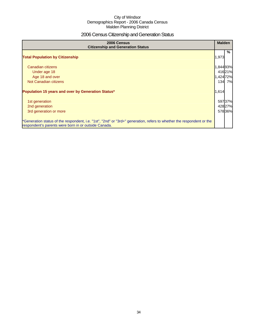## 2006 Census Citizenship and Generation Status

| 2006 Census<br><b>Citizenship and Generation Status</b>                                                                                                                       | <b>Malden</b> |        |
|-------------------------------------------------------------------------------------------------------------------------------------------------------------------------------|---------------|--------|
| <b>Total Population by Citizenship</b>                                                                                                                                        | 1,973         | %      |
| Canadian citizens                                                                                                                                                             | 1,844 93%     |        |
| Under age 18                                                                                                                                                                  | 41621%        |        |
| Age 18 and over                                                                                                                                                               | 1,42472%      |        |
| Not Canadian citizens                                                                                                                                                         |               | 134 7% |
| Population 15 years and over by Generation Status*                                                                                                                            | 1,614         |        |
| 1st generation                                                                                                                                                                | 59737%        |        |
| 2nd generation                                                                                                                                                                | 42827%        |        |
| 3rd generation or more                                                                                                                                                        | 57836%        |        |
| *Generation status of the respondent, i.e. "1st", "2nd" or "3rd+" generation, refers to whether the respondent or the<br>respondent's parents were born in or outside Canada. |               |        |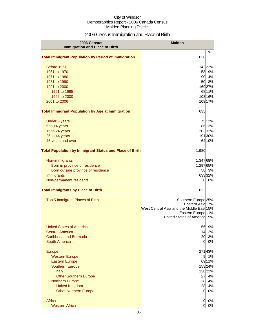## 2006 Census Immigration and Place of Birth

| 2006 Census                                                    | <b>Malden</b>                                      |        |
|----------------------------------------------------------------|----------------------------------------------------|--------|
| <b>Immigration and Place of Birth</b>                          |                                                    |        |
| <b>Total Immigrant Population by Period of Immigration</b>     | 638                                                | %      |
|                                                                |                                                    |        |
| Before 1961                                                    | 14222%                                             |        |
| 1961 to 1970                                                   |                                                    | 58 9%  |
| 1971 to 1980                                                   |                                                    | 90 14% |
| 1981 to 1990                                                   |                                                    | 50 8%  |
| 1991 to 2000                                                   | 16927%                                             |        |
| 1991 to 1995                                                   |                                                    | 68 11% |
| 1996 to 2000                                                   | 103 16%                                            |        |
| 2001 to 2006                                                   | 109 17%                                            |        |
| <b>Total Immigrant Population by Age at Immigration</b>        | 635                                                |        |
| Under 5 years                                                  |                                                    | 7512%  |
| 5 to 14 years                                                  |                                                    | 86 13% |
| 15 to 24 years                                                 | 20332%                                             |        |
| 25 to 44 years                                                 | 19130%                                             |        |
| 45 years and over                                              |                                                    | 64 10% |
| <b>Total Population by Immigrant Status and Place of Birth</b> |                                                    |        |
|                                                                | 1,980                                              |        |
| Non-immigrants                                                 | 1,347 68%                                          |        |
| Born in province of residence                                  | 1,297 65%                                          |        |
| Born outside province of residence                             |                                                    | 58 3%  |
| Immigrants                                                     | 63332%                                             |        |
| Non-permanent residents                                        | 0                                                  | 0%     |
| <b>Total Immigrants by Place of Birth</b>                      | 633                                                |        |
|                                                                |                                                    |        |
| Top 5 Immigrant Places of Birth                                | Southern Europe <sup>25%</sup><br>Eastern Asia 17% |        |
|                                                                | West Central Asia and the Middle East 15%          |        |
|                                                                | Eastern Europe <sup>11%</sup>                      |        |
|                                                                | United States of America 9%                        |        |
| <b>United States of America</b>                                | 56                                                 | 9%     |
| <b>Central America</b>                                         | 14                                                 | 2%     |
| Caribbean and Bermuda                                          | 20                                                 | 3%     |
| <b>South America</b>                                           | 0l                                                 | 0%     |
|                                                                |                                                    |        |
| Europe                                                         | 27143%                                             | 1%     |
| <b>Western Europe</b><br><b>Eastern Europe</b>                 | 9                                                  | 6911%  |
| <b>Southern Europe</b>                                         | 15324%                                             |        |
| Italy                                                          | 138 22%                                            |        |
| <b>Other Southern Europe</b>                                   | 27                                                 | 4%     |
| <b>Northern Europe</b>                                         | 28                                                 | 4%     |
| <b>United Kingdom</b>                                          | 28                                                 | 4%     |
| <b>Other Northern Europe</b>                                   | $\overline{O}$                                     | 0%     |
|                                                                |                                                    |        |
| Africa                                                         | $\overline{0}$                                     | 0%     |
| <b>Western Africa</b>                                          | $\overline{0}$                                     | 0%     |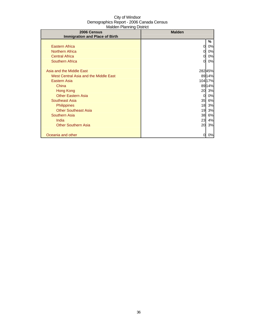| 2006 Census                           | <b>Malden</b>  |         |
|---------------------------------------|----------------|---------|
| <b>Immigration and Place of Birth</b> |                |         |
|                                       |                | %       |
| <b>Eastern Africa</b>                 | 0              | 0%      |
| <b>Northern Africa</b>                | 0              | 0%      |
| <b>Central Africa</b>                 | 0              | 0%      |
| <b>Southern Africa</b>                | $\Omega$       | 0%      |
| Asia and the Middle East              |                | 28245%  |
| West Central Asia and the Middle East |                | 8914%   |
| <b>Eastern Asia</b>                   |                | 104 17% |
| China                                 |                | 8914%   |
| <b>Hong Kong</b>                      | 20             | 3%      |
| <b>Other Eastern Asia</b>             | $\overline{0}$ | 0%      |
| Southeast Asia                        | 35             | 6%      |
| Philippines                           | 18             | 3%      |
| <b>Other Southeast Asia</b>           | 19             | 3%      |
| <b>Southern Asia</b>                  | 38             | 6%      |
| India                                 | 23             | 4%      |
|                                       |                |         |
| <b>Other Southern Asia</b>            | 20             | 3%      |
| Oceania and other                     | 0              | 0%      |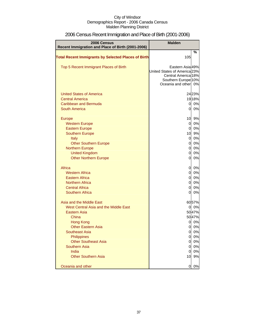| <b>2006 Census</b><br>Recent Immigration and Place of Birth (2001-2006) | <b>Malden</b>                                       |          |
|-------------------------------------------------------------------------|-----------------------------------------------------|----------|
|                                                                         |                                                     | %        |
| <b>Total Recent Immigrants by Selected Places of Birth</b>              | 105                                                 |          |
| Top 5 Recent Immigrant Places of Birth                                  | Eastern Asia 49%                                    |          |
|                                                                         | United States of America <sub>23%</sub>             |          |
|                                                                         | <b>Central America 18%</b>                          |          |
|                                                                         | Southern Europe <sup>10%</sup><br>Oceania and other | 0%       |
|                                                                         |                                                     |          |
| <b>United States of America</b>                                         |                                                     | 2423%    |
| <b>Central America</b>                                                  |                                                     | 19 18%   |
| <b>Caribbean and Bermuda</b>                                            | $\overline{0}$                                      | 0%       |
| <b>South America</b>                                                    | $\overline{0}$                                      | 0%       |
|                                                                         |                                                     |          |
| <b>Europe</b>                                                           | 10                                                  | 9%       |
| <b>Western Europe</b>                                                   | $\overline{0}$                                      | 0%       |
| <b>Eastern Europe</b>                                                   | $\mathbf 0$                                         | 0%       |
| <b>Southern Europe</b>                                                  | 10                                                  | 9%<br>0% |
| Italy                                                                   | $\overline{0}$<br>$\mathbf 0$                       | 0%       |
| <b>Other Southern Europe</b><br><b>Northern Europe</b>                  | $\overline{0}$                                      | 0%       |
| <b>United Kingdom</b>                                                   | $\overline{0}$                                      | 0%       |
| <b>Other Northern Europe</b>                                            | $\overline{0}$                                      | 0%       |
|                                                                         |                                                     |          |
| Africa                                                                  | $\overline{0}$                                      | 0%       |
| <b>Western Africa</b>                                                   | $\overline{0}$                                      | 0%       |
| Eastern Africa                                                          | $\overline{0}$                                      | 0%       |
| <b>Northern Africa</b>                                                  | $\overline{0}$                                      | 0%       |
| <b>Central Africa</b>                                                   | $\overline{0}$                                      | 0%       |
| <b>Southern Africa</b>                                                  | $\overline{0}$                                      | 0%       |
| Asia and the Middle East                                                |                                                     | 6057%    |
| West Central Asia and the Middle East                                   | $\overline{0}$                                      | 0%       |
| Eastern Asia                                                            |                                                     | 5047%    |
| China                                                                   |                                                     | 5047%    |
| <b>Hong Kong</b>                                                        | 0                                                   | 0%       |
| <b>Other Eastern Asia</b>                                               | $\overline{0}$                                      | 0%       |
| <b>Southeast Asia</b>                                                   | $\overline{0}$                                      | 0%       |
| Philippines                                                             | $\overline{0}$                                      | 0%       |
| <b>Other Southeast Asia</b>                                             | $\overline{0}$                                      | 0%       |
| <b>Southern Asia</b>                                                    | $\overline{0}$                                      | 0%       |
| India                                                                   | 0                                                   | 0%       |
| <b>Other Southern Asia</b>                                              | 10                                                  | 9%       |
| Oceania and other                                                       | 0                                                   | 0%       |
|                                                                         |                                                     |          |

# 2006 Census Recent Immigration and Place of Birth (2001-2006)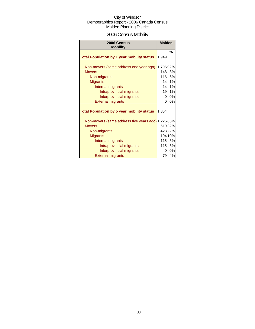# 2006 Census Mobility

| 2006 Census<br><b>Mobility</b>                     | <b>Malden</b> |         |
|----------------------------------------------------|---------------|---------|
| <b>Total Population by 1 year mobility status</b>  | 1,949         | %       |
| Non-movers (same address one year ago)             | 1,796 92%     |         |
| <b>Movers</b>                                      | 148           | 8%      |
| Non-migrants                                       | 116           | 6%      |
| <b>Migrants</b>                                    | 14            | 1%      |
| Internal migrants                                  | 14            | 1%      |
| Intraprovincial migrants                           | 19            | 1%      |
| Interprovincial migrants                           | 0             | 0%      |
| <b>External migrants</b>                           | $\Omega$      | 0%      |
| <b>Total Population by 5 year mobility status</b>  | 1,854         |         |
| Non-movers (same address five years ago) 1,225 63% |               |         |
| <b>Movers</b>                                      |               | 61932%  |
| Non-migrants                                       |               | 42322%  |
| <b>Migrants</b>                                    |               | 194 10% |
| Internal migrants                                  |               | 115 6%  |
| Intraprovincial migrants                           | <b>115</b>    | 6%      |
| Interprovincial migrants                           | 01            | 0%      |
| <b>External migrants</b>                           | 79            | 4%      |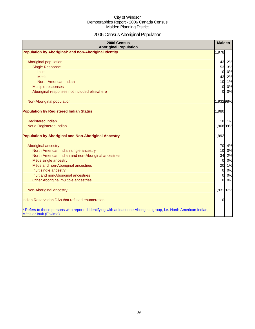# 2006 Census Aboriginal Population

| 2006 Census<br><b>Aboriginal Population</b>                                                                                                    | <b>Malden</b>  |       |
|------------------------------------------------------------------------------------------------------------------------------------------------|----------------|-------|
| Population by Aboriginal* and non-Aboriginal Identity                                                                                          | 1,978          |       |
|                                                                                                                                                |                |       |
| Aboriginal population                                                                                                                          | 43             | 2%    |
| <b>Single Response</b>                                                                                                                         | 53             | 3%    |
| <b>Inuit</b>                                                                                                                                   | $\overline{O}$ | 0%    |
| <b>Metis</b>                                                                                                                                   | 43             | 2%    |
| North American Indian                                                                                                                          |                | 10 1% |
| Multiple responses                                                                                                                             | $\overline{0}$ | 0%    |
| Aboriginal responses not included elsewhere                                                                                                    | $\Omega$       | 0%    |
| Non-Aboriginal population                                                                                                                      | 1,93298%       |       |
| <b>Population by Registered Indian Status</b>                                                                                                  | 1,980          |       |
| <b>Registered Indian</b>                                                                                                                       |                | 10 1% |
| Not a Registered Indian                                                                                                                        | 1,96899%       |       |
| <b>Population by Aboriginal and Non-Aboriginal Ancestry</b>                                                                                    | 1,992          |       |
| Aboriginal ancestry                                                                                                                            | 70             | 4%    |
| North American Indian single ancestry                                                                                                          | 10             | 0%    |
| North American Indian and non-Aboriginal ancestries                                                                                            | 34             | 2%    |
| Métis single ancestry                                                                                                                          | $\overline{O}$ | 0%    |
| Métis and non-Aboriginal ancestries                                                                                                            | 20             | 1%    |
| Inuit single ancestry                                                                                                                          | $\overline{0}$ | 0%    |
| Inuit and non-Aboriginal ancestries                                                                                                            | $\mathbf{0}$   | 0%    |
| Other Aboriginal multiple ancestries                                                                                                           | <sub>0</sub>   | 0%    |
| Non-Aboriginal ancestry                                                                                                                        | 1,93197%       |       |
| Indian Reservation DAs that refused enumeration                                                                                                | $\Omega$       |       |
| * Refers to those persons who reported identifying with at least one Aboriginal group, i.e. North American Indian,<br>Métis or Inuit (Eskimo). |                |       |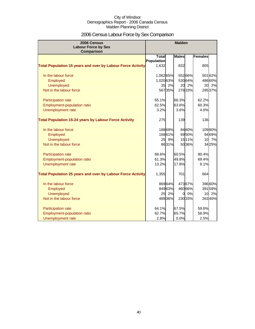# 2006 Census Labour Force by Sex Comparison

| 2006 Census<br><b>Labour Force by Sex</b><br><b>Comparison</b>     |              |         | <b>Malden</b> |         |                |        |
|--------------------------------------------------------------------|--------------|---------|---------------|---------|----------------|--------|
|                                                                    | <b>Total</b> |         | <b>Males</b>  |         | <b>Females</b> |        |
|                                                                    | Population   |         |               |         |                |        |
| <b>Total Population 15 years and over by Labour Force Activity</b> | 1,632        |         | 832           |         | 805            |        |
| In the labour force                                                | 1,06265%     |         |               | 552 66% |                | 50162% |
| Employed                                                           | 1,020 63%    |         |               | 53064%  |                | 48660% |
| Unemployed                                                         | 35           | 2%      |               | 20 2%   | 20             | 2%     |
| Not in the labour force                                            |              | 56735%  |               | 27833%  |                | 29537% |
| Participation rate                                                 | 65.1%        |         | 66.3%         |         | 62.2%          |        |
| Employment-population ratio                                        | 62.5%        |         | 63.6%         |         | 60.3%          |        |
| Unemployment rate                                                  | 3.2%         |         | 3.6%          |         | 4.0%           |        |
| <b>Total Population 15-24 years by Labour Force Activity</b>       | 275          |         | 139           |         | 136            |        |
| In the labour force                                                |              | 18869%  |               | 8460%   |                | 10980% |
| Employed                                                           |              | 16861%  |               | 6950%   |                | 9469%  |
| <b>Unemployed</b>                                                  | 25           | 9%      |               | 1511%   |                | 10 7%  |
| Not in the labour force                                            |              | 8631%   |               | 5036%   |                | 3425%  |
| Participation rate                                                 | 68.6%        |         | 60.5%         |         | 80.4%          |        |
| Employment-population ratio                                        | 61.3%        |         | 49.8%         |         | 69.4%          |        |
| Unemployment rate                                                  | 13.2%        |         | 17.8%         |         | 9.1%           |        |
| <b>Total Population 25 years and over by Labour Force Activity</b> | 1,355        |         | 701           |         | 664            |        |
| In the labour force                                                |              | 86964%  |               | 47367%  |                | 39660% |
| Employed                                                           |              | 84963%  |               | 460 66% |                | 39159% |
| <b>Unemployed</b>                                                  | 25           | 2%      | 0l            | 0%      | 10             | 2%     |
| Not in the labour force                                            |              | 489 36% |               | 230 33% |                | 26340% |
| Participation rate                                                 | 64.1%        |         | 67.5%         |         | 59.6%          |        |
| <b>Employment-population ratio</b>                                 | 62.7%        |         | 65.7%         |         | 58.9%          |        |
| Unemployment rate                                                  | 2.8%         |         | 0.0%          |         | 2.5%           |        |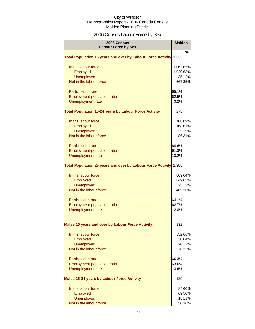# 2006 Census Labour Force by Sex

| 2006 Census<br><b>Labour Force by Sex</b>                          | <b>Malden</b> |         |
|--------------------------------------------------------------------|---------------|---------|
| <b>Total Population 15 years and over by Labour Force Activity</b> | 1,632         | %       |
| In the labour force                                                | 1,062 65%     |         |
| Employed                                                           | 1,02063%      |         |
| <b>Unemployed</b>                                                  |               | 35 2%   |
| Not in the labour force                                            |               | 56735%  |
| Participation rate                                                 | 65.1%         |         |
| <b>Employment-population ratio</b>                                 | 62.5%         |         |
| Unemployment rate                                                  | 3.2%          |         |
| <b>Total Population 15-24 years by Labour Force Activity</b>       | 275           |         |
| In the labour force                                                |               | 18869%  |
| Employed                                                           |               | 16861%  |
| <b>Unemployed</b>                                                  |               | 25 9%   |
| Not in the labour force                                            |               | 8631%   |
| Participation rate                                                 | 68.6%         |         |
| <b>Employment-population ratio</b>                                 | 61.3%         |         |
| Unemployment rate                                                  | 13.2%         |         |
| <b>Total Population 25 years and over by Labour Force Activity</b> | 1,355         |         |
| In the labour force                                                |               | 86964%  |
| Employed                                                           |               | 84963%  |
| <b>Unemployed</b>                                                  |               | 25 2%   |
| Not in the labour force                                            |               | 48936%  |
| <b>Participation rate</b>                                          | 64.1%         |         |
| <b>Employment-population ratio</b>                                 | 62.7%         |         |
| Unemployment rate                                                  | 2.8%          |         |
| Males 15 years and over by Labour Force Activity                   | 832           |         |
| In the labour force                                                |               | 552 66% |
| <b>Employed</b>                                                    |               | 53064%  |
| <b>Unemployed</b>                                                  |               | 20 2%   |
| Not in the labour force                                            |               | 27833%  |
| Participation rate                                                 | 66.3%         |         |
| Employment-population ratio                                        | 63.6%         |         |
| Unemployment rate                                                  | 3.6%          |         |
| <b>Males 15-24 years by Labour Force Activity</b>                  | 139           |         |
| In the labour force                                                |               | 8460%   |
| Employed                                                           |               | 6950%   |
| <b>Unemployed</b>                                                  |               | 1511%   |
| Not in the labour force                                            |               | 50 36%  |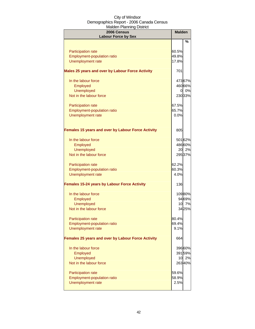| maluuti namiling District<br>2006 Census            | <b>Malden</b> |         |
|-----------------------------------------------------|---------------|---------|
| <b>Labour Force by Sex</b>                          |               |         |
|                                                     |               | $\%$    |
| <b>Participation rate</b>                           | 60.5%         |         |
| <b>Employment-population ratio</b>                  | 49.8%         |         |
| Unemployment rate                                   | 17.8%         |         |
| Males 25 years and over by Labour Force Activity    | 701           |         |
| In the labour force                                 |               | 47367%  |
| Employed                                            |               | 46066%  |
| <b>Unemployed</b>                                   |               | 0 0%    |
| Not in the labour force                             |               | 230 33% |
| <b>Participation rate</b>                           | 67.5%         |         |
| Employment-population ratio                         | 65.7%         |         |
| <b>Unemployment rate</b>                            | 0.0%          |         |
|                                                     |               |         |
| Females 15 years and over by Labour Force Activity  | 805           |         |
| In the labour force                                 |               | 501 62% |
| Employed                                            |               | 48660%  |
| <b>Unemployed</b>                                   |               | 20 2%   |
| Not in the labour force                             |               | 295 37% |
| Participation rate                                  | 62.2%         |         |
| <b>Employment-population ratio</b>                  | 60.3%         |         |
| Unemployment rate                                   | 4.0%          |         |
| <b>Females 15-24 years by Labour Force Activity</b> | 136           |         |
| In the labour force                                 |               | 10980%  |
| Employed                                            |               | 9469%   |
| <b>Unemployed</b>                                   |               | 10 7%   |
| Not in the labour force                             |               | 3425%   |
| <b>Participation rate</b>                           | 80.4%         |         |
| <b>Employment-population ratio</b>                  | 69.4%         |         |
| Unemployment rate                                   | 9.1%          |         |
| Females 25 years and over by Labour Force Activity  | 664           |         |
| In the labour force                                 |               | 39660%  |
| Employed                                            |               | 39159%  |
| <b>Unemployed</b>                                   | 10            | 2%      |
| Not in the labour force                             |               | 26340%  |
| <b>Participation rate</b>                           | 59.6%         |         |
| <b>Employment-population ratio</b>                  | 58.9%         |         |
| Unemployment rate                                   | 2.5%          |         |
|                                                     |               |         |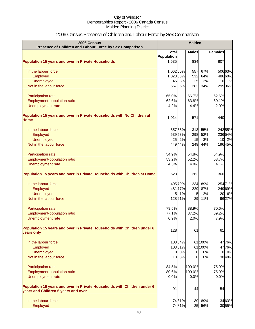# 2006 Census Presence of Children and Labour Force by Sex Comparison

| 2006 Census<br>Presence of Children and Labour Force by Sex Comparison                                          |              |         | <b>Malden</b>  |         |                      |
|-----------------------------------------------------------------------------------------------------------------|--------------|---------|----------------|---------|----------------------|
|                                                                                                                 | <b>Total</b> |         | <b>Males</b>   |         | Females              |
|                                                                                                                 | Population   |         |                |         |                      |
| <b>Population 15 years and over in Private Households</b>                                                       | 1,635        |         | 834            |         | 807                  |
| In the labour force                                                                                             | 1,06265%     |         | 557            | 67%     | 50663%               |
| Employed                                                                                                        | 1,023 63%    |         | 532            | 64%     | 486 60%              |
| Unemployed                                                                                                      | 45           | 3%      | 25             | 3%      | 10 1%                |
| Not in the labour force                                                                                         |              | 56735%  | 283            | 34%     | 295 36%              |
| Participation rate                                                                                              | 65.0%        |         | 66.7%          |         | 62.6%                |
| Employment-population ratio                                                                                     | 62.6%        |         | 63.8%          |         | 60.1%                |
| Unemployment rate                                                                                               | 4.2%         |         | 4.4%           |         | 2.0%                 |
| Population 15 years and over in Private Households with No Children at                                          |              |         |                |         |                      |
| Home                                                                                                            | 1,014        |         | 571            |         | 440                  |
| In the labour force                                                                                             |              | 55755%  | 313            | 55%     | 24255%               |
| Employed                                                                                                        |              | 53953%  | 298            | 52%     | 23654%               |
| <b>Unemployed</b>                                                                                               | 25           | 2%      | 15             | 3%      | 10 2%                |
| Not in the labour force                                                                                         |              | 44944%  | 249            | 44%     | 19645%               |
| Participation rate                                                                                              | 54.9%        |         | 54.8%          |         | 54.9%                |
| Employment-population ratio                                                                                     | 53.2%        |         | 52.2%          |         | 53.7%                |
| Unemployment rate                                                                                               | 4.5%         |         | 4.8%           |         | 4.1%                 |
| Population 15 years and over in Private Households with Children at Home                                        | 623          |         | 263            |         | 360                  |
| In the labour force                                                                                             |              | 49579%  | 234            | 89%     | 25471%               |
| Employed                                                                                                        |              | 481 77% | 229            | 87%     | 249 69%              |
| <b>Unemployed</b>                                                                                               | 5            | 1%      | 5 <sub>l</sub> | 2%      | 20 6%                |
| Not in the labour force                                                                                         |              | 12821%  | 29             | 11%     | 9627%                |
| Participation rate                                                                                              | 79.5%        |         | 88.9%          |         | 70.6%                |
| Employment-population ratio                                                                                     | 77.1%        |         | 87.2%          |         | 69.2%                |
| Unemployment rate                                                                                               | 0.9%         |         | 2.0%           |         | 7.9%                 |
| Population 15 years and over in Private Households with Children under 6<br>years only                          | 128          |         | 61             |         | 61                   |
| In the labour force                                                                                             |              | 10884%  |                | 61 100% | 4776%                |
| Employed                                                                                                        |              | 10381%  |                | 61 100% | 4776%                |
| Unemployed                                                                                                      | 01           | 0%      | $\overline{0}$ | 0%      | 0%<br>$\overline{0}$ |
| Not in the labour force                                                                                         | 10           | 8%      | $\Omega$       | 0%      | 3048%                |
|                                                                                                                 |              |         |                |         |                      |
| Participation rate                                                                                              | 84.5%        |         | 100.0%         |         | 75.9%                |
| Employment-population ratio                                                                                     | 80.6%        |         | 100.0%         |         | 75.9%                |
| Unemployment rate                                                                                               | 0.0%         |         | 0.0%           |         | 0.0%                 |
| Population 15 years and over in Private Households with Children under 6<br>years and Children 6 years and over | 91           |         | 44             |         | 54                   |
| In the labour force                                                                                             |              | 7481%   |                | 39 89%  | 3463%                |
| Employed                                                                                                        |              | 7481%   |                | 25 56%  | 3055%                |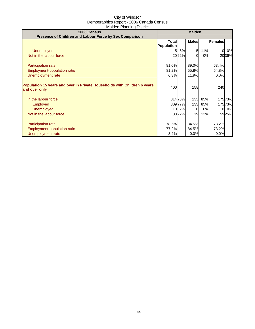| 2006 Census                                                              | <b>Malden</b> |         |              |     |              |        |
|--------------------------------------------------------------------------|---------------|---------|--------------|-----|--------------|--------|
| Presence of Children and Labour Force by Sex Comparison                  | <b>Total</b>  |         | <b>Males</b> |     | Females      |        |
|                                                                          | Population    |         |              |     |              |        |
| Unemployed                                                               |               | 5%      | 5            | 11% | $\mathbf{0}$ | 0%     |
| Not in the labour force                                                  |               | 2022%   | $\Omega$     | 0%  |              | 2036%  |
|                                                                          |               |         |              |     |              |        |
| Participation rate                                                       | 81.0%         |         | 89.0%        |     | 63.4%        |        |
| Employment-population ratio                                              | 81.2%         |         | 55.8%        |     | 54.8%        |        |
| Unemployment rate                                                        | 6.3%          |         | 11.9%        |     | 0.0%         |        |
|                                                                          |               |         |              |     |              |        |
| Population 15 years and over in Private Households with Children 6 years | 400           |         | 158          |     | 240          |        |
| and over only                                                            |               |         |              |     |              |        |
|                                                                          |               |         |              |     |              |        |
| In the labour force                                                      |               | 314 78% | 133          | 85% |              | 17573% |
| Employed                                                                 |               | 309 77% | 133          | 85% |              | 17573% |
| <b>Unemployed</b>                                                        | 10            | 2%      | 0            | 0%  | 0            | 0%     |
| Not in the labour force                                                  |               | 8822%   | 19           | 12% |              | 5925%  |
|                                                                          |               |         |              |     |              |        |
| <b>Participation rate</b>                                                | 78.5%         |         | 84.5%        |     | 73.2%        |        |
| Employment-population ratio                                              | 77.2%         |         | 84.5%        |     | 73.2%        |        |
| Unemployment rate                                                        | 3.2%          |         | 0.0%         |     | 0.0%         |        |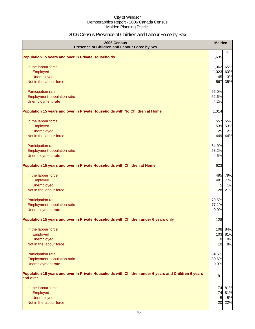# 2006 Census Presence of Children and Labour Force by Sex

| 2006 Census<br>Presence of Children and Labour Force by Sex                                                     | <b>Malden</b>         |         |
|-----------------------------------------------------------------------------------------------------------------|-----------------------|---------|
| <b>Population 15 years and over in Private Households</b>                                                       | 1,635                 | %       |
|                                                                                                                 |                       |         |
| In the labour force                                                                                             | 1,062                 | 65%     |
| Employed                                                                                                        | 1,023                 | 63%     |
| Unemployed                                                                                                      | 45                    | 3%      |
| Not in the labour force                                                                                         | 567                   | 35%     |
| Participation rate                                                                                              | 65.0%                 |         |
| Employment-population ratio                                                                                     | 62.6%                 |         |
| Unemployment rate                                                                                               | 4.2%                  |         |
| Population 15 years and over in Private Households with No Children at Home                                     | 1,014                 |         |
| In the labour force                                                                                             | 557                   | 55%     |
| Employed                                                                                                        | 539                   | 53%     |
| Unemployed                                                                                                      | 25                    | 2%      |
| Not in the labour force                                                                                         | 449                   | 44%     |
| Participation rate                                                                                              | 54.9%                 |         |
| Employment-population ratio                                                                                     | 53.2%                 |         |
| Unemployment rate                                                                                               | 4.5%                  |         |
| Population 15 years and over in Private Households with Children at Home                                        | 623                   |         |
| In the labour force                                                                                             | 495                   | 79%     |
| Employed                                                                                                        | 481                   | 77%     |
| Unemployed                                                                                                      | 5                     | 1%      |
| Not in the labour force                                                                                         | 128                   | 21%     |
| Participation rate                                                                                              | 79.5%                 |         |
| Employment-population ratio                                                                                     | 77.1%                 |         |
| Unemployment rate                                                                                               | 0.9%                  |         |
| Population 15 years and over in Private Households with Children under 6 years only                             | 128                   |         |
| In the labour force                                                                                             |                       | 108 84% |
| Employed                                                                                                        | 103                   | 81%     |
| Unemployed                                                                                                      | $\overline{0}$        | 0%      |
| Not in the labour force                                                                                         | 10                    | 8%      |
| Participation rate                                                                                              | 84.5%                 |         |
| Employment-population ratio                                                                                     | 80.6%                 |         |
| Unemployment rate                                                                                               | 0.0%                  |         |
| Population 15 years and over in Private Households with Children under 6 years and Children 6 years<br>and over | 91                    |         |
|                                                                                                                 |                       |         |
| In the labour force                                                                                             | 74                    | 81%     |
| Employed                                                                                                        | 74                    | 81%     |
| Unemployed<br>Not in the labour force                                                                           | $5\overline{a}$<br>20 | 5%      |
|                                                                                                                 |                       | 22%     |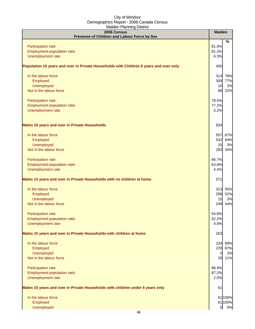| $    -$<br>2006 Census<br>Presence of Children and Labour Force by Sex                 | <b>Malden</b>  |         |
|----------------------------------------------------------------------------------------|----------------|---------|
|                                                                                        |                | %       |
| Participation rate                                                                     | 81.0%          |         |
| Employment-population ratio                                                            | 81.2%          |         |
| Unemployment rate                                                                      | 6.3%           |         |
| Population 15 years and over in Private Households with Children 6 years and over only | 400            |         |
| In the labour force                                                                    | 314            | 78%     |
| Employed                                                                               | 309            | 77%     |
| Unemployed                                                                             | 10             | 2%      |
| Not in the labour force                                                                | 88             | 22%     |
| Participation rate                                                                     | 78.5%          |         |
| Employment-population ratio                                                            | 77.2%          |         |
| Unemployment rate                                                                      | 3.2%           |         |
| <b>Males 15 years and over in Private Households</b>                                   | 834            |         |
| In the labour force                                                                    | 557            | 67%     |
| Employed                                                                               | 532            | 64%     |
| Unemployed                                                                             | 25             | 3%      |
| Not in the labour force                                                                | 283            | 34%     |
| Participation rate                                                                     | 66.7%          |         |
| Employment-population ratio                                                            | 63.8%          |         |
| Unemployment rate                                                                      | 4.4%           |         |
| Males 15 years and over in Private Households with no children at home                 | 571            |         |
| In the labour force                                                                    | 313            | 55%     |
| Employed                                                                               | 298            | 52%     |
| <b>Unemployed</b>                                                                      | 15             | 3%      |
| Not in the labour force                                                                | 249            | 44%     |
| Participation rate                                                                     | 54.8%          |         |
| Employment-population ratio                                                            | 52.2%          |         |
| Unemployment rate                                                                      | 4.8%           |         |
| Males 15 years and over in Private Households with children at home                    | 263            |         |
| In the labour force                                                                    | 234            | 89%     |
| Employed                                                                               | 229            | 87%     |
| Unemployed                                                                             | 5              | 2%      |
| Not in the labour force                                                                | 29             | 11%     |
| Participation rate                                                                     | 88.9%          |         |
| Employment-population ratio                                                            | 87.2%          |         |
| Unemployment rate                                                                      | 2.0%           |         |
| Males 15 years and over in Private Households with children under 6 years only         | 61             |         |
| In the labour force                                                                    |                | 61 100% |
| Employed                                                                               |                | 61 100% |
| <b>Unemployed</b>                                                                      | $\overline{0}$ | 0%      |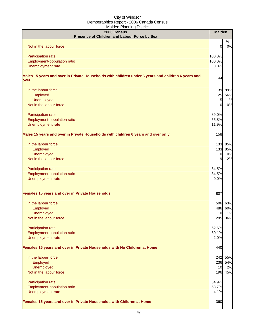| 2006 Census                                                                                                | <b>Malden</b>  |         |
|------------------------------------------------------------------------------------------------------------|----------------|---------|
| Presence of Children and Labour Force by Sex                                                               |                | $\%$    |
| Not in the labour force                                                                                    | 0              | 0%      |
| Participation rate                                                                                         | 100.0%         |         |
| Employment-population ratio                                                                                | 100.0%         |         |
| Unemployment rate                                                                                          | 0.0%           |         |
| Males 15 years and over in Private Households with children under 6 years and children 6 years and<br>over | 44             |         |
| In the labour force                                                                                        | 39             | 89%     |
| Employed                                                                                                   | 25             | 56%     |
| Unemployed                                                                                                 | 5              | 11%     |
| Not in the labour force                                                                                    | O              | 0%      |
| Participation rate                                                                                         | 89.0%          |         |
| Employment-population ratio                                                                                | 55.8%          |         |
| Unemployment rate                                                                                          | 11.9%          |         |
| Males 15 years and over in Private Households with children 6 years and over only                          | 158            |         |
| In the labour force                                                                                        | 133            | 85%     |
| Employed                                                                                                   | 133            | 85%     |
| <b>Unemployed</b>                                                                                          | $\overline{0}$ | 0%      |
| Not in the labour force                                                                                    | 19             | 12%     |
| Participation rate                                                                                         | 84.5%          |         |
| Employment-population ratio                                                                                | 84.5%          |         |
| Unemployment rate                                                                                          | 0.0%           |         |
| Females 15 years and over in Private Households                                                            | 807            |         |
| In the labour force                                                                                        | 506            | 63%     |
| Employed                                                                                                   | 486            | 60%     |
| <b>Unemployed</b>                                                                                          | 10             | 1%      |
| Not in the labour force                                                                                    | 295            | 36%     |
| Participation rate                                                                                         | 62.6%          |         |
| Employment-population ratio                                                                                | 60.1%          |         |
| Unemployment rate                                                                                          | 2.0%           |         |
| Females 15 years and over in Private Households with No Children at Home                                   | 440            |         |
| In the labour force                                                                                        | 242            | 55%     |
| Employed                                                                                                   |                | 236 54% |
| <b>Unemployed</b>                                                                                          | 10             | 2%      |
| Not in the labour force                                                                                    | 196            | 45%     |
| Participation rate                                                                                         | 54.9%          |         |
| Employment-population ratio                                                                                | 53.7%          |         |
| Unemployment rate                                                                                          | 4.1%           |         |
| Females 15 years and over in Private Households with Children at Home                                      | 360            |         |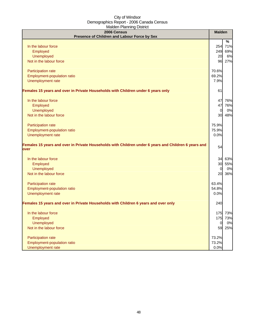| $-0.000$<br>2006 Census                                                                                      | <b>Malden</b>   |         |
|--------------------------------------------------------------------------------------------------------------|-----------------|---------|
| Presence of Children and Labour Force by Sex                                                                 |                 |         |
|                                                                                                              |                 | $\%$    |
| In the labour force                                                                                          | <b>254</b>      | 71%     |
| Employed                                                                                                     | 249             | 69%     |
| <b>Unemployed</b>                                                                                            | <b>20</b>       | 6%      |
| Not in the labour force                                                                                      | 96              | 27%     |
| Participation rate                                                                                           | 70.6%           |         |
| Employment-population ratio                                                                                  | 69.2%           |         |
| Unemployment rate                                                                                            | 7.9%            |         |
| Females 15 years and over in Private Households with Children under 6 years only                             | 61              |         |
| In the labour force                                                                                          | 47              | 76%     |
| Employed                                                                                                     | 47              | 76%     |
| <b>Unemployed</b>                                                                                            | $\overline{0}$  | 0%      |
| Not in the labour force                                                                                      | 30 <sup>1</sup> | 48%     |
| Participation rate                                                                                           | 75.9%           |         |
| Employment-population ratio                                                                                  | 75.9%           |         |
| Unemployment rate                                                                                            | 0.0%            |         |
| Females 15 years and over in Private Households with Children under 6 years and Children 6 years and<br>over | 54              |         |
| In the labour force                                                                                          | 34              | 63%     |
| Employed                                                                                                     | 30              | 55%     |
| <b>Unemployed</b>                                                                                            | <sub>0</sub>    | 0%      |
| Not in the labour force                                                                                      | 20              | 36%     |
| Participation rate                                                                                           | 63.4%           |         |
| Employment-population ratio                                                                                  | 54.8%           |         |
| Unemployment rate                                                                                            | 0.0%            |         |
| Females 15 years and over in Private Households with Children 6 years and over only                          | 240             |         |
| In the labour force                                                                                          |                 | 175 73% |
| Employed                                                                                                     | 175             | 73%     |
| <b>Unemployed</b>                                                                                            | $\overline{0}$  | 0%      |
| Not in the labour force                                                                                      | 59              | 25%     |
| Participation rate                                                                                           | 73.2%           |         |
| Employment-population ratio                                                                                  | 73.2%           |         |
| Unemployment rate                                                                                            | 0.0%            |         |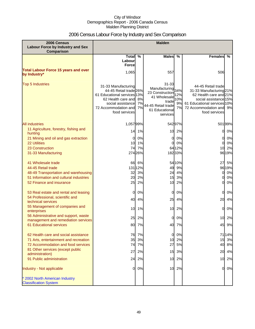# 2006 Census Labour Force by Industry and Sex Comparison

| 2006 Census<br>Labour Force by Industry and Sex                             | <b>Malden</b>                                                                                                                                                    |                |                                                                                                                        |                              |                                                                                                                                                                             |          |
|-----------------------------------------------------------------------------|------------------------------------------------------------------------------------------------------------------------------------------------------------------|----------------|------------------------------------------------------------------------------------------------------------------------|------------------------------|-----------------------------------------------------------------------------------------------------------------------------------------------------------------------------|----------|
| Comparison                                                                  |                                                                                                                                                                  |                |                                                                                                                        |                              |                                                                                                                                                                             |          |
|                                                                             | Total %<br>Labour<br><b>Force</b>                                                                                                                                |                | <b>Males</b>                                                                                                           | $\%$                         | <b>Females</b><br>%                                                                                                                                                         |          |
| <b>Total Labour Force 15 years and over</b><br>by Industry*                 | 1,065                                                                                                                                                            |                | 557                                                                                                                    |                              | 506                                                                                                                                                                         |          |
| <b>Top 5 Industries</b>                                                     | 31-33 Manufacturing<br>44-45 Retail trade 26%<br>61 Educational services 13%<br>62 Health care and<br>social assistance<br>72 Accommodation and<br>food services | 8%<br>7%<br>7% | 31-33<br>Manufacturing<br>23 Construction<br>41 Wholesale<br>trade<br>44-45 Retail trade<br>61 Educational<br>services | 34%<br>2%<br>10%<br>9%<br>7% | 44-45 Retail trade<br>31-33 Manufacturing 21%<br>62 Health care and 21%<br>social assistance 15%<br>61 Educational services 10%<br>72 Accommodation and 9%<br>food services |          |
| <b>All industries</b>                                                       | 1,05799%                                                                                                                                                         |                |                                                                                                                        | 542 97%                      | 501 99%                                                                                                                                                                     |          |
| 11 Agriculture, forestry, fishing and<br>hunting                            |                                                                                                                                                                  | 14 1%          |                                                                                                                        | 10 2%                        | 0                                                                                                                                                                           | 0%       |
| 21 Mining and oil and gas extraction                                        | 0                                                                                                                                                                | 0%             | 0                                                                                                                      | 0%                           | 0                                                                                                                                                                           | 0%       |
| <b>22 Utilities</b><br>23 Construction                                      | 10<br>74                                                                                                                                                         | 1%             | 0                                                                                                                      | 0%                           | 0                                                                                                                                                                           | 0%       |
| 31-33 Manufacturing                                                         |                                                                                                                                                                  | 7%<br>274 26%  |                                                                                                                        | 64 12%<br>18233%             | 10<br>96 19%                                                                                                                                                                | 2%       |
| 41 Wholesale trade                                                          | 66                                                                                                                                                               | 6%             |                                                                                                                        | 54 10%                       | 27                                                                                                                                                                          | 5%       |
| 44-45 Retail trade                                                          |                                                                                                                                                                  | 131 12%        | 49                                                                                                                     | 9%                           | 9619%                                                                                                                                                                       |          |
| 48-49 Transportation and warehousing                                        | 32                                                                                                                                                               | 3%             | 24                                                                                                                     | 4%                           | 0                                                                                                                                                                           | 0%       |
| 51 Information and cultural industries<br>52 Finance and insurance          | 20<br>25                                                                                                                                                         | 2%<br>2%       | 15<br>10                                                                                                               | 3%<br>2%                     | 0<br>0                                                                                                                                                                      | 0%<br>0% |
| 53 Real estate and rental and leasing<br>54 Professional, scientific and    | $\overline{0}$                                                                                                                                                   | 0%             | 0                                                                                                                      | 0%                           | 0                                                                                                                                                                           | 0%       |
| technical services                                                          | 40                                                                                                                                                               | 4%             | 25                                                                                                                     | 4%                           | 20                                                                                                                                                                          | 4%       |
| 55 Management of companies and<br>enterprises                               | 10                                                                                                                                                               | 1%             | 10 <sup>1</sup>                                                                                                        | 2%                           | 0                                                                                                                                                                           | 0%       |
| 56 Administrative and support, waste<br>management and remediation services | 25                                                                                                                                                               | 2%             | 0                                                                                                                      | 0%                           | 10                                                                                                                                                                          | 2%       |
| 61 Educational services                                                     | 80                                                                                                                                                               | 7%             | 40                                                                                                                     | 7%                           | 45                                                                                                                                                                          | 9%       |
| 62 Health care and social assistance                                        | 76                                                                                                                                                               | 7%             | $\overline{0}$                                                                                                         | 0%                           | 7114%                                                                                                                                                                       |          |
| 71 Arts, entertainment and recreation                                       | 35                                                                                                                                                               | 3%             | 10                                                                                                                     | 2%                           | 15 3%                                                                                                                                                                       |          |
| 72 Accommodation and food services                                          | 74                                                                                                                                                               | 7%             | 27                                                                                                                     | 5%                           | 40                                                                                                                                                                          | 8%       |
| 81 Other services (except public<br>administration)                         | 27                                                                                                                                                               | 2%             | 15                                                                                                                     | 3%                           | 20                                                                                                                                                                          | 4%       |
| 91 Public administration                                                    | 24                                                                                                                                                               | 2%             | 10                                                                                                                     | 2%                           | 10                                                                                                                                                                          | 2%       |
| Industry - Not applicable                                                   | 0                                                                                                                                                                | 0%             |                                                                                                                        | 10 2%                        | 0                                                                                                                                                                           | 0%       |
| * 2002 North American Industry<br><b>Classification System</b>              |                                                                                                                                                                  |                |                                                                                                                        |                              |                                                                                                                                                                             |          |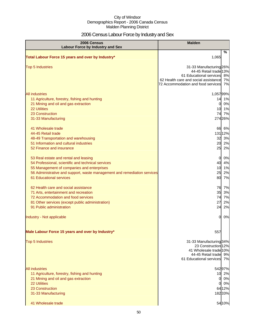# 2006 Census Labour Force by Industry and Sex

| 2006 Census<br><b>Labour Force by Industry and Sex</b>                                                                                                                                                                                                  | <b>Malden</b>                                                                                                                                              |                      |
|---------------------------------------------------------------------------------------------------------------------------------------------------------------------------------------------------------------------------------------------------------|------------------------------------------------------------------------------------------------------------------------------------------------------------|----------------------|
| Total Labour Force 15 years and over by Industry*                                                                                                                                                                                                       | 1,065                                                                                                                                                      | $\%$                 |
| <b>Top 5 Industries</b>                                                                                                                                                                                                                                 | 31-33 Manufacturing 26%<br>44-45 Retail trade 13%<br>61 Educational services<br>62 Health care and social assistance<br>72 Accommodation and food services | 8%<br>7%<br>7%       |
| <b>All industries</b><br>11 Agriculture, forestry, fishing and hunting<br>21 Mining and oil and gas extraction<br>22 Utilities<br>23 Construction<br>31-33 Manufacturing                                                                                | 1,05799%<br>14<br>$\overline{0}$<br>10<br>74<br>274 26%                                                                                                    | 1%<br>0%<br>1%<br>7% |
| 41 Wholesale trade<br>44-45 Retail trade<br>48-49 Transportation and warehousing<br>51 Information and cultural industries<br>52 Finance and insurance                                                                                                  | 66 6%<br>131 12%<br>32<br>20 2%<br>25                                                                                                                      | 3%<br>2%             |
| 53 Real estate and rental and leasing<br>54 Professional, scientific and technical services<br>55 Management of companies and enterprises<br>56 Administrative and support, waste management and remediation services<br><b>61 Educational services</b> | 0<br>40 4%<br>10<br>25<br>80                                                                                                                               | 0%<br>1%<br>2%<br>7% |
| 62 Health care and social assistance<br>71 Arts, entertainment and recreation<br>72 Accommodation and food services<br>81 Other services (except public administration)<br>91 Public administration                                                     | 76 7%<br>35<br>74<br>27<br>24                                                                                                                              | 3%<br>7%<br>2%<br>2% |
| Industry - Not applicable                                                                                                                                                                                                                               | 0                                                                                                                                                          | 0%                   |
| Male Labour Force 15 years and over by Industry*                                                                                                                                                                                                        | 557                                                                                                                                                        |                      |
| <b>Top 5 Industries</b>                                                                                                                                                                                                                                 | 31-33 Manufacturing 34%<br>23 Construction 12%<br>41 Wholesale trade 10%<br>44-45 Retail trade 9%<br>61 Educational services                               | 7%                   |
| <b>All industries</b><br>11 Agriculture, forestry, fishing and hunting<br>21 Mining and oil and gas extraction<br><b>22 Utilities</b><br>23 Construction<br>31-33 Manufacturing<br>41 Wholesale trade                                                   | 54297%<br>10<br>0<br>0<br>6412%<br>18233%<br>54 10%                                                                                                        | 2%<br>0%<br>0%       |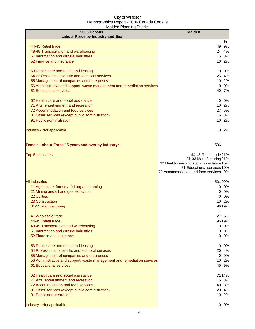| 2006 Census<br><b>Labour Force by Industry and Sex</b>                                                                                                                                                                                           | <b>Malden</b>                                                                                                                                                         |                                           |
|--------------------------------------------------------------------------------------------------------------------------------------------------------------------------------------------------------------------------------------------------|-----------------------------------------------------------------------------------------------------------------------------------------------------------------------|-------------------------------------------|
|                                                                                                                                                                                                                                                  |                                                                                                                                                                       | %                                         |
| 44-45 Retail trade<br>48-49 Transportation and warehousing<br>51 Information and cultural industries<br>52 Finance and insurance                                                                                                                 | 49<br>24 4%<br>15<br>10                                                                                                                                               | 9%<br>3%<br>2%                            |
| 53 Real estate and rental and leasing<br>54 Professional, scientific and technical services<br>55 Management of companies and enterprises<br>56 Administrative and support, waste management and remediation services<br>61 Educational services | $\overline{0}$<br>25<br>10<br>0<br>40                                                                                                                                 | 0%<br>4%<br>2%<br>0%<br>7%                |
| 62 Health care and social assistance<br>71 Arts, entertainment and recreation<br>72 Accommodation and food services<br>81 Other services (except public administration)<br>91 Public administration                                              | $\overline{0}$<br>10<br>27<br>15<br>10                                                                                                                                | 0%<br>2%<br>5%<br>3%<br>2%                |
| Industry - Not applicable                                                                                                                                                                                                                        | 10                                                                                                                                                                    | 2%                                        |
| Female Labour Force 15 years and over by Industry*                                                                                                                                                                                               | 506                                                                                                                                                                   |                                           |
| <b>Top 5 Industries</b>                                                                                                                                                                                                                          | 44-45 Retail trade 21%<br>31-33 Manufacturing 21%<br>62 Health care and social assistance 15%<br>61 Educational services 10%<br>72 Accommodation and food services 9% |                                           |
| <b>All industries</b><br>11 Agriculture, forestry, fishing and hunting<br>21 Mining and oil and gas extraction<br><b>22 Utilities</b><br>23 Construction<br>31-33 Manufacturing                                                                  | 50199%<br>0<br>10<br>9619%                                                                                                                                            | 0%<br>0%<br>0%<br>2%                      |
| 41 Wholesale trade<br>44-45 Retail trade<br>48-49 Transportation and warehousing<br>51 Information and cultural industries<br>52 Finance and insurance                                                                                           | 27<br>0<br>0<br>0                                                                                                                                                     | 5%<br>9619%<br>0%<br>0%<br>0%             |
| 53 Real estate and rental and leasing<br>54 Professional, scientific and technical services<br>55 Management of companies and enterprises<br>56 Administrative and support, waste management and remediation services<br>61 Educational services | $\overline{0}$<br>20<br>0<br>10                                                                                                                                       | 0%<br>4%<br>0%<br>2%<br>45 9%             |
| 62 Health care and social assistance<br>71 Arts, entertainment and recreation<br>72 Accommodation and food services<br>81 Other services (except public administration)<br>91 Public administration                                              |                                                                                                                                                                       | 7114%<br>15 3%<br>40 8%<br>20 4%<br>10 2% |
| Industry - Not applicable                                                                                                                                                                                                                        | 0                                                                                                                                                                     | 0%                                        |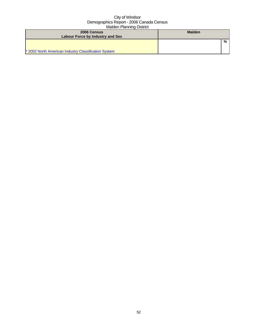| 2006 Census<br><b>Labour Force by Industry and Sex</b> | <b>Malden</b> |   |
|--------------------------------------------------------|---------------|---|
| * 2002 North American Industry Classification System   |               | % |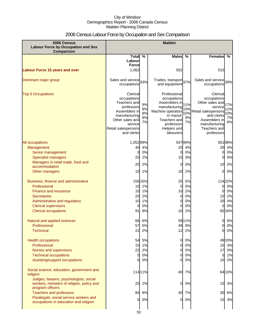# 2006 Census Labour Force by Occupation and Sex Comparison

| 2006 Census<br><b>Labour Force by Occupation and Sex</b><br><b>Comparison</b>   | <b>Malden</b>                                                                                                                                              |                            |                                                                                                                                                           |                               |                                                                                                                                                            |                               |
|---------------------------------------------------------------------------------|------------------------------------------------------------------------------------------------------------------------------------------------------------|----------------------------|-----------------------------------------------------------------------------------------------------------------------------------------------------------|-------------------------------|------------------------------------------------------------------------------------------------------------------------------------------------------------|-------------------------------|
|                                                                                 | <b>Total</b>                                                                                                                                               | $\%$                       | <b>Males</b>                                                                                                                                              | %                             | <b>Females</b>                                                                                                                                             | %                             |
|                                                                                 | Labour                                                                                                                                                     |                            |                                                                                                                                                           |                               |                                                                                                                                                            |                               |
|                                                                                 | <b>Force</b>                                                                                                                                               |                            |                                                                                                                                                           |                               |                                                                                                                                                            |                               |
| <b>Labour Force 15 years and over</b>                                           | 1,062                                                                                                                                                      |                            | 552                                                                                                                                                       |                               | 510                                                                                                                                                        |                               |
| Dominant major group                                                            | Sales and service 33%<br>occupations                                                                                                                       |                            | Trades, transport 37%<br>and equipment                                                                                                                    |                               | Sales and service 39%<br>occupations                                                                                                                       |                               |
| <b>Top 5 Occupations</b>                                                        | Clerical<br>occupations<br>Teachers and<br>professors<br>Assemblers in<br>manufacturing<br>Other sales and<br>service<br>Retail salespersons<br>and clerks | 9%<br>8%<br>8%<br>8%<br>7% | Professional<br>occupations<br>Assemblers in<br>manufacturing<br>Machine operators<br>in manuf.<br>Teachers and<br>professors<br>Helpers and<br>labourers | 11%<br>10%<br>10%<br>9%<br>7% | Clerical<br>occupations<br>Other sales and<br>service<br>Retail salespersons<br>and clerks<br>Assemblers in<br>manufacturing<br>Teachers and<br>professors | 17%<br>11%<br>10%<br>7%<br>6% |
| All occupations                                                                 | 1,05299%                                                                                                                                                   |                            |                                                                                                                                                           | 547 99%                       |                                                                                                                                                            | 50198%                        |
| Management                                                                      | 40                                                                                                                                                         | 4%                         | 20                                                                                                                                                        | 4%                            | 20                                                                                                                                                         | 4%                            |
| Senior management                                                               | 0                                                                                                                                                          | 0%                         | 0                                                                                                                                                         | 0%                            | 0                                                                                                                                                          | 0%                            |
| <b>Specialist managers</b>                                                      | 25                                                                                                                                                         | 2%                         | 15                                                                                                                                                        | 3%                            | 0                                                                                                                                                          | 0%                            |
| Managers in retail trade, food and                                              | 20                                                                                                                                                         | 2%                         | 0                                                                                                                                                         | 0%                            | 10                                                                                                                                                         | 2%                            |
| accommodation                                                                   | 15                                                                                                                                                         | 1%                         | 10                                                                                                                                                        | 2%                            | 0                                                                                                                                                          | 0%                            |
| Other managers                                                                  |                                                                                                                                                            |                            |                                                                                                                                                           |                               |                                                                                                                                                            |                               |
| Business, finance and administrative                                            |                                                                                                                                                            | 156 15%                    | 25                                                                                                                                                        | 5%                            |                                                                                                                                                            | 11422%                        |
| Professional                                                                    | 10                                                                                                                                                         | 1%                         | 0                                                                                                                                                         | 0%                            | 0                                                                                                                                                          | 0%                            |
| <b>Finance and insurance</b>                                                    | 10                                                                                                                                                         | 1%                         | 10                                                                                                                                                        | 2%                            | 0                                                                                                                                                          | 0%                            |
| <b>Secretaries</b>                                                              | 20                                                                                                                                                         | 2%                         | 0                                                                                                                                                         | 0%                            | 10                                                                                                                                                         | 2%                            |
| Administrative and regulatory                                                   | 10                                                                                                                                                         | 1%                         | 0                                                                                                                                                         | 0%                            | 20                                                                                                                                                         | 4%                            |
| <b>Clerical supervisors</b>                                                     | 0                                                                                                                                                          | 0%                         | 0                                                                                                                                                         | 0%                            | 0                                                                                                                                                          | 0%                            |
| <b>Clerical occupations</b>                                                     | 91                                                                                                                                                         | 9%                         | 10                                                                                                                                                        | 2%                            |                                                                                                                                                            | 8216%                         |
| Natural and applied sciences                                                    | 66                                                                                                                                                         | 6%                         |                                                                                                                                                           | 59 11%                        | 0                                                                                                                                                          | 0%                            |
| Professional                                                                    | 57                                                                                                                                                         | 5%                         | 49                                                                                                                                                        | 9%                            | <sub>0</sub>                                                                                                                                               | $0\%$                         |
| <b>Technical</b>                                                                | 22                                                                                                                                                         | 2%                         | 12                                                                                                                                                        | 2%                            | 0                                                                                                                                                          | 0%                            |
|                                                                                 |                                                                                                                                                            |                            |                                                                                                                                                           |                               |                                                                                                                                                            |                               |
| <b>Health occupations</b><br>Professional                                       | 54<br>15                                                                                                                                                   | 5%<br>1%                   | $\overline{0}$<br>0                                                                                                                                       | 0%<br>0%                      |                                                                                                                                                            | 4910%<br>15 3%                |
| <b>Nurses and supervisors</b>                                                   | 22                                                                                                                                                         | 2%                         | $\overline{0}$                                                                                                                                            | 0%                            |                                                                                                                                                            | 17 3%                         |
| <b>Technical occupations</b>                                                    | 5                                                                                                                                                          | 0%                         | 0                                                                                                                                                         | 0%                            | 5                                                                                                                                                          | 1%                            |
| Assisting/support occupations                                                   | 0                                                                                                                                                          | 0%                         | 0                                                                                                                                                         | 0%                            |                                                                                                                                                            | 10 2%                         |
| Social science, education, government and                                       |                                                                                                                                                            | 11411%                     | 40                                                                                                                                                        | 7%                            |                                                                                                                                                            | 64 13%                        |
| religion<br>Judges, lawyers, psychologists, social                              |                                                                                                                                                            |                            |                                                                                                                                                           |                               |                                                                                                                                                            |                               |
| workers, ministers of religion, policy and<br>program officers                  | 25                                                                                                                                                         | 2%                         | 0                                                                                                                                                         | 0%                            | 15                                                                                                                                                         | 3%                            |
| <b>Teachers and professors</b>                                                  | 84                                                                                                                                                         | 8%                         | 40                                                                                                                                                        | 7%                            | 30                                                                                                                                                         | 6%                            |
| Paralegals, social service workers and<br>occupations in education and religion | $5 \mid$                                                                                                                                                   | 0%                         | $\overline{0}$                                                                                                                                            | 0%                            |                                                                                                                                                            | 15 3%                         |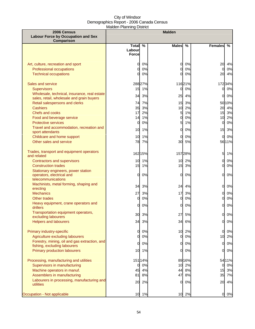| 2006 Census                                                                            |                        |               | <b>Malden</b> |          |                              |                 |
|----------------------------------------------------------------------------------------|------------------------|---------------|---------------|----------|------------------------------|-----------------|
| <b>Labour Force by Occupation and Sex</b><br><b>Comparison</b>                         |                        |               |               |          |                              |                 |
|                                                                                        | <b>Total</b>           | $\frac{9}{6}$ | <b>Males</b>  | $\%$     | <b>Females</b>               | %               |
|                                                                                        | Labour<br><b>Force</b> |               |               |          |                              |                 |
|                                                                                        |                        |               |               |          |                              |                 |
| Art, culture, recreation and sport                                                     | 0                      | 0%            | 0             | 0%       | 20                           | 4%              |
| <b>Professional occupations</b>                                                        | 0                      | 0%            | $\Omega$      | 0%       | 0                            | 0%              |
| <b>Technical occupations</b>                                                           | ი                      | 0%            | $\Omega$      | 0%       | 20                           | 4%              |
| Sales and service                                                                      |                        | 28827%        |               | 11621%   |                              | 17234%          |
| <b>Supervisors</b>                                                                     | 15                     | 1%            | 0             | 0%       | $\mathbf{0}$                 | 0%              |
| Wholesale, technical, insurance, real estate                                           | 34                     | 3%            | 25            | 4%       | <sub>O</sub>                 | 0%              |
| sales, retail, wholesale and grain buyers                                              |                        |               |               |          |                              |                 |
| Retail salespersons and clerks<br><b>Cashiers</b>                                      | 74<br>35               | 7%<br>3%      | 15<br>10      | 3%<br>2% |                              | 50 10%<br>20 4% |
| <b>Chefs and cooks</b>                                                                 | 17                     | 2%            | 5             | 1%       | 15                           | 3%              |
| Food and beverage service                                                              | 14                     | 1%            | 0             | 0%       | 10                           | 2%              |
| <b>Protective services</b>                                                             | 0                      | 0%            | 5             | 1%       | $\Omega$                     | 0%              |
| Travel and accommodation, recreation and<br>sport attendants                           | 10                     | 1%            | 0             | 0%       | 15                           | 3%              |
| Childcare and home support                                                             | 10                     | 1%            | 0             | 0%       | <sub>0</sub>                 | 0%              |
| Other sales and service                                                                | 78                     | 7%            | 30            | 5%       |                              | 5611%           |
| Trades, transport and equipment operators<br>and related                               |                        | 162 15%       |               | 15728%   | $5 \mid$                     | 1%              |
| <b>Contractors and supervisors</b>                                                     | 10 <sup>1</sup>        | 1%            | 10            | 2%       | $\overline{0}$               | 0%              |
| <b>Construction trades</b>                                                             | 15                     | 1%            | 15            | 3%       | <sub>O</sub>                 | 0%              |
| Stationary engineers, power station<br>operators, electrical and<br>telecommunications | 0                      | 0%            | 0             | 0%       | <sub>O</sub>                 | $0\%$           |
| Machinists, metal forming, shaping and                                                 | 34                     | 3%            | 24            | 4%       | <sub>O</sub>                 | 0%              |
| erecting                                                                               |                        |               |               |          |                              |                 |
| <b>Mechanics</b><br>Other trades                                                       | 27<br>$\overline{O}$   | 3%<br>0%      | 17<br>0       | 3%<br>0% | $\mathbf{0}$<br><sub>O</sub> | 0%<br>0%        |
| Heavy equipment, crane operators and                                                   |                        |               |               |          |                              |                 |
| drillers                                                                               | 0                      | 0%            | 0             | 0%       | <sub>O</sub>                 | 0%              |
| Transportation equipment operators,<br>excluding labourers                             | 30                     | 3%            | 27            | 5%       | 0L                           | 0%              |
| <b>Helpers and labourers</b>                                                           | 34                     | 3%            | 34            | 6%       | 0                            | 0%              |
|                                                                                        |                        |               |               |          |                              |                 |
| Primary industry-specific                                                              | 0                      | 0%            | 10            | 2%       | 0                            | 0%              |
| Agriculture excluding labourers                                                        | 0                      | 0%            | 0             | 0%       | 10                           | 2%              |
| Forestry, mining, oil and gas extraction, and<br>fishing, excluding labourers          | 0                      | 0%            | 0             | 0%       | $\overline{0}$               | $0\%$           |
| <b>Primary production labourers</b>                                                    | 10                     | 1%            | 0             | 0%       | <sub>O</sub>                 | 0%              |
|                                                                                        |                        |               |               |          |                              |                 |
| Processing, manufacturing and utilities                                                |                        | 151 14%       |               | 8916%    |                              | 5411%           |
| Supervisors in manufacturing                                                           | 0                      | 0%            | 10            | 2%       | $\mathbf{0}$                 | 0%              |
| Machine operators in manuf.                                                            | 45                     | 4%            | 44            | 8%       | 15                           | 3%              |
| Assemblers in manufacturing<br>Labourers in processing, manufacturing and              | 81                     | 8%            | 47            | 8%       | 35                           | 7%              |
| utilities                                                                              | 20                     | 2%            | 0             | 0%       | 20                           | 4%              |
| Occupation - Not applicable                                                            |                        | 10 1%         |               | 10 2%    | 01                           | 0%              |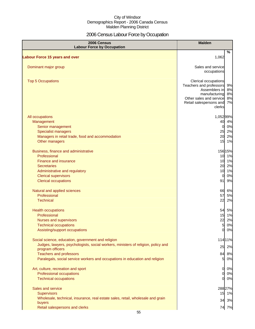# 2006 Census Labour Force by Occupation

| 2006 Census<br><b>Labour Force by Occupation</b>                                                      | <b>Malden</b>                                                                                                |                      |
|-------------------------------------------------------------------------------------------------------|--------------------------------------------------------------------------------------------------------------|----------------------|
| <b>Labour Force 15 years and over</b>                                                                 | 1,062                                                                                                        | %                    |
|                                                                                                       |                                                                                                              |                      |
| Dominant major group                                                                                  | Sales and service<br>occupations                                                                             |                      |
| <b>Top 5 Occupations</b>                                                                              | Clerical occupations<br>Teachers and professors<br>Assemblers in<br>manufacturing<br>Other sales and service | 9%<br>8%<br>8%<br>8% |
|                                                                                                       | Retail salespersons and<br>clerks                                                                            | 7%                   |
| All occupations                                                                                       | 1,05299%                                                                                                     |                      |
| Management                                                                                            |                                                                                                              | 40 4%                |
| Senior management                                                                                     | $\overline{0}$                                                                                               | 0%                   |
| <b>Specialist managers</b>                                                                            |                                                                                                              | 25 2%                |
| Managers in retail trade, food and accommodation                                                      | 20                                                                                                           | 2%                   |
| Other managers                                                                                        |                                                                                                              | 15 1%                |
| Business, finance and administrative                                                                  | 156 15%                                                                                                      |                      |
| Professional                                                                                          |                                                                                                              | 10 1%                |
| <b>Finance and insurance</b>                                                                          |                                                                                                              | 10 1%                |
| <b>Secretaries</b>                                                                                    |                                                                                                              | 20 2%                |
| Administrative and regulatory                                                                         |                                                                                                              | 10 1%                |
| <b>Clerical supervisors</b>                                                                           | $\mathbf{0}$                                                                                                 | 0%                   |
| <b>Clerical occupations</b>                                                                           | 91                                                                                                           | 9%                   |
| Natural and applied sciences                                                                          |                                                                                                              | 66 6%                |
| Professional                                                                                          | 57                                                                                                           | 5%                   |
| <b>Technical</b>                                                                                      | 22                                                                                                           | 2%                   |
| <b>Health occupations</b>                                                                             | 54                                                                                                           | 5%                   |
| Professional                                                                                          |                                                                                                              | 15 1%                |
| Nurses and supervisors                                                                                | 22                                                                                                           | 2%                   |
| <b>Technical occupations</b>                                                                          | 51                                                                                                           | 0%                   |
| Assisting/support occupations                                                                         | $\overline{0}$                                                                                               | 0%                   |
| Social science, education, government and religion                                                    | 114 11%                                                                                                      |                      |
| Judges, lawyers, psychologists, social workers, ministers of religion, policy and<br>program officers | 25                                                                                                           | 2%                   |
| <b>Teachers and professors</b>                                                                        |                                                                                                              | 84 8%                |
| Paralegals, social service workers and occupations in education and religion                          | 51                                                                                                           | 0%                   |
| Art, culture, recreation and sport                                                                    | $\mathbf{0}$                                                                                                 | 0%                   |
| Professional occupations                                                                              | $\Omega$                                                                                                     | 0%                   |
| <b>Technical occupations</b>                                                                          | $\Omega$                                                                                                     | 0%                   |
| Sales and service                                                                                     | 288 27%                                                                                                      |                      |
| <b>Supervisors</b>                                                                                    |                                                                                                              | 15 1%                |
| Wholesale, technical, insurance, real estate sales, retail, wholesale and grain                       |                                                                                                              |                      |
| buyers                                                                                                |                                                                                                              | 34 3%                |
| Retail salespersons and clerks                                                                        |                                                                                                              | 74 7%                |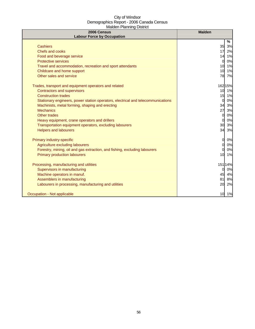| 2006 Census<br><b>Labour Force by Occupation</b>                                 | <b>Malden</b>        |
|----------------------------------------------------------------------------------|----------------------|
|                                                                                  | %                    |
| <b>Cashiers</b>                                                                  | 35 3%                |
| Chefs and cooks                                                                  | 17<br>2%             |
| Food and beverage service                                                        | 1%<br>14             |
| <b>Protective services</b>                                                       | 0%<br>0              |
| Travel and accommodation, recreation and sport attendants                        | 1%<br>10             |
| Childcare and home support                                                       | 1%<br>10             |
| Other sales and service                                                          | 78 7%                |
| Trades, transport and equipment operators and related                            | 162 15%              |
| <b>Contractors and supervisors</b>                                               | 10<br>1%             |
| <b>Construction trades</b>                                                       | 15 1%                |
| Stationary engineers, power station operators, electrical and telecommunications | 0%<br>$\overline{0}$ |
| Machinists, metal forming, shaping and erecting                                  | 34<br>3%             |
| <b>Mechanics</b>                                                                 | 27<br>3%             |
| <b>Other trades</b>                                                              | 0%<br>0              |
| Heavy equipment, crane operators and drillers                                    | 0%<br>$\Omega$       |
| Transportation equipment operators, excluding labourers                          | 30<br>3%             |
| <b>Helpers and labourers</b>                                                     | 34<br>3%             |
| Primary industry-specific                                                        | 0l<br>0%             |
| Agriculture excluding labourers                                                  | 0%<br>$\Omega$       |
| Forestry, mining, oil and gas extraction, and fishing, excluding labourers       | 0%<br>$\Omega$       |
| <b>Primary production labourers</b>                                              | 10<br>1%             |
| Processing, manufacturing and utilities                                          | 151 14%              |
| Supervisors in manufacturing                                                     | 0%<br>$\Omega$       |
| Machine operators in manuf.                                                      | 45<br>4%             |
| Assemblers in manufacturing                                                      | 8%<br>81             |
| Labourers in processing, manufacturing and utilities                             | 20<br>2%             |
| Occupation - Not applicable                                                      | 10 1%                |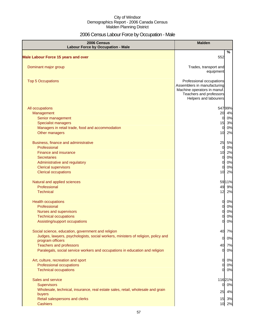# 2006 Census Labour Force by Occupation - Male

| 2006 Census<br><b>Labour Force by Occupation - Male</b>                                               | <b>Malden</b>                                                                                                                              |
|-------------------------------------------------------------------------------------------------------|--------------------------------------------------------------------------------------------------------------------------------------------|
| <b>Male Labour Force 15 years and over</b>                                                            | %<br>552                                                                                                                                   |
| Dominant major group                                                                                  | Trades, transport and                                                                                                                      |
|                                                                                                       | equipment                                                                                                                                  |
| <b>Top 5 Occupations</b>                                                                              | Professional occupations<br>Assemblers in manufacturing<br>Machine operators in manuf.<br>Teachers and professors<br>Helpers and labourers |
| All occupations                                                                                       | 547 99%                                                                                                                                    |
| Management                                                                                            | 20 4%                                                                                                                                      |
| Senior management                                                                                     | 0%<br>$\overline{0}$                                                                                                                       |
| <b>Specialist managers</b>                                                                            | 15<br>3%                                                                                                                                   |
| Managers in retail trade, food and accommodation                                                      | 0%<br>$\overline{0}$                                                                                                                       |
| Other managers                                                                                        | 2%<br>10                                                                                                                                   |
| Business, finance and administrative                                                                  | 25<br>5%                                                                                                                                   |
| Professional                                                                                          | 0%<br>$\mathbf 0$                                                                                                                          |
| <b>Finance and insurance</b>                                                                          | 10 2%                                                                                                                                      |
| <b>Secretaries</b>                                                                                    | 0%<br>$\overline{0}$                                                                                                                       |
| Administrative and regulatory                                                                         | 0%<br>0                                                                                                                                    |
| <b>Clerical supervisors</b>                                                                           | 0%<br>0                                                                                                                                    |
| <b>Clerical occupations</b>                                                                           | 2%<br>10                                                                                                                                   |
| Natural and applied sciences                                                                          | 59 11%                                                                                                                                     |
| Professional                                                                                          | 49<br>9%                                                                                                                                   |
| <b>Technical</b>                                                                                      | 12<br>2%                                                                                                                                   |
| <b>Health occupations</b>                                                                             | 0<br>0%                                                                                                                                    |
| Professional                                                                                          | 0%<br>$\Omega$                                                                                                                             |
| Nurses and supervisors                                                                                | 0%<br>$\Omega$                                                                                                                             |
| <b>Technical occupations</b>                                                                          | 0%<br>0                                                                                                                                    |
| Assisting/support occupations                                                                         | 0%<br>0                                                                                                                                    |
| Social science, education, government and religion                                                    | 7%<br>40                                                                                                                                   |
| Judges, lawyers, psychologists, social workers, ministers of religion, policy and<br>program officers | 0%<br>$\overline{0}$                                                                                                                       |
| <b>Teachers and professors</b>                                                                        | 40 7%                                                                                                                                      |
| Paralegals, social service workers and occupations in education and religion                          | 0%<br>01                                                                                                                                   |
| Art, culture, recreation and sport                                                                    | $\mathbf{0}$<br>0%                                                                                                                         |
| Professional occupations                                                                              | 0%<br>$\mathbf{0}$                                                                                                                         |
| <b>Technical occupations</b>                                                                          | 0%<br>0                                                                                                                                    |
| Sales and service                                                                                     | 11621%                                                                                                                                     |
| Supervisors                                                                                           | 0%<br>$\overline{0}$                                                                                                                       |
| Wholesale, technical, insurance, real estate sales, retail, wholesale and grain                       | 4%<br>25                                                                                                                                   |
| buyers<br>Retail salespersons and clerks                                                              | 15 3%                                                                                                                                      |
| <b>Cashiers</b>                                                                                       | 10 2%                                                                                                                                      |
|                                                                                                       |                                                                                                                                            |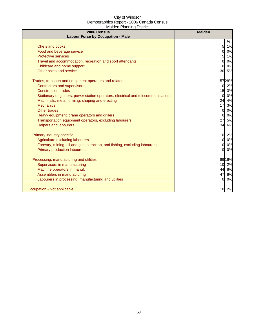| 2006 Census<br><b>Labour Force by Occupation - Male</b>                          | <b>Malden</b>  |
|----------------------------------------------------------------------------------|----------------|
|                                                                                  | %              |
| Chefs and cooks                                                                  | 51<br>1%       |
| Food and beverage service                                                        | $\Omega$<br>0% |
| <b>Protective services</b>                                                       | 1%<br>5        |
| Travel and accommodation, recreation and sport attendants                        | 0%<br>$\Omega$ |
| Childcare and home support                                                       | 0%<br>$\Omega$ |
| Other sales and service                                                          | 30<br>5%       |
| Trades, transport and equipment operators and related                            | 15728%         |
| <b>Contractors and supervisors</b>                                               | 10<br>2%       |
| <b>Construction trades</b>                                                       | 15<br>3%       |
| Stationary engineers, power station operators, electrical and telecommunications | 0%<br>0        |
| Machinists, metal forming, shaping and erecting                                  | 4%<br>24       |
| <b>Mechanics</b>                                                                 | 17<br>3%       |
| <b>Other trades</b>                                                              | 0%<br>0        |
| Heavy equipment, crane operators and drillers                                    | 0%<br>$\Omega$ |
| Transportation equipment operators, excluding labourers                          | 27<br>5%       |
| <b>Helpers and labourers</b>                                                     | 6%<br>34       |
| Primary industry-specific                                                        | 10<br>2%       |
| Agriculture excluding labourers                                                  | 0%<br>$\Omega$ |
| Forestry, mining, oil and gas extraction, and fishing, excluding labourers       | 0%<br>0        |
| <b>Primary production labourers</b>                                              | 0%<br>$\Omega$ |
| Processing, manufacturing and utilities                                          | 89 16%         |
| Supervisors in manufacturing                                                     | 10<br>2%       |
| Machine operators in manuf.                                                      | 44 8%          |
| Assemblers in manufacturing                                                      | 47<br>8%       |
| Labourers in processing, manufacturing and utilities                             | 0%<br>0        |
| Occupation - Not applicable                                                      | 10<br>2%       |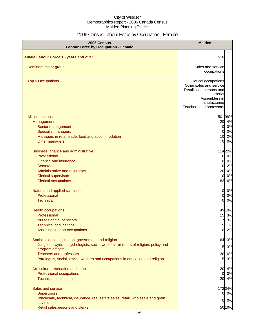# 2006 Census Labour Force by Occupation - Female

| 2006 Census<br><b>Labour Force by Occupation - Female</b>                                             | <b>Malden</b>                                                                                                                                     |  |  |
|-------------------------------------------------------------------------------------------------------|---------------------------------------------------------------------------------------------------------------------------------------------------|--|--|
| Female Labour Force 15 years and over                                                                 | %<br>510                                                                                                                                          |  |  |
| Dominant major group                                                                                  | Sales and service<br>occupations                                                                                                                  |  |  |
| <b>Top 5 Occupations</b>                                                                              | Clerical occupations<br>Other sales and service<br>Retail salespersons and<br>clerks<br>Assemblers in<br>manufacturing<br>Teachers and professors |  |  |
| All occupations                                                                                       | 50198%                                                                                                                                            |  |  |
| Management                                                                                            | 4%<br>20                                                                                                                                          |  |  |
| Senior management                                                                                     | 0%<br>$\mathbf{0}$                                                                                                                                |  |  |
| <b>Specialist managers</b>                                                                            | 0%<br>$\Omega$                                                                                                                                    |  |  |
| Managers in retail trade, food and accommodation                                                      | 2%<br>10                                                                                                                                          |  |  |
| Other managers                                                                                        | 0%<br>$\Omega$                                                                                                                                    |  |  |
| Business, finance and administrative                                                                  | 11422%                                                                                                                                            |  |  |
| Professional                                                                                          | 0%<br>0                                                                                                                                           |  |  |
| <b>Finance and insurance</b>                                                                          | 0%<br>0                                                                                                                                           |  |  |
| <b>Secretaries</b>                                                                                    | 10 2%                                                                                                                                             |  |  |
| Administrative and regulatory                                                                         | 20<br>4%                                                                                                                                          |  |  |
| <b>Clerical supervisors</b>                                                                           | 0%<br>$\mathbf{0}$                                                                                                                                |  |  |
| <b>Clerical occupations</b>                                                                           | 82 16%                                                                                                                                            |  |  |
| Natural and applied sciences                                                                          | 0%<br>$\mathbf{0}$                                                                                                                                |  |  |
| Professional                                                                                          | <sub>0</sub><br>0%                                                                                                                                |  |  |
| <b>Technical</b>                                                                                      | 0%<br>$\Omega$                                                                                                                                    |  |  |
| <b>Health occupations</b>                                                                             | 49 10%                                                                                                                                            |  |  |
| Professional                                                                                          | 15 3%                                                                                                                                             |  |  |
| Nurses and supervisors                                                                                | 3%<br>17                                                                                                                                          |  |  |
| <b>Technical occupations</b>                                                                          | 1%<br>$5 \mid$                                                                                                                                    |  |  |
| Assisting/support occupations                                                                         | 10 2%                                                                                                                                             |  |  |
| Social science, education, government and religion                                                    | 64 13%                                                                                                                                            |  |  |
| Judges, lawyers, psychologists, social workers, ministers of religion, policy and<br>program officers | 15 3%                                                                                                                                             |  |  |
| <b>Teachers and professors</b>                                                                        | 30 6%                                                                                                                                             |  |  |
| Paralegals, social service workers and occupations in education and religion                          | 15 3%                                                                                                                                             |  |  |
| Art, culture, recreation and sport                                                                    | 20<br>4%                                                                                                                                          |  |  |
| Professional occupations                                                                              | 0%<br>01                                                                                                                                          |  |  |
| <b>Technical occupations</b>                                                                          | 20 4%                                                                                                                                             |  |  |
| Sales and service                                                                                     | 17234%                                                                                                                                            |  |  |
| <b>Supervisors</b>                                                                                    | 0 0%                                                                                                                                              |  |  |
| Wholesale, technical, insurance, real estate sales, retail, wholesale and grain                       |                                                                                                                                                   |  |  |
| buyers                                                                                                | 0%<br>0                                                                                                                                           |  |  |
| Retail salespersons and clerks                                                                        | 5010%                                                                                                                                             |  |  |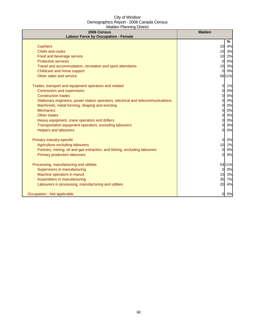| 2006 Census<br><b>Labour Force by Occupation - Female</b>                        | <b>Malden</b>          |
|----------------------------------------------------------------------------------|------------------------|
|                                                                                  | %                      |
| <b>Cashiers</b>                                                                  | 20 4%                  |
| Chefs and cooks                                                                  | 15 3%                  |
| Food and beverage service                                                        | 2%<br>10               |
| <b>Protective services</b>                                                       | 0%<br>$\Omega$         |
| Travel and accommodation, recreation and sport attendants                        | 15<br>3%               |
| Childcare and home support                                                       | 0%<br>$\Omega$         |
| Other sales and service                                                          | 56 11%                 |
| Trades, transport and equipment operators and related                            | $5 \blacksquare$<br>1% |
| <b>Contractors and supervisors</b>                                               | 0%<br>$\Omega$         |
| <b>Construction trades</b>                                                       | 0%<br>0                |
| Stationary engineers, power station operators, electrical and telecommunications | 0%<br>0                |
| Machinists, metal forming, shaping and erecting                                  | 0%<br>$\Omega$         |
| <b>Mechanics</b>                                                                 | 0%<br>$\Omega$         |
| Other trades                                                                     | 0%<br>0                |
| Heavy equipment, crane operators and drillers                                    | 0%<br>$\Omega$         |
| Transportation equipment operators, excluding labourers                          | 0%                     |
| <b>Helpers and labourers</b>                                                     | 0%<br>$\Omega$         |
| Primary industry-specific                                                        | $\overline{0}$<br>0%   |
| Agriculture excluding labourers                                                  | 10<br>2%               |
| Forestry, mining, oil and gas extraction, and fishing, excluding labourers       | 0%<br>$\Omega$         |
| <b>Primary production labourers</b>                                              | 0%<br>$\Omega$         |
| Processing, manufacturing and utilities                                          | 5411%                  |
| Supervisors in manufacturing                                                     | 0%<br>0                |
| Machine operators in manuf.                                                      | 15<br>3%               |
| Assemblers in manufacturing                                                      | 35<br>7%               |
| Labourers in processing, manufacturing and utilities                             | 20<br>4%               |
| Occupation - Not applicable                                                      | 0%<br>0l               |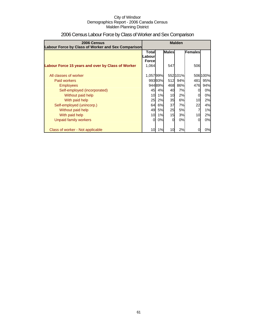| 2006 Census<br>Labour Force by Class of Worker and Sex Comparison | <b>Malden</b>          |        |              |          |         |          |
|-------------------------------------------------------------------|------------------------|--------|--------------|----------|---------|----------|
|                                                                   | Totall                 |        | <b>Males</b> |          | Females |          |
|                                                                   | Labour<br><b>Force</b> |        |              |          |         |          |
| Labour Force 15 years and over by Class of Worker                 | 1,064                  |        | 547          |          | 506     |          |
| All classes of worker                                             | 1,05799%               |        |              | 552 101% |         | 506 100% |
| <b>Paid workers</b>                                               |                        | 99393% | 512          | 94%      | 4811    | 95%      |
| <b>Employees</b>                                                  |                        | 94489% | 468          | 86%      | 476     | 94%      |
| Self-employed (incorporated)                                      | 45                     | 4%     | 40           | 7%       |         | 0%       |
| Without paid help                                                 | 10                     | 1%     | 10           | 2%       |         | 0%       |
| With paid help                                                    | 25                     | 2%     | 35           | 6%       | 10      | 2%       |
| Self-employed (unincorp.)                                         | 64                     | 6%     | 37           | 7%       | 22      | 4%       |
| Without paid help                                                 | 49                     | 5%     | 25           | 5%       |         | 1%       |
| With paid help                                                    | 10 <sup>1</sup>        | 1%     | 15           | 3%       | 10      | 2%       |
| Unpaid family workers                                             | $\Omega$               | 0%     | $\Omega$     | 0%       |         | 0%       |
| Class of worker - Not applicable                                  | 10                     | 1%     | 10           | 2%       |         | 0%       |

# 2006 Census Labour Force by Class of Worker and Sex Comparison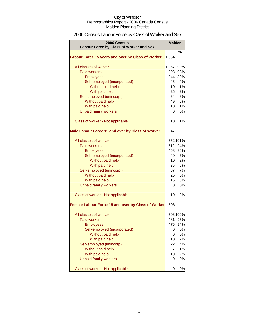# 2006 Census Labour Force by Class of Worker and Sex

| 2006 Census<br>Labour Force by Class of Worker and Sex | <b>Malden</b> |          |
|--------------------------------------------------------|---------------|----------|
|                                                        |               | %        |
| Labour Force 15 years and over by Class of Worker      | 1,064         |          |
| All classes of worker                                  | 1,057         | 99%      |
| <b>Paid workers</b>                                    | 993           | 93%      |
| <b>Employees</b>                                       | 944           | 89%      |
| Self-employed (incorporated)                           | 45            | 4%       |
| Without paid help                                      | 10            | 1%       |
| With paid help                                         | 25            | 2%       |
| Self-employed (unincorp.)                              | 64            | 6%       |
| Without paid help                                      | 49            | 5%       |
| With paid help                                         | 10            | 1%       |
| <b>Unpaid family workers</b>                           | 0             | 0%       |
| Class of worker - Not applicable                       | 10            | 1%       |
| Male Labour Force 15 and over by Class of Worker       | 547           |          |
| All classes of worker                                  |               | 552 101% |
| Paid workers                                           | 512           | 94%      |
| <b>Employees</b>                                       | 468           | 86%      |
| Self-employed (incorporated)                           | 40            | 7%       |
| Without paid help                                      | 10            | 2%       |
| With paid help                                         | 35            | 6%       |
| Self-employed (unincorp.)                              | 37            | 7%       |
| Without paid help                                      | 25            | 5%       |
| With paid help                                         | 15            | 3%       |
| <b>Unpaid family workers</b>                           | 0             | 0%       |
| Class of worker - Not applicable                       | 10            | 2%       |
| Female Labour Force 15 and over by Class of Worker     | 506           |          |
| All classes of worker                                  |               | 506 100% |
| <b>Paid workers</b>                                    | 481           | 95%      |
| Employees                                              | 476           | 94%      |
| Self-employed (incorporated)                           | 0             | 0%       |
| Without paid help                                      | 0             | 0%       |
| With paid help                                         | 10            | 2%       |
| Self-employed (unincorp)                               | 22            | 4%       |
| Without paid help                                      | 7             | 1%       |
| With paid help                                         | 10            | 2%       |
| <b>Unpaid family workers</b>                           | 0             | 0%       |
| Class of worker - Not applicable                       | 0             | 0%       |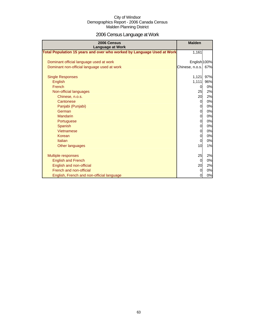# 2006 Census Language at Work

| 2006 Census<br><b>Language at Work</b>                                 | <b>Malden</b>   |     |
|------------------------------------------------------------------------|-----------------|-----|
| Total Population 15 years and over who worked by Language Used at Work | 1,161           |     |
| Dominant official language used at work                                | English 100%    |     |
| Dominant non-official language used at work                            | Chinese, n.o.s. | 67% |
| <b>Single Responses</b>                                                | 1,121           | 97% |
| English                                                                | 1,111           | 96% |
| French                                                                 | 0               | 0%  |
| Non-official languages                                                 | 25              | 2%  |
| Chinese, n.o.s.                                                        | 20              | 2%  |
| Cantonese                                                              | $\overline{0}$  | 0%  |
| Panjabi (Punjabi)                                                      | 0               | 0%  |
| German                                                                 | $\overline{0}$  | 0%  |
| <b>Mandarin</b>                                                        | $\overline{0}$  | 0%  |
| Portuguese                                                             | 0               | 0%  |
| Spanish                                                                | $\overline{0}$  | 0%  |
| Vietnamese                                                             | $\overline{0}$  | 0%  |
| Korean                                                                 | 0               | 0%  |
| Italian                                                                | $\Omega$        | 0%  |
| Other languages                                                        | 10              | 1%  |
| Multiple responses                                                     | 25              | 2%  |
| <b>English and French</b>                                              | 0               | 0%  |
| English and non-official                                               | 20              | 2%  |
| French and non-official                                                | $\overline{0}$  | 0%  |
| English, French and non-official language                              | $\overline{0}$  | 0%  |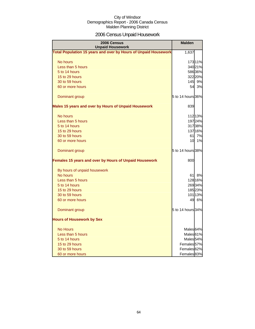# 2006 Census Unpaid Housework

| 2006 Census<br><b>Unpaid Housework</b>                                 | <b>Malden</b>          |         |
|------------------------------------------------------------------------|------------------------|---------|
| <b>Total Population 15 years and over by Hours of Unpaid Housework</b> | 1,637                  |         |
| No hours                                                               |                        | 17311%  |
| Less than 5 hours                                                      |                        | 340 21% |
| 5 to 14 hours                                                          |                        | 58636%  |
| 15 to 29 hours                                                         |                        | 322 20% |
| 30 to 59 hours                                                         |                        | 145 9%  |
| 60 or more hours                                                       | 54                     | 3%      |
| Dominant group                                                         | 5 to 14 hours 36%      |         |
| Males 15 years and over by Hours of Unpaid Housework                   | 839                    |         |
| No hours                                                               |                        | 112 13% |
| Less than 5 hours                                                      |                        | 19724%  |
| 5 to 14 hours                                                          |                        | 31738%  |
| 15 to 29 hours                                                         |                        | 137 16% |
| 30 to 59 hours                                                         | 61                     | 7%      |
| 60 or more hours                                                       | 10                     | 1%      |
| Dominant group                                                         | 5 to 14 hours 38%      |         |
| Females 15 years and over by Hours of Unpaid Housework                 | 800                    |         |
| By hours of unpaid housework                                           |                        |         |
| No hours                                                               | 61                     | 8%      |
| Less than 5 hours                                                      |                        | 128 16% |
| 5 to 14 hours                                                          |                        | 26934%  |
| 15 to 29 hours                                                         |                        | 18523%  |
| 30 to 59 hours                                                         |                        | 101 13% |
| 60 or more hours                                                       | 49                     | 6%      |
| Dominant group                                                         | 5 to 14 hours 34%      |         |
| <b>Hours of Housework by Sex</b>                                       |                        |         |
| <b>No Hours</b>                                                        | Males <sub>64%</sub>   |         |
| Less than 5 hours                                                      | Males <sup>61%</sup>   |         |
| 5 to 14 hours                                                          | Males <sub>54</sub> %  |         |
| 15 to 29 hours                                                         | Females <sup>57%</sup> |         |
| 30 to 59 hours                                                         | Females <sup>62%</sup> |         |
| 60 or more hours                                                       | Females <sup>83%</sup> |         |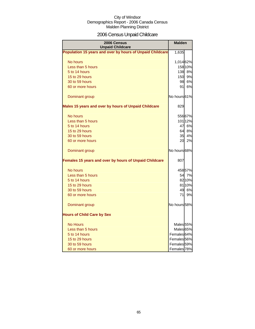# 2006 Census Unpaid Childcare

| 2006 Census<br><b>Unpaid Childcare</b>                    | <b>Malden</b>          |         |
|-----------------------------------------------------------|------------------------|---------|
| Population 15 years and over by hours of Unpaid Childcare | 1,635                  |         |
| No hours                                                  | 1,014 62%              |         |
| Less than 5 hours                                         |                        | 158 10% |
| 5 to 14 hours                                             |                        | 138 8%  |
| 15 to 29 hours                                            | 150                    | 9%      |
| 30 to 59 hours                                            | 98                     | 6%      |
| 60 or more hours                                          | 91                     | 6%      |
| Dominant group                                            | No hours 61%           |         |
| Males 15 years and over by hours of Unpaid Childcare      | 829                    |         |
| No hours                                                  |                        | 556 67% |
| Less than 5 hours                                         |                        | 101 12% |
| 5 to 14 hours                                             | 47                     | 6%      |
| 15 to 29 hours                                            | 64                     | 8%      |
| 30 to 59 hours                                            | 35 <sub>l</sub>        | 4%      |
| 60 or more hours                                          | 20                     | 2%      |
| Dominant group                                            | No hours 68%           |         |
| Females 15 years and over by hours of Unpaid Childcare    | 807                    |         |
| No hours                                                  |                        | 45857%  |
| Less than 5 hours                                         | 54                     | 7%      |
| 5 to 14 hours                                             |                        | 82 10%  |
| 15 to 29 hours                                            |                        | 81 10%  |
| 30 to 59 hours                                            | 49                     | 6%      |
| 60 or more hours                                          | 71                     | 9%      |
| Dominant group                                            | No hours 58%           |         |
| <b>Hours of Child Care by Sex</b>                         |                        |         |
| <b>No Hours</b>                                           | Males <sub>55%</sub>   |         |
| Less than 5 hours                                         | Males <sup>65%</sup>   |         |
| 5 to 14 hours                                             | Females 64%            |         |
| 15 to 29 hours                                            | Females <sub>56%</sub> |         |
| 30 to 59 hours                                            | Females <sub>59%</sub> |         |
| 60 or more hours                                          | Females 78%            |         |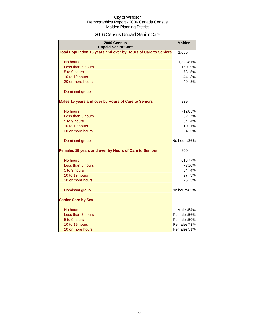# 2006 Census Unpaid Senior Care

| 2006 Census<br><b>Unpaid Senior Care</b>                       | <b>Malden</b>          |        |
|----------------------------------------------------------------|------------------------|--------|
| Total Population 15 years and over by Hours of Care to Seniors | 1,635                  |        |
| No hours                                                       | 1,32881%               |        |
| Less than 5 hours                                              | 150                    | 9%     |
| 5 to 9 hours                                                   | 78                     | 5%     |
| 10 to 19 hours                                                 | 44                     | 3%     |
| 20 or more hours                                               | 49                     | 3%     |
| Dominant group                                                 |                        |        |
| Males 15 years and over by Hours of Care to Seniors            | 839                    |        |
| No hours                                                       |                        | 71285% |
| Less than 5 hours                                              | 62                     | 7%     |
| 5 to 9 hours                                                   | 34                     | 4%     |
| 10 to 19 hours                                                 | 10                     | 1%     |
| 20 or more hours                                               | 24                     | 3%     |
| Dominant group                                                 | No hours 86%           |        |
| Females 15 years and over by Hours of Care to Seniors          | 800                    |        |
| No hours                                                       |                        | 61677% |
| Less than 5 hours                                              |                        | 78 10% |
| 5 to 9 hours                                                   | 34                     | 4%     |
| 10 to 19 hours                                                 | 27                     | 3%     |
| 20 or more hours                                               | 25                     | 3%     |
| Dominant group                                                 | No hours 82%           |        |
| <b>Senior Care by Sex</b>                                      |                        |        |
| No hours                                                       | Males <sub>54%</sub>   |        |
| Less than 5 hours                                              | Females <sub>56%</sub> |        |
| 5 to 9 hours                                                   | Females 50%            |        |
| 10 to 19 hours                                                 | Females <sup>73%</sup> |        |
| 20 or more hours                                               | Females <sup>51%</sup> |        |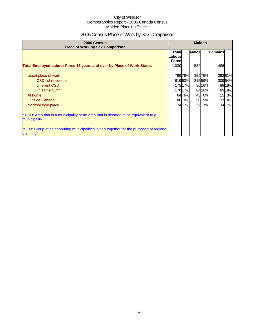# 2006 Census Place of Work by Sex Comparison

| 2006 Census<br><b>Place of Work by Sex Comparison</b>                                                 | <b>Malden</b>                           |         |              |        |         |        |
|-------------------------------------------------------------------------------------------------------|-----------------------------------------|---------|--------------|--------|---------|--------|
|                                                                                                       | <b>Total</b><br>Labour<br><b>Forcel</b> |         | <b>Males</b> |        | Females |        |
| <b>Total Employed Labour Force 15 years and over by Place of Work Status</b>                          | 1,030                                   |         | 532          |        | 486     |        |
| Usual place of work                                                                                   |                                         | 799 78% |              | 39975% |         | 39381% |
| In CSD <sup>*</sup> of residence                                                                      |                                         | 61960%  |              | 31559% |         | 30964% |
| In different CSD                                                                                      |                                         | 17517%  |              | 8616%  |         | 89 18% |
| In same CD**                                                                                          |                                         | 170 17% |              | 8416%  |         | 8918%  |
| At home                                                                                               | 64                                      | 6%      | 45           | 8%     | 15      | 3%     |
| <b>Outside Canada</b>                                                                                 |                                         | 86 8%   | 50           | 9%     | 37      | 8%     |
| No fixed workplace                                                                                    | 74                                      | 7%      | 39           | 7%     | 34      | 7%     |
| * CSD: Area that is a municipality or an area that is deemed to be equivalent to a<br>municipality.   |                                         |         |              |        |         |        |
| ** CD: Group of neighbouring municipalities joined together for the purposes of regional<br>planning. |                                         |         |              |        |         |        |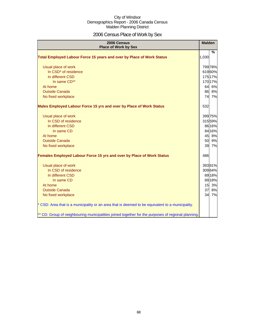# 2006 Census Place of Work by Sex

| 2006 Census<br><b>Place of Work by Sex</b>                                                         | <b>Malden</b> |               |
|----------------------------------------------------------------------------------------------------|---------------|---------------|
| Total Employed Labour Force 15 years and over by Place of Work Status                              | 1,030         | $\frac{9}{6}$ |
| Usual place of work                                                                                |               | 799 78%       |
| In CSD* of residence                                                                               |               | 61960%        |
| In different CSD                                                                                   |               | 175 17%       |
| In same CD**                                                                                       |               | 170 17%       |
| At home                                                                                            |               | 64 6%         |
| <b>Outside Canada</b>                                                                              |               | 86 8%         |
| No fixed workplace                                                                                 |               | 74 7%         |
| Males Employed Labour Force 15 yrs and over by Place of Work Status                                | 532           |               |
| Usual place of work                                                                                |               | 399 75%       |
| In CSD of residence                                                                                |               | 31559%        |
| In different CSD                                                                                   |               | 86 16%        |
| In same CD                                                                                         |               | 84 16%        |
| At home                                                                                            |               | 45 8%         |
| <b>Outside Canada</b>                                                                              |               | 50 9%         |
| No fixed workplace                                                                                 |               | 39 7%         |
| <b>Females Employed Labour Force 15 yrs and over by Place of Work Status</b>                       | 486           |               |
| Usual place of work                                                                                |               | 39381%        |
| In CSD of residence                                                                                |               | 30964%        |
| In different CSD                                                                                   |               | 89 18%        |
| In same CD                                                                                         |               | 89 18%        |
| At home                                                                                            | 15            | 3%            |
| <b>Outside Canada</b>                                                                              | 37            | 8%            |
| No fixed workplace                                                                                 |               | 34 7%         |
| * CSD: Area that is a municipality or an area that is deemed to be equivalent to a municipality.   |               |               |
| ** CD: Group of neighbouring municipalities joined together for the purposes of regional planning. |               |               |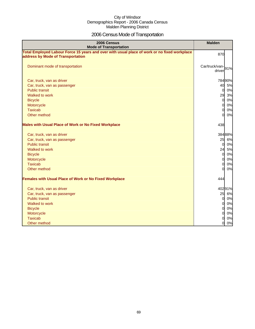# 2006 Census Mode of Transportation

| 2006 Census<br><b>Mode of Transportation</b>                                                                                      | <b>Malden</b>               |       |
|-----------------------------------------------------------------------------------------------------------------------------------|-----------------------------|-------|
| Total Employed Labour Force 15 years and over with usual place of work or no fixed workplace<br>address by Mode of Transportation | 870                         |       |
| Dominant mode of transportation                                                                                                   | Car/truck/van-91%<br>driver |       |
| Car, truck, van as driver                                                                                                         | 784 90%                     |       |
| Car, truck, van as passenger                                                                                                      | 40 5%                       |       |
| <b>Public transit</b>                                                                                                             | $\overline{0}$              | 0%    |
| Walked to work                                                                                                                    | 29                          | 3%    |
| <b>Bicycle</b>                                                                                                                    | $\overline{0}$              | 0%    |
| Motorcycle                                                                                                                        | $\Omega$                    | 0%    |
| <b>Taxicab</b>                                                                                                                    | 0l                          | 0%    |
| Other method                                                                                                                      | $\Omega$                    | 0%    |
| <b>Males with Usual Place of Work or No Fixed Workplace</b>                                                                       | 438                         |       |
| Car, truck, van as driver                                                                                                         | 38488%                      |       |
| Car, truck, van as passenger                                                                                                      | 25                          | 6%    |
| <b>Public transit</b>                                                                                                             | $\Omega$                    | 0%    |
| Walked to work                                                                                                                    | 24                          | 5%    |
| <b>Bicycle</b>                                                                                                                    | $\overline{0}$              | 0%    |
| Motorcycle                                                                                                                        | $\Omega$                    | 0%    |
| <b>Taxicab</b>                                                                                                                    | $\overline{0}$              | 0%    |
| Other method                                                                                                                      | ΩI                          | 0%    |
| <b>Females with Usual Place of Work or No Fixed Workplace</b>                                                                     | 444                         |       |
| Car, truck, van as driver                                                                                                         | 40291%                      |       |
| Car, truck, van as passenger                                                                                                      | 25 6%                       |       |
| <b>Public transit</b>                                                                                                             | $\mathbf{0}$                | 0%    |
| Walked to work                                                                                                                    | $\overline{O}$              | 0%    |
| <b>Bicycle</b>                                                                                                                    | <sub>0</sub>                | 0%    |
| Motorcycle                                                                                                                        | $\overline{0}$              | $0\%$ |
| <b>Taxicab</b>                                                                                                                    | 0l                          | 0%    |
| Other method                                                                                                                      | Ol                          | 0%    |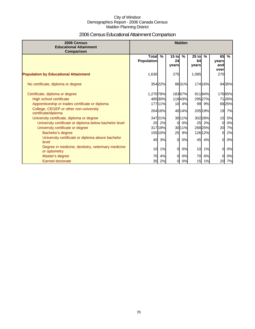# 2006 Census Educational Attainment Comparison

| 2006 Census<br><b>Educational Attainment</b><br>Comparison         |                                   |         |                        | <b>Malden</b> |                        |               |                            |        |
|--------------------------------------------------------------------|-----------------------------------|---------|------------------------|---------------|------------------------|---------------|----------------------------|--------|
|                                                                    | <b>Total</b><br><b>Population</b> | $\%$    | $15$ to<br>24<br>years | %             | $25$ to<br>64<br>years | $\frac{9}{6}$ | 65<br>years<br>and<br>over | $\%$   |
| <b>Population by Educational Attainment</b>                        | 1,630                             |         | 275                    |               | 1,085                  |               | 270                        |        |
| No certificate, diploma or degree                                  |                                   | 354 22% |                        | 8631%         |                        | 174 16%       |                            | 9435%  |
| Certificate, diploma or degree                                     | 1,270 78%                         |         |                        | 18367%        |                        | 91184%        |                            | 17665% |
| High school certificate                                            |                                   | 48530%  |                        | 11943%        |                        | 29527%        |                            | 7126%  |
| Apprenticeship or trades certificate or diploma                    |                                   | 17711%  |                        | 10 4%         |                        | 99 9%         |                            | 68 25% |
| College, CEGEP or other non-university<br>certificate/diploma      |                                   | 264 16% |                        | 4014%         |                        | 205 19%       | 19                         | 7%     |
| University certificate, diploma or degree                          |                                   | 34721%  |                        | 30 11%        |                        | 302 28%       | 15                         | 5%     |
| University certificate or diploma below bachelor level             | 25                                | 2%      |                        | 0%            | 25                     | 2%            | O                          | 0%     |
| University certificate or degree                                   |                                   | 31719%  |                        | 30 11%        |                        | 26825%        | 20                         | 7%     |
| Bachelor's degree                                                  |                                   | 155 10% | 25                     | 9%            |                        | 126 12%       | 5                          | 2%     |
| University certificate or diploma above bachelor<br>level          | 45                                | 3%      | $\Omega$               | 0%            | 45                     | 4%            | $\Omega$                   | 0%     |
| Degree in medicine, dentistry, veterinary medicine<br>or optometry | 10                                | 1%      | $\Omega$               | 0%            | 10                     | 1%            | $\Omega$                   | 0%     |
| Master's degree                                                    | 70                                | 4%      | $\Omega$               | 0%            | 70                     | 6%            | $\Omega$                   | 0%     |
| Earned doctorate                                                   |                                   | 35 2%   | 0                      | 0%            | 15                     | 1%            | 20                         | 7%     |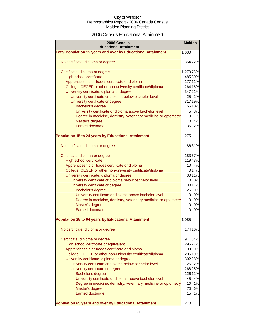### 2006 Census Educational Attainment

| 2006 Census<br><b>Educational Attainment</b>                        | <b>Malden</b> |         |
|---------------------------------------------------------------------|---------------|---------|
| <b>Total Population 15 years and over by Educational Attainment</b> | 1,630         |         |
|                                                                     |               |         |
| No certificate, diploma or degree                                   |               | 354 22% |
|                                                                     |               |         |
| Certificate, diploma or degree                                      | 1,270 78%     |         |
| High school certificate                                             |               | 485 30% |
| Apprenticeship or trades certificate or diploma                     |               | 177 11% |
| College, CEGEP or other non-university certificate/diploma          |               | 264 16% |
| University certificate, diploma or degree                           |               | 34721%  |
| University certificate or diploma below bachelor level              |               | 25 2%   |
| University certificate or degree                                    |               | 31719%  |
| Bachelor's degree                                                   |               | 155 10% |
| University certificate or diploma above bachelor level              | 45            | 3%      |
| Degree in medicine, dentistry, veterinary medicine or optometry     |               | 10 1%   |
| Master's degree                                                     |               | 70 4%   |
| <b>Earned doctorate</b>                                             | 35            | 2%      |
| <b>Population 15 to 24 years by Educational Attainment</b>          | 275           |         |
|                                                                     |               |         |
| No certificate, diploma or degree                                   |               | 8631%   |
|                                                                     |               |         |
| Certificate, diploma or degree                                      |               | 18367%  |
| <b>High school certificate</b>                                      |               | 11943%  |
| Apprenticeship or trades certificate or diploma                     |               | 10 4%   |
| College, CEGEP or other non-university certificate/diploma          |               | 40 14%  |
| University certificate, diploma or degree                           |               | 30 11%  |
| University certificate or diploma below bachelor level              |               | 0 0%    |
| University certificate or degree                                    |               | 30 11%  |
| Bachelor's degree                                                   |               | 25 9%   |
| University certificate or diploma above bachelor level              | $\mathbf{0}$  | 0%      |
| Degree in medicine, dentistry, veterinary medicine or optometry     | <sub>0</sub>  | 0%      |
| Master's degree                                                     | 0             | 0%      |
| Earned doctorate                                                    | 0l            | 0%      |
|                                                                     |               |         |
| <b>Population 25 to 64 years by Educational Attainment</b>          | 1,085         |         |
|                                                                     |               |         |
| No certificate, diploma or degree                                   |               | 174 16% |
|                                                                     |               |         |
| Certificate, diploma or degree                                      |               | 91184%  |
| High school certificate or equivalent                               |               | 295 27% |
| Apprenticeship or trades certificate or diploma                     |               | 99 9%   |
| College, CEGEP or other non-university certificate/diploma          |               | 205 19% |
| University certificate, diploma or degree                           |               | 302 28% |
| University certificate or diploma below bachelor level              | 25            | 2%      |
| University certificate or degree                                    |               | 268 25% |
| Bachelor's degree                                                   |               | 126 12% |
| University certificate or diploma above bachelor level              | 45            | 4%      |
| Degree in medicine, dentistry, veterinary medicine or optometry     | 10            | 1%      |
| Master's degree                                                     | 70            | 6%      |
| <b>Earned doctorate</b>                                             | 15            | 1%      |
| Population 65 years and over by Educational Attainment              | 270           |         |
|                                                                     |               |         |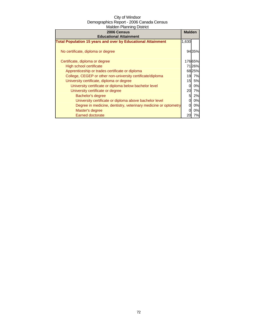| 2006 Census<br><b>Educational Attainment</b>                        | <b>Malden</b> |           |
|---------------------------------------------------------------------|---------------|-----------|
| <b>Total Population 15 years and over by Educational Attainment</b> | 1,630         |           |
| No certificate, diploma or degree                                   |               | 9435%     |
| Certificate, diploma or degree                                      |               | 17665%    |
| High school certificate                                             |               | 7126%     |
| Apprenticeship or trades certificate or diploma                     |               | 6825%     |
| College, CEGEP or other non-university certificate/diploma          | 19            | 7%        |
| University certificate, diploma or degree                           | 15            | <b>5%</b> |
| University certificate or diploma below bachelor level              |               | 0%        |
| University certificate or degree                                    | 20            | 7%        |
| Bachelor's degree                                                   | 5             | 2%        |
| University certificate or diploma above bachelor level              |               | 0%        |
| Degree in medicine, dentistry, veterinary medicine or optometry     |               | 0%        |
| Master's degree                                                     |               | 0%        |
| <b>Earned doctorate</b>                                             |               | 7%        |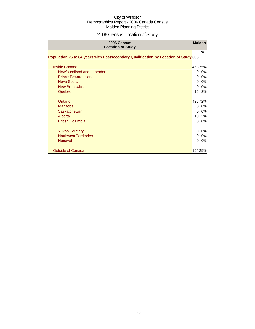# 2006 Census Location of Study

| 2006 Census<br><b>Location of Study</b>                                             |          | <b>Malden</b> |
|-------------------------------------------------------------------------------------|----------|---------------|
| Population 25 to 64 years with Postsecondary Qualification by Location of Study 606 |          | %             |
|                                                                                     |          |               |
| Inside Canada                                                                       |          | 45375%        |
| Newfoundland and Labrador                                                           | $\Omega$ | 0%            |
| <b>Prince Edward Island</b>                                                         | 0        | 0%            |
| Nova Scotia                                                                         | $\Omega$ | 0%            |
| <b>New Brunswick</b>                                                                | $\Omega$ | 0%            |
| Quebec                                                                              | 15       | 2%            |
| Ontario                                                                             |          | 43672%        |
| <b>Manitoba</b>                                                                     | $\Omega$ | 0%            |
| Saskatchewan                                                                        | $\Omega$ | 0%            |
| Alberta                                                                             | 10       | 2%            |
| <b>British Columbia</b>                                                             | $\Omega$ | 0%            |
| <b>Yukon Territory</b>                                                              | $\Omega$ | 0%            |
| <b>Northwest Territories</b>                                                        | $\Omega$ | 0%            |
| <b>Nunavut</b>                                                                      | $\Omega$ | 0%            |
| <b>Outside of Canada</b>                                                            |          | 15425%        |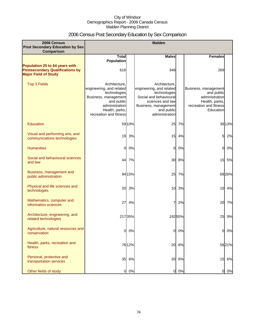# 2006 Census Post Secondary Education by Sex Comparison

| 2006 Census<br><b>Post Secondary Education by Sex</b>                                                   |                                                                                                                                                               |         | <b>Malden</b>                                                                                                                                                   |        |                                                                                                               |       |
|---------------------------------------------------------------------------------------------------------|---------------------------------------------------------------------------------------------------------------------------------------------------------------|---------|-----------------------------------------------------------------------------------------------------------------------------------------------------------------|--------|---------------------------------------------------------------------------------------------------------------|-------|
| Comparison                                                                                              |                                                                                                                                                               |         |                                                                                                                                                                 |        |                                                                                                               |       |
|                                                                                                         | <b>Total</b><br><b>Population</b>                                                                                                                             |         | <b>Males</b>                                                                                                                                                    |        | <b>Females</b>                                                                                                |       |
| Population 25 to 64 years with<br><b>Postsecondary Qualifications by</b><br><b>Major Field of Study</b> | 616                                                                                                                                                           |         | 348                                                                                                                                                             |        | 269                                                                                                           |       |
| <b>Top 3 Fields</b>                                                                                     | Architecture.<br>engineering, and related<br>technologies<br>Business, management<br>and public<br>administration<br>Health, parks,<br>recreation and fitness |         | Architecture.<br>engineering, and related<br>technologies<br>Social and behavioural<br>sciences and law<br>Business, management<br>and public<br>administration |        | Business, management<br>and public<br>administration<br>Health, parks,<br>recreation and fitness<br>Education |       |
| Education                                                                                               |                                                                                                                                                               | 5910%   | 25                                                                                                                                                              | 7%     |                                                                                                               | 3513% |
| Visual and performing arts, and<br>communications technologies                                          | 19                                                                                                                                                            | 3%      | 15                                                                                                                                                              | 4%     | 5                                                                                                             | 2%    |
| <b>Humanities</b>                                                                                       | $\Omega$                                                                                                                                                      | 0%      | <sub>0</sub>                                                                                                                                                    | 0%     | $\Omega$                                                                                                      | 0%    |
| Social and behavioural sciences<br>and law                                                              | 44                                                                                                                                                            | 7%      | 30                                                                                                                                                              | 8%     | 15                                                                                                            | 5%    |
| Business, management and<br>public administration                                                       |                                                                                                                                                               | 94 15%  | 25                                                                                                                                                              | 7%     |                                                                                                               | 6926% |
| Physical and life sciences and<br>technologies                                                          | 20                                                                                                                                                            | 3%      | 10                                                                                                                                                              | 3%     | 10                                                                                                            | 4%    |
| Mathematics, computer and<br>information sciences                                                       | 27                                                                                                                                                            | 4%      | 7                                                                                                                                                               | 2%     | 20                                                                                                            | 7%    |
| Architecture, engineering, and<br>related technologies                                                  |                                                                                                                                                               | 217 35% |                                                                                                                                                                 | 19255% | 25                                                                                                            | 9%    |
| Agriculture, natural resources and<br>conservation                                                      | 0                                                                                                                                                             | 0%      | $\overline{0}$                                                                                                                                                  | 0%     | 0                                                                                                             | 0%    |
| Health, parks, recreation and<br>fitness                                                                |                                                                                                                                                               | 7612%   |                                                                                                                                                                 | 20 6%  |                                                                                                               | 5621% |
| Personal, protective and<br>transportation services                                                     | 35                                                                                                                                                            | 6%      | 20                                                                                                                                                              | 6%     | 15                                                                                                            | 6%    |
| Other fields of study                                                                                   | 0                                                                                                                                                             | 0%      | $\overline{O}$                                                                                                                                                  | 0%     | $\overline{0}$                                                                                                | 0%    |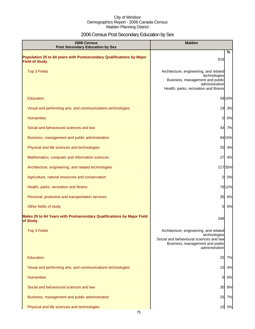# 2006 Census Post Secondary Education by Sex

| 2006 Census<br><b>Post Secondary Education by Sex</b>                                         | <b>Malden</b>                                                                                                                                          |        |
|-----------------------------------------------------------------------------------------------|--------------------------------------------------------------------------------------------------------------------------------------------------------|--------|
| Population 25 to 64 years with Postsecondary Qualifications by Major<br><b>Field of Study</b> | 616                                                                                                                                                    | %      |
| <b>Top 3 Fields</b>                                                                           | Architecture, engineering, and related<br>technologies<br>Business, management and public<br>administration<br>Health, parks, recreation and fitness   |        |
| Education                                                                                     |                                                                                                                                                        | 5910%  |
| Visual and performing arts, and communications technologies                                   | 19                                                                                                                                                     | 3%     |
| <b>Humanities</b>                                                                             | 0                                                                                                                                                      | 0%     |
| Social and behavioural sciences and law                                                       | 44                                                                                                                                                     | 7%     |
| Business, management and public administration                                                |                                                                                                                                                        | 94 15% |
| Physical and life sciences and technologies                                                   | 20                                                                                                                                                     | 3%     |
| Mathematics, computer and information sciences                                                | 27                                                                                                                                                     | 4%     |
| Architecture, engineering, and related technologies                                           | 21735%                                                                                                                                                 |        |
| Agriculture, natural resources and conservation                                               | 0                                                                                                                                                      | 0%     |
| Health, parks, recreation and fitness                                                         |                                                                                                                                                        | 7612%  |
| Personal, protective and transportation services                                              |                                                                                                                                                        | 35 6%  |
| Other fields of study                                                                         | 0I                                                                                                                                                     | 0%     |
| Males 25 to 64 Years with Postsecondary Qualifications by Major Field<br>of Study             | 348                                                                                                                                                    |        |
| <b>Top 3 Fields</b>                                                                           | Architecture, engineering, and related<br>technologies<br>Social and behavioural sciences and law<br>Business, management and public<br>administration |        |
| Education                                                                                     | 25                                                                                                                                                     | 7%     |
| Visual and performing arts, and communications technologies                                   | 15                                                                                                                                                     | 4%     |
| <b>Humanities</b>                                                                             | 01                                                                                                                                                     | 0%     |
| Social and behavioural sciences and law                                                       | 30                                                                                                                                                     | 8%     |
| Business, management and public administration                                                | 25                                                                                                                                                     | 7%     |
| Physical and life sciences and technologies                                                   |                                                                                                                                                        | 10 3%  |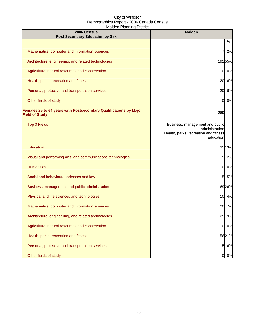| 2006 Census<br><b>Post Secondary Education by Sex</b>                                      | <b>Malden</b>                                                                                           |
|--------------------------------------------------------------------------------------------|---------------------------------------------------------------------------------------------------------|
|                                                                                            | %                                                                                                       |
| Mathematics, computer and information sciences                                             | 2%                                                                                                      |
| Architecture, engineering, and related technologies                                        | 19255%                                                                                                  |
| Agriculture, natural resources and conservation                                            | 0%<br>0                                                                                                 |
| Health, parks, recreation and fitness                                                      | 6%<br>20                                                                                                |
| Personal, protective and transportation services                                           | 6%<br>20                                                                                                |
| Other fields of study                                                                      | 0%<br>0                                                                                                 |
| Females 25 to 64 years with Postsecondary Qualifications by Major<br><b>Field of Study</b> | 269                                                                                                     |
| <b>Top 3 Fields</b>                                                                        | Business, management and public<br>administration<br>Health, parks, recreation and fitness<br>Education |
| Education                                                                                  | 35 13%                                                                                                  |
| Visual and performing arts, and communications technologies                                | 5<br>2%                                                                                                 |
| <b>Humanities</b>                                                                          | 0%<br>0                                                                                                 |
| Social and behavioural sciences and law                                                    | 15<br>5%                                                                                                |
| Business, management and public administration                                             | 6926%                                                                                                   |
| Physical and life sciences and technologies                                                | 10 4%                                                                                                   |
| Mathematics, computer and information sciences                                             | 20<br>7%                                                                                                |
| Architecture, engineering, and related technologies                                        | 25<br>9%                                                                                                |
| Agriculture, natural resources and conservation                                            | 0%<br>0                                                                                                 |
| Health, parks, recreation and fitness                                                      | 5621%                                                                                                   |
| Personal, protective and transportation services                                           | 15 6%                                                                                                   |
| Other fields of study                                                                      | 0%<br>$\overline{0}$                                                                                    |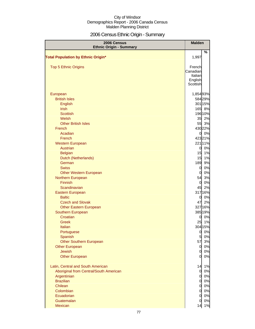# 2006 Census Ethnic Origin - Summary

| 2006 Census<br><b>Ethnic Origin - Summary</b> | <b>Malden</b>                    |          |
|-----------------------------------------------|----------------------------------|----------|
|                                               |                                  | %        |
| <b>Total Population by Ethnic Origin*</b>     | 1,997                            |          |
|                                               |                                  |          |
| <b>Top 5 Ethnic Origins</b>                   | French<br>Canadian               |          |
|                                               | Italian                          |          |
|                                               | English                          |          |
|                                               | Scottish                         |          |
| European                                      | 1,85493%                         |          |
| <b>British Isles</b>                          |                                  | 58429%   |
| <b>English</b>                                |                                  | 301 15%  |
| <b>Irish</b>                                  |                                  | 165 8%   |
| <b>Scottish</b>                               |                                  | 196 10%  |
| Welsh                                         | 35                               | 2%       |
| <b>Other British Isles</b>                    | 55                               | 3%       |
| French                                        |                                  | 430 22%  |
| Acadian                                       | 0I                               | 0%       |
| French                                        |                                  | 42321%   |
| <b>Western European</b>                       |                                  | 221 11%  |
| <b>Austrian</b>                               | 0                                | 0%       |
| <b>Belgian</b>                                | 15                               | 1%       |
| Dutch (Netherlands)                           | 15                               | 1%       |
| German                                        | 189                              | 9%       |
| <b>Swiss</b>                                  | $\mathbf{0}$                     | 0%       |
| <b>Other Western European</b>                 | 0                                | 0%       |
| Northern European                             | 54                               | 3%       |
| Finnish                                       | $\overline{0}$                   | 0%       |
| Scandinavian                                  | 45                               | 2%       |
| Eastern European                              |                                  | 317 16%  |
| <b>Baltic</b>                                 | $\overline{0}$                   | 0%       |
| <b>Czech and Slovak</b>                       | 47                               | 2%       |
| <b>Other Eastern European</b>                 |                                  | 327 16%  |
| Southern European                             |                                  | 385 19%  |
| Croatian                                      | $\mathbf{0}$                     | 0%       |
| Greek                                         | 25                               | 1%       |
| Italian                                       |                                  | 304 15%  |
| Portuguese<br>Spanish                         | $\overline{0}$<br>5 <sub>1</sub> | 0%<br>0% |
| <b>Other Southern European</b>                | 57                               | 3%       |
| <b>Other European</b>                         | $\overline{0}$                   | 0%       |
| <b>Jewish</b>                                 | $\overline{0}$                   | 0%       |
| <b>Other European</b>                         | $\mathbf{0}$                     | 0%       |
|                                               |                                  |          |
| Latin, Central and South American             | 14                               | 1%       |
| Aboriginal from Central/South American        | $\overline{0}$                   | 0%       |
| Argentinian                                   | $\overline{0}$                   | 0%       |
| <b>Brazilian</b>                              | $\overline{0}$                   | 0%       |
| Chilean                                       | $\overline{0}$                   | 0%       |
| Colombian                                     | $\overline{0}$                   | 0%       |
| Ecuadorian<br>Guatemalan                      | $\mathbf 0$<br>0                 | 0%<br>0% |
| Mexican                                       | 14                               | 1%       |
|                                               |                                  |          |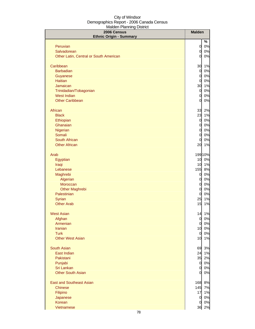| 2006 Census<br><b>Ethnic Origin - Summary</b> | <b>Malden</b>  |         |
|-----------------------------------------------|----------------|---------|
|                                               |                | %       |
| Peruvian                                      | 0              | 0%      |
| Salvadorean                                   | $\overline{0}$ | 0%      |
| Other Latin, Central or South American        | $\Omega$       | 0%      |
| Caribbean                                     | 30             | 1%      |
| <b>Barbadian</b>                              | $\mathbf{0}$   | 0%      |
| Guyanese                                      | $\overline{O}$ | $0\%$   |
| <b>Haitian</b>                                | $\overline{0}$ | 0%      |
| Jamaican                                      | 30             | 1%      |
| Trinidadian/Tobagonian                        | $\overline{0}$ | 0%      |
| <b>West Indian</b>                            | 0              | 0%      |
| <b>Other Caribbean</b>                        | 0              | 0%      |
| African                                       | 33             | 2%      |
| <b>Black</b>                                  | 23             | 1%      |
| Ethiopian                                     | 0              | 0%      |
| Ghanaian                                      | 0              | 0%      |
| Nigerian                                      | $\overline{0}$ | 0%      |
| Somali                                        | $\mathbf 0$    | 0%      |
| South African                                 | 0              | 0%      |
| <b>Other African</b>                          | 20             | 1%      |
| Arab                                          |                | 199 10% |
| Egyptian                                      | 10             | 0%      |
| Iraqi                                         | 10             | 1%      |
| Lebanese                                      | 155            | 8%      |
| Maghrebi                                      | $\overline{0}$ | 0%      |
| Algerian                                      | 0              | 0%      |
| Moroccan                                      | $\overline{0}$ | 0%      |
| <b>Other Maghrebi</b>                         | $\mathbf 0$    | 0%      |
| Palestinian                                   | 0              | 0%      |
| Syrian                                        | 25             | 1%      |
| <b>Other Arab</b>                             | 15             | 1%      |
| <b>West Asian</b>                             | 14             | 1%      |
| Afghan                                        | $\overline{0}$ | 0%      |
| Armenian                                      | $\mathsf{O}$   | 0%      |
| <b>Iranian</b>                                | 10             | 0%      |
| <b>Turk</b><br><b>Other West Asian</b>        | $\overline{0}$ | 0%      |
|                                               | 10             | 1%      |
| <b>South Asian</b>                            | 69             | 3%      |
| East Indian                                   |                | 24 1%   |
| Pakistani                                     | 35             | 2%      |
| Punjabi                                       | $\overline{0}$ | 0%      |
| Sri Lankan                                    | $\overline{0}$ | 0%      |
| <b>Other South Asian</b>                      | 0l             | 0%      |
| <b>East and Southeast Asian</b>               | 168            | 8%      |
| <b>Chinese</b>                                | 145            | 7%      |
| Filipino                                      | 17             | 1%      |
| Japanese                                      | $\overline{0}$ | $0\%$   |
| Korean                                        | 0              | $0\%$   |
| Vietnamese                                    | 36             | 2%      |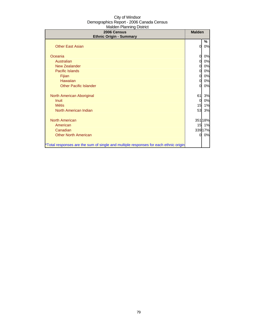| 2006 Census<br><b>Ethnic Origin - Summary</b>                                        | <b>Malden</b>  |         |
|--------------------------------------------------------------------------------------|----------------|---------|
|                                                                                      |                | %       |
| <b>Other East Asian</b>                                                              | 0              | 0%      |
| Oceania                                                                              | 0              | 0%      |
| Australian                                                                           | 0              | 0%      |
| <b>New Zealander</b>                                                                 | 0              | 0%      |
| Pacific Islands                                                                      | 0              | 0%      |
| Fijian                                                                               | 0              | 0%      |
| Hawaiian                                                                             | $\overline{0}$ | 0%      |
| <b>Other Pacific Islander</b>                                                        | $\Omega$       | 0%      |
| North American Aboriginal                                                            | 61             | 3%      |
| <b>Inuit</b>                                                                         | $\overline{0}$ | 0%      |
| <b>Métis</b>                                                                         | 15             | 1%      |
| North American Indian                                                                | 53             | 3%      |
| <b>North American</b>                                                                |                | 351 18% |
| American                                                                             |                | 15 1%   |
| Canadian                                                                             |                | 339 17% |
| <b>Other North American</b>                                                          | $\overline{O}$ | 0%      |
| *Total responses are the sum of single and multiple responses for each ethnic origin |                |         |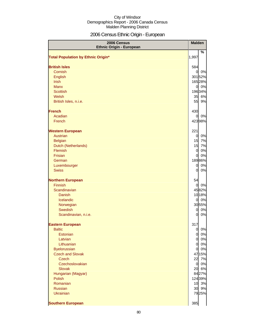# 2006 Census Ethnic Origin - European

| 2006 Census<br><b>Ethnic Origin - European</b> | <b>Malden</b>   |    |
|------------------------------------------------|-----------------|----|
|                                                |                 | %  |
| <b>Total Population by Ethnic Origin*</b>      | 1,997           |    |
| <b>British Isles</b>                           | 584             |    |
| Cornish                                        | $\overline{0}$  | 0% |
| English                                        | 30152%          |    |
| <b>Irish</b>                                   | 16528%          |    |
| <b>Manx</b>                                    | $\overline{O}$  | 0% |
| <b>Scottish</b>                                | 19634%          |    |
| Welsh                                          | 35 6%           |    |
| British Isles, n.i.e.                          | 55              | 9% |
| <b>French</b>                                  | 430             |    |
| Acadian                                        | 0               | 0% |
| French                                         | 42398%          |    |
| <b>Western European</b>                        | 221             |    |
| Austrian                                       | $\overline{0}$  | 0% |
| <b>Belgian</b>                                 | 15              | 7% |
| Dutch (Netherlands)                            | 15              | 7% |
| Flemish                                        | $\overline{0}$  | 0% |
| Frisian                                        | $\overline{0}$  | 0% |
| German                                         | 18986%          |    |
| Luxembourger                                   | $\overline{0}$  | 0% |
| <b>Swiss</b>                                   | $\overline{0}$  | 0% |
| <b>Northern European</b>                       | 54              |    |
| Finnish                                        | $\overline{0}$  | 0% |
| Scandinavian                                   | 4582%           |    |
| <b>Danish</b>                                  | 1018%           |    |
| Icelandic                                      | $\overline{0}$  | 0% |
| Norwegian                                      | 3055%           |    |
| Swedish                                        | $\overline{0}$  | 0% |
| Scandinavian, n.i.e.                           | $\overline{0}$  | 0% |
| <b>Eastern European</b>                        | 317             |    |
| <b>Baltic</b>                                  | $\overline{0}$  | 0% |
| Estonian                                       | $\overline{0}$  | 0% |
| Latvian                                        | $\overline{0}$  | 0% |
| Lithuanian                                     | $\overline{O}$  | 0% |
| <b>Byelorussian</b>                            | $\overline{0}$  | 0% |
| <b>Czech and Slovak</b>                        | 4715%           |    |
| <b>Czech</b>                                   | 22              | 7% |
| Czechoslovakian                                | $\overline{0}$  | 0% |
| <b>Slovak</b>                                  | 20              | 6% |
| Hungarian (Magyar)                             | 8427%           |    |
| <b>Polish</b>                                  | 12439%          |    |
| Romanian                                       | 10 3%           |    |
| <b>Russian</b>                                 | 30 <sup>1</sup> | 9% |
| <b>Ukrainian</b>                               | 7925%           |    |
| <b>Southern European</b>                       | 385             |    |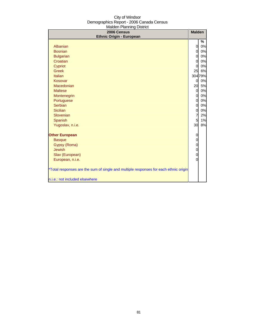| $m$ an $n + 1$ and $n + 1$<br>2006 Census                                            | <b>Malden</b>                    |          |
|--------------------------------------------------------------------------------------|----------------------------------|----------|
| <b>Ethnic Origin - European</b>                                                      |                                  |          |
| Albanian                                                                             | $\overline{0}$                   | %<br>0%  |
| <b>Bosnian</b>                                                                       |                                  |          |
|                                                                                      | $\overline{0}$<br>$\overline{0}$ | 0%<br>0% |
| <b>Bulgarian</b><br>Croatian                                                         | $\overline{0}$                   | 0%       |
| Cypriot                                                                              | $\Omega$                         | 0%       |
| <b>Greek</b>                                                                         | 25                               | 6%       |
| <b>Italian</b>                                                                       |                                  | 304 79%  |
| Kosovar                                                                              | $\overline{0}$                   | 0%       |
| Macedonian                                                                           | 20                               | 5%       |
| <b>Maltese</b>                                                                       | $\overline{0}$                   | 0%       |
| Montenegrin                                                                          | $\overline{0}$                   | 0%       |
| Portuguese                                                                           | $\mathbf 0$                      | 0%       |
| <b>Serbian</b>                                                                       | $\overline{0}$                   | 0%       |
| <b>Sicilian</b>                                                                      | $\overline{0}$                   | 0%       |
| Slovenian                                                                            | $\overline{7}$                   | 2%       |
| Spanish                                                                              | 5                                | 1%       |
| Yugoslav, n.i.e.                                                                     | 30                               | 8%       |
|                                                                                      |                                  |          |
| <b>Other European</b>                                                                | 0                                |          |
| <b>Basque</b>                                                                        | $\mathbf 0$                      |          |
| Gypsy (Roma)                                                                         | $\mathbf 0$                      |          |
| <b>Jewish</b>                                                                        | $\mathbf 0$                      |          |
| Slav (European)                                                                      | $\mathbf 0$                      |          |
| European, n.i.e.                                                                     | $\overline{0}$                   |          |
| *Total responses are the sum of single and multiple responses for each ethnic origin |                                  |          |
| n.i.e.: not included elsewhere                                                       |                                  |          |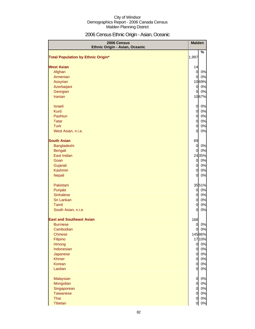# 2006 Census Ethnic Origin - Asian, Oceanic

| 2006 Census<br>Ethnic Origin - Asian, Oceanic | <b>Malden</b>  |                    |
|-----------------------------------------------|----------------|--------------------|
| <b>Total Population by Ethnic Origin*</b>     | 1,997          | %                  |
| <b>West Asian</b>                             | 14             |                    |
| Afghan                                        | $\overline{O}$ | 0%                 |
| Armenian                                      | $\mathsf{Q}$   | 0%                 |
| Assyrian                                      |                | 1069%              |
| Azerbaijani                                   | $\overline{a}$ | 0%                 |
| Georgian                                      | $\overline{0}$ | 0%                 |
| <b>Iranian</b>                                |                | 1067%              |
| <b>Israeli</b>                                | $\overline{O}$ | 0%                 |
| <b>Kurd</b>                                   | $\overline{0}$ | 0%                 |
| Pashtun                                       | $\overline{0}$ | 0%                 |
| <b>Tatar</b>                                  | $\overline{0}$ | 0%                 |
| <b>Turk</b>                                   | $\overline{0}$ | 0%                 |
| West Asian, n.i.e.                            | $\overline{O}$ | 0%                 |
| <b>South Asian</b>                            | 69             |                    |
| Bangladeshi                                   | $\overline{0}$ | 0%                 |
| Bengali                                       | $\overline{0}$ | 0%                 |
| East Indian                                   |                | 2435%              |
| Goan                                          | $\overline{O}$ | 0%                 |
| Gujarati                                      | $\overline{0}$ | 0%                 |
| Kashmiri                                      | $\overline{0}$ | 0%                 |
| Nepali                                        | $\overline{O}$ | 0%                 |
| Pakistani                                     |                | 3551%              |
| Punjabi                                       | $\overline{0}$ | 0%                 |
| <b>Sinhalese</b>                              | $\overline{0}$ | 0%                 |
| Sri Lankan                                    | $\overline{0}$ | 0%                 |
| Tamil                                         | $\overline{0}$ | 0%                 |
| South Asian, n.i.e.                           | $\overline{0}$ | 0%                 |
| <b>East and Southeast Asian</b>               | 168            |                    |
| <b>Burmese</b>                                |                | 0%<br>$\mathsf{O}$ |
| Cambodian                                     | $\overline{0}$ | 0%                 |
| <b>Chinese</b>                                |                | 14586%             |
| Filipino                                      |                | 1710%              |
| Hmong                                         | $\overline{0}$ | 0%                 |
| Indonesian                                    | $\overline{0}$ | 0%                 |
| Japanese                                      | $\mathsf{d}$   | 0%                 |
| <b>Khmer</b>                                  | $\overline{0}$ | 0%                 |
| Korean                                        | $\overline{0}$ | 0%                 |
| Laotian                                       | $\overline{0}$ | 0%                 |
| Malaysian                                     | $\overline{0}$ | 0%                 |
| Mongolian                                     | $\overline{0}$ | 0%                 |
| Singaporean                                   | $\overline{0}$ | 0%                 |
| <b>Taiwanese</b>                              | $\overline{0}$ | 0%                 |
| Thai                                          | $\overline{0}$ | 0%                 |
| Tibetan                                       | $\overline{0}$ | $0\%$              |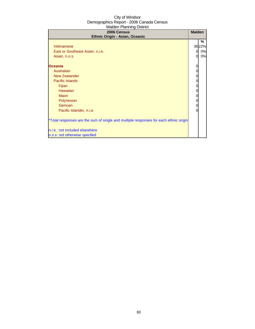| 2006 Census<br>Ethnic Origin - Asian, Oceanic                                        | <b>Malden</b> |       |
|--------------------------------------------------------------------------------------|---------------|-------|
|                                                                                      |               | %     |
| Vietnamese                                                                           |               | 3622% |
| East or Southeast Asian, n.i.e.                                                      | 0             | 0%    |
| Asian, n.o.s.                                                                        | $\Omega$      | 0%    |
| <b>Oceania</b>                                                                       | 0             |       |
| Australian                                                                           | 0             |       |
| <b>New Zealander</b>                                                                 | 0             |       |
| <b>Pacific Islands</b>                                                               | 0             |       |
| <b>Fijian</b>                                                                        | 0             |       |
| Hawaiian                                                                             | 0             |       |
| Maori                                                                                | 0             |       |
| Polynesian                                                                           | 0             |       |
| Samoan                                                                               | 0             |       |
| Pacific Islander, n.i.e.                                                             | 0             |       |
| *Total responses are the sum of single and multiple responses for each ethnic origin |               |       |
| n.i.e.: not included elsewhere                                                       |               |       |
| n.o.s: not otherwise specfied                                                        |               |       |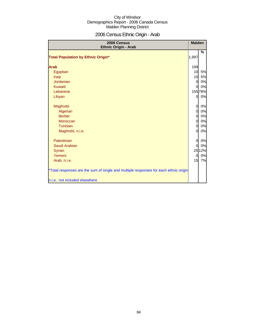# 2006 Census Ethnic Origin - Arab

| 2006 Census<br><b>Ethnic Origin - Arab</b>                                           | <b>Malden</b>  |         |
|--------------------------------------------------------------------------------------|----------------|---------|
|                                                                                      |                | %       |
| <b>Total Population by Ethnic Origin*</b>                                            | 1,997          |         |
| <b>Arab</b>                                                                          | 199            |         |
| Egyptian                                                                             | 10             | 5%      |
| Iraqi                                                                                | 10             | 5%      |
| Jordanian                                                                            | $\overline{0}$ | 0%      |
| <b>Kuwaiti</b>                                                                       | $\overline{0}$ | 0%      |
| Lebanese                                                                             |                | 155 78% |
| Libyan                                                                               | <sub>0</sub>   | 0%      |
| Maghrebi                                                                             | $\overline{0}$ | 0%      |
| Algerian                                                                             | $\overline{O}$ | $0\%$   |
| <b>Berber</b>                                                                        | $\overline{0}$ | 0%      |
| Moroccan                                                                             | $\overline{0}$ | 0%      |
| Tunisian                                                                             | $\Omega$       | $0\%$   |
| Maghrebi, n.i.e.                                                                     | $\overline{0}$ | 0%      |
| Palestinian                                                                          | $\overline{0}$ | 0%      |
| Saudi Arabian                                                                        | $\Omega$       | 0%      |
| Syrian                                                                               |                | 2512%   |
| Yemeni                                                                               | $\overline{0}$ | 0%      |
| Arab, n.i.e.                                                                         | 15             | 7%      |
| *Total responses are the sum of single and multiple responses for each ethnic origin |                |         |
| n.i.e.: not included elsewhere                                                       |                |         |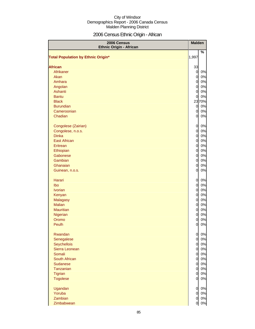# 2006 Census Ethnic Origin - African

| 2006 Census<br><b>Ethnic Origin - African</b> |                | <b>Malden</b> |
|-----------------------------------------------|----------------|---------------|
| <b>Total Population by Ethnic Origin*</b>     | 1,997          | $\%$          |
| <b>African</b>                                | 33             |               |
| Afrikaner                                     | $\overline{O}$ | 0%            |
| Akan                                          | $\overline{0}$ | 0%            |
| Amhara                                        | $\overline{0}$ | 0%            |
| Angolan                                       | $\overline{0}$ | 0%            |
| Ashanti                                       | $\overline{0}$ | 0%            |
| <b>Bantu</b>                                  | $\overline{0}$ | 0%            |
| <b>Black</b>                                  |                | 2370%         |
| <b>Burundian</b>                              | $\overline{a}$ | 0%            |
| Cameroonian                                   | $\overline{0}$ | 0%            |
| Chadian                                       | 0              | 0%            |
|                                               |                |               |
| Congolese (Zairian)                           | $\overline{0}$ | 0%            |
| Congolese, n.o.s.                             | $\mathbf 0$    | $0\%$         |
| <b>Dinka</b>                                  | $\mathbf 0$    | $0\%$         |
| <b>East African</b>                           | $\overline{O}$ | $0\%$         |
| Eritrean                                      | $\overline{O}$ | $0\%$         |
| Ethiopian                                     | $\overline{O}$ | 0%            |
| Gabonese                                      | $\overline{O}$ | $0\%$         |
| Gambian                                       | $\mathbf 0$    | $0\%$         |
| Ghanaian                                      | 0              | $0\%$         |
| Guinean, n.o.s.                               | 0              | $0\%$         |
| <b>Harari</b>                                 | $\overline{0}$ | 0%            |
| Ibo                                           | $\overline{O}$ | 0%            |
| <b>Ivorian</b>                                | $\overline{O}$ | $0\%$         |
| Kenyan                                        | $\overline{O}$ | $0\%$         |
| Malagasy                                      | $\overline{O}$ | $0\%$         |
| <b>Malian</b>                                 | $\mathbf 0$    | $0\%$         |
| <b>Mauritian</b>                              | 0              | $0\%$         |
| Nigerian                                      | 0              | $0\%$         |
| Oromo                                         | 0              | 0%            |
| Peulh                                         | $\overline{O}$ | 0%            |
| Rwandan                                       | $\overline{0}$ | 0%            |
| Senegalese                                    | $\mathbf 0$    | 0%            |
| Seychellois                                   | $\overline{O}$ | 0%            |
| Sierra Leonean                                | $\mathbf 0$    | 0%            |
| Somali                                        | $\mathbf 0$    | $0\%$         |
| South African                                 | $\overline{0}$ | $0\%$         |
| <b>Sudanese</b>                               | $\overline{0}$ | $0\%$         |
| Tanzanian                                     | $\overline{0}$ | $0\%$         |
| <b>Tigrian</b>                                | $\overline{0}$ | $0\%$         |
| <b>Togolese</b>                               | $\overline{0}$ | $0\%$         |
| Ugandan                                       | $\overline{0}$ | 0%            |
| Yoruba                                        | $\overline{0}$ | 0%            |
| Zambian                                       | $\overline{0}$ | 0%            |
| Zimbabwean                                    | 0              | 0%            |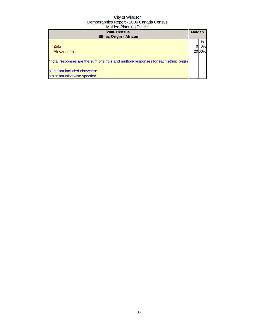| 2006 Census<br><b>Ethnic Origin - African</b>                                        | <b>Malden</b> |                   |
|--------------------------------------------------------------------------------------|---------------|-------------------|
| Zulu<br>African, n.i.e.                                                              |               | %<br>0%l<br>2060% |
| *Total responses are the sum of single and multiple responses for each ethnic origin |               |                   |
| n.i.e.: not included elsewhere<br>n.o.s: not otherwise specfied                      |               |                   |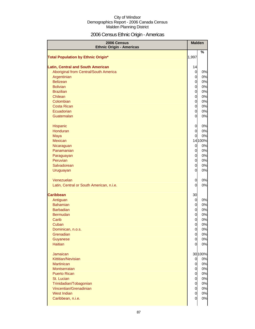# 2006 Census Ethnic Origin - Americas

| 2006 Census<br><b>Ethnic Origin - Americas</b> | <b>Malden</b>  |         |
|------------------------------------------------|----------------|---------|
| <b>Total Population by Ethnic Origin*</b>      | 1,997          | %       |
| <b>Latin, Central and South American</b>       | 14             |         |
| Aboriginal from Central/South America          | $\overline{0}$ | 0%      |
| Argentinian                                    | $\overline{0}$ | 0%      |
| <b>Belizean</b>                                | $\mathbf 0$    | 0%      |
| <b>Bolivian</b>                                | $\overline{0}$ | 0%      |
| <b>Brazilian</b>                               | $\mathbf 0$    | 0%      |
| Chilean                                        | $\mathbf 0$    | 0%      |
| Colombian                                      | $\mathbf 0$    | 0%      |
| <b>Costa Rican</b>                             | $\overline{0}$ | $0\%$   |
| Ecuadorian                                     | $\overline{0}$ | 0%      |
| Guatemalan                                     | $\overline{0}$ | $0\%$   |
|                                                |                |         |
| Hispanic                                       | $\overline{0}$ | 0%      |
| Honduran                                       | $\overline{O}$ | 0%      |
| Maya                                           | 0              | 0%      |
| Mexican                                        |                | 14 100% |
| Nicaraguan                                     | $\overline{0}$ | 0%      |
| Panamanian                                     | $\overline{O}$ | 0%      |
| Paraguayan                                     | $\overline{O}$ | $0\%$   |
| Peruvian                                       | $\overline{O}$ | 0%      |
| Salvadorean                                    | $\overline{0}$ | 0%      |
| Uruguayan                                      | $\overline{0}$ | 0%      |
|                                                |                |         |
| Venezuelan                                     | 0              | 0%      |
| Latin, Central or South American, n.i.e.       | 0              | 0%      |
| <b>Caribbean</b>                               | 30             |         |
| Antiguan                                       | $\overline{0}$ | 0%      |
| <b>Bahamian</b>                                | $\overline{0}$ | 0%      |
| <b>Barbadian</b>                               | $\overline{0}$ | $0\%$   |
| <b>Bermudan</b>                                | $\overline{O}$ | 0%      |
| Carib                                          | 0              | 0%      |
| Cuban                                          | 0              | 0%      |
| Dominican, n.o.s.                              | $\overline{O}$ | 0%      |
| Grenadian                                      | $\overline{0}$ | 0%      |
| Guyanese                                       | $\overline{0}$ | $0\%$   |
| <b>Haitian</b>                                 | 0              | 0%      |
|                                                |                |         |
| Jamaican                                       |                | 30 100% |
| Kittitian/Nevisian                             | 0              | 0%      |
| <b>Martinican</b>                              | $\overline{0}$ | 0%      |
| Montserratan                                   | $\overline{0}$ | 0%      |
| <b>Puerto Rican</b>                            | $\mathbf 0$    | 0%      |
| St. Lucian                                     | $\overline{0}$ | $0\%$   |
| Trinidadian/Tobagonian                         | $\overline{0}$ | $0\%$   |
| Vincentian/Grenadinian                         | $\overline{0}$ | $0\%$   |
| <b>West Indian</b>                             | $\overline{0}$ | $0\%$   |
| Caribbean, n.i.e.                              | 0              | 0%      |
|                                                |                |         |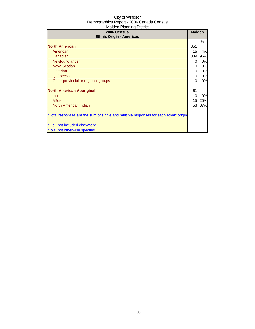| 2006 Census<br><b>Ethnic Origin - Americas</b>                                       | <b>Malden</b> |     |
|--------------------------------------------------------------------------------------|---------------|-----|
|                                                                                      |               | %   |
| <b>North American</b>                                                                | 351           |     |
| American                                                                             | 15            | 4%  |
| Canadian                                                                             | 339           | 96% |
| Newfoundlander                                                                       | 0             | 0%  |
| <b>Nova Scotian</b>                                                                  | 0             | 0%  |
| Ontarian                                                                             | 0             | 0%  |
| Québécois                                                                            | 0             | 0%  |
| Other provincial or regional groups                                                  | 0             | 0%  |
| <b>North American Aboriginal</b>                                                     | 61            |     |
| Inuit                                                                                | 0             | 0%  |
| <b>Métis</b>                                                                         | 15            | 25% |
| North American Indian                                                                | 53            | 87% |
| *Total responses are the sum of single and multiple responses for each ethnic origin |               |     |
| n.i.e.: not included elsewhere                                                       |               |     |
| n.o.s: not otherwise specfied                                                        |               |     |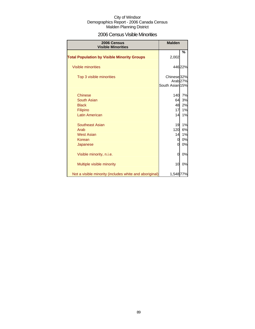### 2006 Census Visible Minorities

| 2006 Census<br><b>Visible Minorities</b>               | <b>Malden</b>                             |                     |
|--------------------------------------------------------|-------------------------------------------|---------------------|
| <b>Total Population by Visible Minority Groups</b>     | 2,002                                     | %                   |
| <b>Visible minorities</b>                              |                                           | 44622%              |
| Top 3 visible minorities                               | Chinese <sup>32%</sup><br>South Asian 15% | Arab <sub>27%</sub> |
| <b>Chinese</b>                                         | 140                                       | 7%                  |
| South Asian                                            | 64                                        | 3%                  |
| <b>Black</b>                                           | 48                                        | 2%                  |
| Filipino                                               | 17                                        | 1%                  |
| <b>Latin American</b>                                  | 14                                        | 1%                  |
| <b>Southeast Asian</b>                                 | 19                                        | 1%                  |
| Arab                                                   | 120                                       | 6%                  |
| <b>West Asian</b>                                      | 14                                        | 1%                  |
| Korean                                                 | 0                                         | 0%                  |
| Japanese                                               | 0                                         | 0%                  |
| Visible minority, n.i.e.                               | 0                                         | 0%                  |
| Multiple visible minority                              | 10                                        | 0%                  |
| Not a visible minority (includes white and aboriginal) | 1,54877%                                  |                     |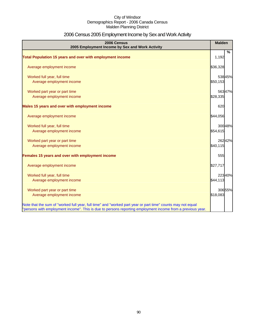# 2006 Census 2005 Employment Income by Sex and Work Activity

| 2006 Census<br>2005 Employment Income by Sex and Work Activity                                                                                                                                                            | <b>Malden</b> |        |
|---------------------------------------------------------------------------------------------------------------------------------------------------------------------------------------------------------------------------|---------------|--------|
|                                                                                                                                                                                                                           |               | %      |
| Total Population 15 years and over with employment income                                                                                                                                                                 | 1,192         |        |
| Average employment income                                                                                                                                                                                                 | \$36,328      |        |
| Worked full year, full time                                                                                                                                                                                               |               | 53845% |
| Average employment income                                                                                                                                                                                                 | \$50,153      |        |
| Worked part year or part time                                                                                                                                                                                             |               | 56347% |
| Average employment income                                                                                                                                                                                                 | \$28,335      |        |
| Males 15 years and over with employment income                                                                                                                                                                            | 620           |        |
| Average employment income                                                                                                                                                                                                 | \$44,056      |        |
| Worked full year, full time                                                                                                                                                                                               |               | 30048% |
| Average employment income                                                                                                                                                                                                 | \$54,615      |        |
| Worked part year or part time                                                                                                                                                                                             |               | 26242% |
| Average employment income                                                                                                                                                                                                 | \$40,115      |        |
| Females 15 years and over with employment income                                                                                                                                                                          | 555           |        |
| Average employment income                                                                                                                                                                                                 | \$27,717      |        |
| Worked full year, full time                                                                                                                                                                                               |               | 22340% |
| Average employment income                                                                                                                                                                                                 | \$44,113      |        |
| Worked part year or part time                                                                                                                                                                                             |               | 30655% |
| Average employment income                                                                                                                                                                                                 | \$18,083      |        |
| Note that the sum of "worked full year, full time" and "worked part year or part time" counts may not equal<br>"persons with employment income". This is due to persons reporting employment income from a previous year. |               |        |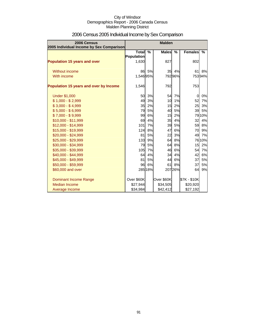| 2006 Census<br>2005 Individual Income by Sex Comparison |                            | <b>Malden</b> |              |               |                |        |
|---------------------------------------------------------|----------------------------|---------------|--------------|---------------|----------------|--------|
|                                                         | <b>Total</b><br>Population | $\frac{9}{6}$ | <b>Males</b> | $\frac{0}{0}$ | <b>Females</b> | $\%$   |
| Population 15 years and over                            | 1,630                      |               | 827          |               | 802            |        |
| Without income                                          | 86                         | 5%            |              | 35 4%         | 61             | 8%     |
| With income                                             | 1,546 95%                  |               |              | 79296%        |                | 75394% |
| <b>Population 15 years and over by Income</b>           | 1,546                      |               | 792          |               | 753            |        |
| <b>Under \$1,000</b>                                    | 50                         | 3%            | 54           | 7%            | $\mathbf 0$    | 0%     |
| $$1,000 - $2,999$                                       | 49                         | 3%            | 10           | 1%            | 52             | 7%     |
| $$3,000 - $4,999$                                       | 35                         | 2%            | 15           | 2%            | 25             | 3%     |
| $$5,000 - $6,999$                                       | 79                         | 5%            | 40           | 5%            | 39             | 5%     |
| $$7,000 - $9,999$                                       | 99                         | 6%            | 15           | 2%            |                | 7910%  |
| $$10,000 - $11,999$                                     | 69                         | 4%            | 35           | 4%            | 32             | 4%     |
| \$12,000 - \$14,999                                     | 101                        | 7%            | 39           | 5%            | 59             | 8%     |
| \$15,000 - \$19,999                                     | 124                        | 8%            | 47           | 6%            | 70             | 9%     |
| \$20,000 - \$24,999                                     | 81                         | 5%            | 22           | 3%            | 49             | 7%     |
| \$25,000 - \$29,999                                     | 133                        | 9%            | 64           | 8%            |                | 7610%  |
| \$30,000 - \$34,999                                     | 79                         | 5%            | 64           | 8%            | 15             | 2%     |
| \$35,000 - \$39,999                                     | 105                        | 7%            | 46           | 6%            | 54             | 7%     |
| \$40,000 - \$44,999                                     | 64                         | 4%            | 34           | 4%            | 42             | 6%     |
| \$45,000 - \$49,999                                     | 81                         | <b>5%</b>     | 44           | 6%            | 37             | 5%     |
| \$50,000 - \$59,999                                     | 96                         | 6%            | 61           | 8%            | 37             | 5%     |
| \$60,000 and over                                       |                            | 285 18%       |              | 207 26%       | 64             | 9%     |
| Dominant Income Range                                   | Over \$60K                 |               | Over \$60K   |               | \$7K - \$10K   |        |
| Median Income                                           | \$27,944                   |               | \$34,505     |               | \$20,920       |        |
| Average Income                                          | \$34,984                   |               | \$42,412     |               | \$27,192       |        |

# 2006 Census 2005 Individual Income by Sex Comparison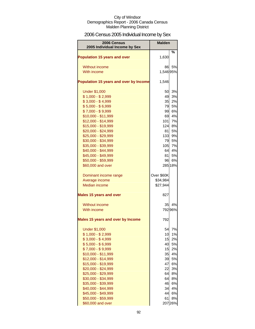# 2006 Census 2005 Individual Income by Sex

| 2006 Census<br>2005 Individual Income by Sex | <b>Malden</b> |         |
|----------------------------------------------|---------------|---------|
|                                              |               | %       |
| <b>Population 15 years and over</b>          | 1,630         |         |
| Without income                               | 86            | 5%      |
| With income                                  | 1,54695%      |         |
|                                              |               |         |
| Population 15 years and over by Income       | 1,546         |         |
| <b>Under \$1,000</b>                         | 50            | 3%      |
| $$1,000 - $2,999$                            | 49            | 3%      |
| $$3,000 - $4,999$                            | 35            | 2%      |
| $$5,000 - $6,999$                            | 79            | 5%      |
| $$7,000 - $9,999$                            | 99            | 6%      |
| \$10,000 - \$11,999                          | 69            | 4%      |
| \$12,000 - \$14,999                          | 101           | 7%      |
| \$15,000 - \$19,999                          | 124           | 8%      |
| \$20,000 - \$24,999                          | 81I           | 5%      |
| \$25,000 - \$29,999                          | 133           | 9%      |
| \$30,000 - \$34,999                          | 79            | 5%      |
| \$35,000 - \$39,999                          | 105           | 7%      |
| \$40,000 - \$44,999                          | 64            | 4%      |
| \$45,000 - \$49,999                          | 81            | 5%      |
| \$50,000 - \$59,999                          | 96            | 6%      |
| \$60,000 and over                            |               | 28518%  |
| Dominant income range                        | Over \$60K    |         |
| Average income                               | \$34,984      |         |
| <b>Median income</b>                         | \$27,944      |         |
| <b>Males 15 years and over</b>               | 827           |         |
| Without income                               | 35            | 4%      |
| With income                                  |               | 79296%  |
| <b>Males 15 years and over by Income</b>     | 792           |         |
| <b>Under \$1,000</b>                         | 54            | 7%      |
| $$1,000 - $2,999$                            | 10            | 1%      |
| $$3,000 - $4,999$                            | 15            | 2%      |
| $$5,000 - $6,999$                            | 40            | 5%      |
| $$7,000 - $9,999$                            | 15            | 2%      |
| \$10,000 - \$11,999                          | 35            | 4%      |
| \$12,000 - \$14,999                          | 39            | 5%      |
| \$15,000 - \$19,999                          | 47            | 6%      |
| \$20,000 - \$24,999                          | 22            | 3%      |
| \$25,000 - \$29,999                          | 64            | 8%      |
| \$30,000 - \$34,999                          | 64            | 8%      |
| \$35,000 - \$39,999                          | 46            | 6%      |
| \$40,000 - \$44,999                          | 34            | 4%      |
| \$45,000 - \$49,999                          | 44            | 6%      |
| \$50,000 - \$59,999                          | 61            | 8%      |
| \$60,000 and over                            |               | 207 26% |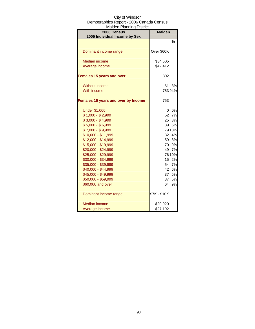| ואומועסו ו ומווווווען טוסנווענ<br>2006 Census | <b>Malden</b> |          |  |
|-----------------------------------------------|---------------|----------|--|
| 2005 Individual Income by Sex                 |               |          |  |
|                                               |               | %        |  |
|                                               |               |          |  |
| Dominant income range                         | Over \$60K    |          |  |
|                                               |               |          |  |
| <b>Median income</b>                          | \$34,505      |          |  |
| Average income                                | \$42,412      |          |  |
| <b>Females 15 years and over</b>              | 802           |          |  |
|                                               |               |          |  |
| Without income                                | 61            | 8%       |  |
| With income                                   |               | 75394%   |  |
|                                               |               |          |  |
| Females 15 years and over by Income           | 753           |          |  |
|                                               |               |          |  |
| <b>Under \$1,000</b>                          | 0             | 0%       |  |
| $$1,000 - $2,999$<br>$$3,000 - $4,999$        | 52            | 7%<br>3% |  |
| $$5,000 - $6,999$                             | 25<br>39      | 5%       |  |
| $$7,000 - $9,999$                             |               | 79 10%   |  |
| \$10,000 - \$11,999                           | 32            | 4%       |  |
| \$12,000 - \$14,999                           | 59            | 8%       |  |
| \$15,000 - \$19,999                           | 70            | 9%       |  |
| \$20,000 - \$24,999                           | 49            | 7%       |  |
| \$25,000 - \$29,999                           |               | 76 10%   |  |
| \$30,000 - \$34,999                           | 15            | 2%       |  |
| \$35,000 - \$39,999                           | 54            | 7%       |  |
| \$40,000 - \$44,999                           | 42            | 6%       |  |
| \$45,000 - \$49,999                           | 37            | 5%       |  |
| \$50,000 - \$59,999                           | 37            | 5%       |  |
| \$60,000 and over                             | 64            | 9%       |  |
| Dominant income range                         | \$7K - \$10K  |          |  |
|                                               |               |          |  |
| Median income                                 | \$20,920      |          |  |
| Average income                                | \$27,192      |          |  |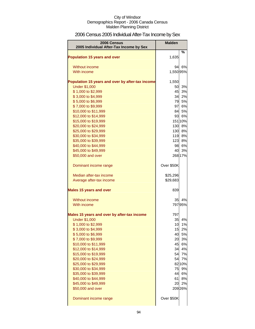# 2006 Census 2005 Individual After-Tax Income by Sex

| 2006 Census                                      | <b>Malden</b> |              |
|--------------------------------------------------|---------------|--------------|
| 2005 Individual After-Tax Income by Sex          |               | %            |
| <b>Population 15 years and over</b>              | 1,635         |              |
|                                                  |               |              |
| Without income                                   | 94            | 6%           |
| With income                                      | 1,550 95%     |              |
| Population 15 years and over by after-tax income | 1,550         |              |
| <b>Under \$1,000</b>                             | 50            | 3%           |
| \$1,000 to \$2,999                               | 45            | 3%           |
| \$3,000 to \$4,999                               | 34            | 2%           |
| \$5,000 to \$6,999                               | 79            | 5%           |
| \$7,000 to \$9,999                               | 97            | 6%           |
| \$10,000 to \$11,999                             | 84            | 5%           |
| \$12,000 to \$14,999                             | 93            | 6%           |
| \$15,000 to \$19,999                             |               | 15110%       |
| \$20,000 to \$24,999<br>\$25,000 to \$29,999     | 130           | 8%<br>130 8% |
| \$30,000 to \$34,999                             |               | 119 8%       |
| \$35,000 to \$39,999                             |               | 123 8%       |
| \$40,000 to \$44,999                             |               | 98 6%        |
| \$45,000 to \$49,999                             | 40            | 3%           |
| \$50,000 and over                                |               | 268 17%      |
| Dominant income range                            | Over \$50K    |              |
| Median after-tax income                          | \$25,296      |              |
| Average after-tax income                         | \$29,683      |              |
| <b>Males 15 years and over</b>                   | 839           |              |
| Without income                                   | 35            | 4%           |
| With income                                      |               | 79795%       |
| Males 15 years and over by after-tax income      | 797           |              |
| <b>Under \$1,000</b>                             | 35            | 4%           |
| \$1,000 to \$2,999                               | 10            | 1%           |
| \$3,000 to \$4,999                               |               | 15 2%        |
| \$5,000 to \$6,999                               |               | 40 5%        |
| \$7,000 to \$9,999                               |               | 20 3%        |
| \$10,000 to \$11,999                             |               | 45 6%        |
| \$12,000 to \$14,999                             | 34            | 4%           |
| \$15,000 to \$19,999                             | 54            | 7%           |
| \$20,000 to \$24,999                             | 54            | 7%           |
| \$25,000 to \$29,999                             |               | 82 10%       |
| \$30,000 to \$34,999                             | 75            | 9%<br>44 6%  |
| \$35,000 to \$39,999<br>\$40,000 to \$44,999     | 61            | 8%           |
| \$45,000 to \$49,999                             | 20            | 2%           |
| \$50,000 and over                                |               | 209 26%      |
| Dominant income range                            | Over \$50K    |              |
|                                                  |               |              |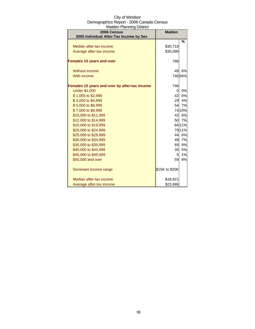| 2006 Census<br>2005 Individual After-Tax Income by Sex | <b>Malden</b>  |               |
|--------------------------------------------------------|----------------|---------------|
|                                                        |                | $\frac{0}{2}$ |
| Median after-tax income                                | \$30,710       |               |
| Average after-tax income                               | \$35,090       |               |
| <b>Females 15 years and over</b>                       | 798            |               |
| Without income                                         | 49             | 6%            |
| With income                                            |                | 74694%        |
| Females 15 years and over by after-tax income          | 746            |               |
| <b>Under \$1,000</b>                                   | 0              | 0%            |
| \$1,000 to \$2,999                                     | 42             | 6%            |
| \$3,000 to \$4,999                                     | 29             | 4%            |
| \$5,000 to \$6,999                                     |                | 54 7%         |
| \$7,000 to \$9,999                                     |                | 74 10%        |
| \$10,000 to \$11,999                                   |                | 42 6%         |
| \$12,000 to \$14,999                                   |                | 50 7%         |
| \$15,000 to \$19,999                                   |                | 8411%         |
| \$20,000 to \$24,999                                   |                | 7911%         |
| \$25,000 to \$29,999                                   |                | 44 6%         |
| \$30,000 to \$34,999                                   |                | 49 7%         |
| \$35,000 to \$39,999                                   | 69             | 9%            |
| \$40,000 to \$44,999                                   | 35             | 5%            |
| \$45,000 to \$49,999                                   | 5              | 1%            |
| \$50,000 and over                                      | 59             | 8%            |
| Dominant income range                                  | \$15K to \$20K |               |
| Median after-tax income                                | \$18,921       |               |
| Average after-tax income                               | \$23,986       |               |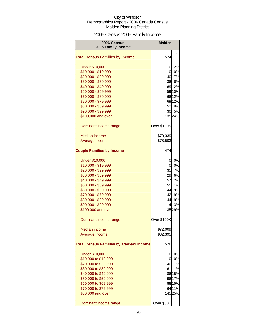# 2006 Census 2005 Family Income

| 2006 Census<br>2005 Family Income                | <b>Malden</b> |         |
|--------------------------------------------------|---------------|---------|
| <b>Total Census Families by Income</b>           | 574           | %       |
| <b>Under \$10,000</b>                            | 10            | 2%      |
| \$10,000 - \$19,999                              | 0             | 0%      |
| \$20,000 - \$29,999                              | 40            | 7%      |
| \$30,000 - \$39,999                              | 36            | 6%      |
| \$40,000 - \$49,999                              |               | 69 12%  |
| \$50,000 - \$59,999                              |               | 59 10%  |
| \$60,000 - \$69,999                              |               | 66 12%  |
| \$70,000 - \$79,999                              |               | 69 12%  |
| \$80,000 - \$89,999                              | 52            | 9%      |
| \$90,000 - \$99,999                              | 30            | 5%      |
| \$100,000 and over                               |               | 13524%  |
| Dominant income range                            | Over \$100K   |         |
| <b>Median income</b>                             | \$70,339      |         |
| Average income                                   | \$78,503      |         |
| <b>Couple Families by Income</b>                 | 474           |         |
| <b>Under \$10,000</b>                            | 0             | 0%      |
| \$10,000 - \$19,999                              | οl            | 0%      |
| \$20,000 - \$29,999                              | 35            | 7%      |
| \$30,000 - \$39,999                              | 29            | 6%      |
| \$40,000 - \$49,999                              |               | 57 12%  |
| \$50,000 - \$59,999                              |               | 55 11%  |
| \$60,000 - \$69,999                              | 44            | 9%      |
| \$70,000 - \$79,999                              | 42            | 9%      |
| \$80,000 - \$89,999                              | 44            | 9%      |
| \$90,000 - \$99,999                              | 14            | 3%      |
| \$100,000 and over                               |               | 135 29% |
| Dominant income range                            | Over \$100K   |         |
| Median income                                    | \$72,009      |         |
| Average income                                   | \$82,395      |         |
| <b>Total Census Families by after-tax Income</b> | 576           |         |
| <b>Under \$10,000</b>                            | 0             | 0%      |
| \$10,000 to \$19,999                             | 0             | 0%      |
| \$20,000 to \$29,999                             | 40            | 7%      |
| \$30,000 to \$39,999                             |               | 6111%   |
| \$40,000 to \$49,999                             |               | 86 15%  |
| \$50,000 to \$59,999                             |               | 96 17%  |
| \$60,000 to \$69,999                             |               | 88 15%  |
| \$70,000 to \$79,999                             |               | 6411%   |
| \$80,000 and over                                |               | 14525%  |
| Dominant income range                            | Over \$80K    |         |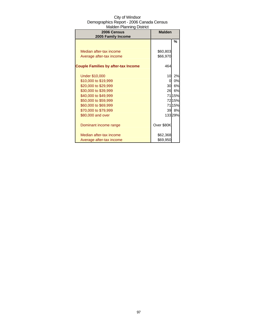| 2006 Census                                | <b>Malden</b> |        |
|--------------------------------------------|---------------|--------|
| 2005 Family Income                         |               |        |
|                                            |               | %      |
|                                            |               |        |
| Median after-tax income                    | \$60,803      |        |
| Average after-tax income                   | \$66,970      |        |
|                                            |               |        |
| <b>Couple Families by after-tax Income</b> | 464           |        |
|                                            |               |        |
| <b>Under \$10,000</b>                      | 10            | 2%     |
| \$10,000 to \$19,999                       | 0             | 0%     |
| \$20,000 to \$29,999                       | 30            | 6%     |
| \$30,000 to \$39,999                       | 26            | 6%     |
| \$40,000 to \$49,999                       |               | 7115%  |
| \$50,000 to \$59,999                       |               | 7215%  |
| \$60,000 to \$69,999                       |               | 7115%  |
| \$70,000 to \$79,999                       |               | 39 8%  |
| \$80,000 and over                          |               | 13329% |
|                                            |               |        |
| Dominant income range                      | Over \$80K    |        |
|                                            |               |        |
| Median after-tax income                    | \$62,368      |        |
| Average after-tax income                   | \$69,950      |        |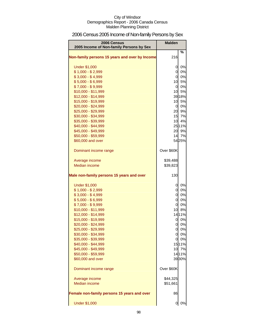# 2006 Census 2005 Income of Non-family Persons by Sex

| 2006 Census<br>2005 Income of Non-family Persons by Sex | <b>Malden</b>   |        |
|---------------------------------------------------------|-----------------|--------|
| Non-family persons 15 years and over by Income          | 216             | %      |
| <b>Under \$1,000</b>                                    | 0               | 0%     |
| $$1,000 - $2,999$                                       | $\overline{0}$  | 0%     |
| $$3,000 - $4,999$                                       | <sub>0</sub>    | 0%     |
| $$5,000 - $6,999$                                       |                 | 10 5%  |
| $$7,000 - $9,999$                                       |                 | 0 0%   |
| \$10,000 - \$11,999                                     | 10              | 5%     |
| \$12,000 - \$14,999                                     |                 | 3918%  |
| \$15,000 - \$19,999                                     | 10              | 5%     |
| \$20,000 - \$24,999                                     |                 | 0 0%   |
| \$25,000 - \$29,999                                     |                 | 20 9%  |
| \$30,000 - \$34,999                                     |                 | 15 7%  |
| \$35,000 - \$39,999                                     | 10 <sup>1</sup> | 4%     |
| \$40,000 - \$44,999                                     |                 | 25 11% |
| \$45,000 - \$49,999                                     | 20              | 9%     |
| \$50,000 - \$59,999                                     |                 | 14 7%  |
| \$60,000 and over                                       |                 | 5425%  |
| Dominant income range                                   | Over \$60K      |        |
| Average income                                          | \$39,488        |        |
| Median income                                           | \$39,823        |        |
| Male non-family persons 15 years and over               | 130             |        |
| <b>Under \$1,000</b>                                    | 0               | 0%     |
| $$1,000 - $2,999$                                       | $\overline{0}$  | 0%     |
| $$3,000 - $4,999$                                       | $\overline{0}$  | 0%     |
| $$5,000 - $6,999$                                       | $\overline{O}$  | 0%     |
| $$7,000 - $9,999$                                       | $\overline{0}$  | 0%     |
| \$10,000 - \$11,999                                     | 10              | 8%     |
| \$12,000 - \$14,999                                     |                 | 1411%  |
| \$15,000 - \$19,999                                     | 0               | 0%     |
| \$20,000 - \$24,999                                     | οI              | 0%     |
| \$25,000 - \$29,999                                     |                 | 0 0%   |
| \$30,000 - \$34,999                                     |                 | 0 0%   |
| \$35,000 - \$39,999                                     | 0               | 0%     |
| \$40,000 - \$44,999                                     |                 | 1511%  |
| \$45,000 - \$49,999                                     |                 | 10 7%  |
| \$50,000 - \$59,999                                     |                 | 1411%  |
| \$60,000 and over                                       |                 | 3930%  |
| Dominant income range                                   | Over \$60K      |        |
| Average income                                          | \$44,325        |        |
| Median income                                           | \$51,661        |        |
| Female non-family persons 15 years and over             | 86              |        |
| <b>Under \$1,000</b>                                    | 0               | 0%     |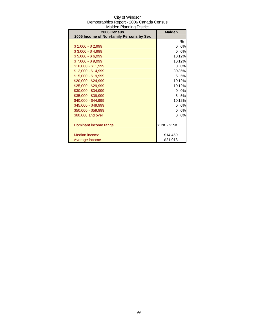| 2006 Census                              | <b>Malden</b>  |        |
|------------------------------------------|----------------|--------|
| 2005 Income of Non-family Persons by Sex |                |        |
|                                          |                | %      |
| $$1,000 - $2,999$                        | 0              | 0%     |
| $$3,000 - $4,999$                        | $\overline{O}$ | $0\%$  |
| $$5,000 - $6,999$                        |                | 1012%  |
| $$7,000 - $9,999$                        |                | 10 12% |
| $$10,000 - $11,999$                      | $\overline{0}$ | 0%     |
| $$12,000 - $14,999$                      |                | 3035%  |
| \$15,000 - \$19,999                      |                | 5 5%   |
| \$20,000 - \$24,999                      |                | 10 12% |
| \$25,000 - \$29,999                      |                | 1012%  |
| \$30,000 - \$34,999                      | 0              | 0%     |
| \$35,000 - \$39,999                      | 5              | 5%     |
| \$40,000 - \$44,999                      |                | 10 12% |
| \$45,000 - \$49,999                      | 0              | 0%     |
| \$50,000 - \$59,999                      | 0              | 0%     |
| \$60,000 and over                        | 0              | 0%     |
|                                          |                |        |
| Dominant income range                    | \$12K - \$15K  |        |
|                                          |                |        |
| <b>Median income</b>                     | \$14,469       |        |
| Average income                           | \$21,013       |        |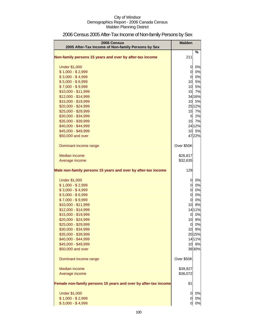| 2006 Census<br>2005 After-Tax Income of Non-family Persons by Sex                     | <b>Malden</b>         |         |
|---------------------------------------------------------------------------------------|-----------------------|---------|
| Non-family persons 15 years and over by after-tax income                              | 211                   | $\%$    |
| <b>Under \$1,000</b>                                                                  | 0                     | 0%      |
| $$1,000 - $2,999$                                                                     | $\overline{0}$        | 0%      |
| $$3,000 - $4,999$                                                                     | $\overline{0}$        | 0%      |
| $$5,000 - $6,999$                                                                     | 10                    | 5%      |
| $$7,000 - $9,999$                                                                     | 10                    | 5%      |
| \$10,000 - \$11,999                                                                   | 15                    | 7%      |
| \$12,000 - \$14,999                                                                   |                       | 34 16%  |
| \$15,000 - \$19,999                                                                   | 10                    | 5%      |
| \$20,000 - \$24,999                                                                   |                       | 2512%   |
| \$25,000 - \$29,999                                                                   | 15                    | 7%      |
| \$30,000 - \$34,999                                                                   | 5                     | 2%      |
| \$35,000 - \$39,999                                                                   | 15                    | 7%      |
| \$40,000 - \$44,999                                                                   |                       | 24 1 2% |
| \$45,000 - \$49,999                                                                   | 10                    | 5%      |
| \$50,000 and over                                                                     |                       | 4722%   |
| Dominant income range                                                                 | Over \$50K            |         |
| Median income                                                                         | \$26,817              |         |
| Average income                                                                        | \$32,635              |         |
| Male non-family persons 15 years and over by after-tax income<br><b>Under \$1,000</b> | 129<br>$\overline{0}$ | 0%      |
| $$1,000 - $2,999$                                                                     | $\overline{0}$        | 0%      |
| $$3,000 - $4,999$                                                                     | 0                     | 0%      |
| $$5,000 - $6,999$                                                                     | $\overline{0}$        | 0%      |
| $$7,000 - $9,999$                                                                     | $\overline{0}$        | 0%      |
| \$10,000 - \$11,999                                                                   | 10 <sup>1</sup>       | 8%      |
| \$12,000 - \$14,999                                                                   |                       | 1411%   |
| \$15,000 - \$19,999                                                                   | 0                     | 0%      |
| \$20,000 - \$24,999                                                                   | 10                    | 8%      |
| \$25,000 - \$29,999                                                                   | 0                     | 0%      |
| \$30,000 - \$34,999                                                                   |                       | 10 8%   |
| \$35,000 - \$39,999                                                                   |                       | 20 15%  |
| \$40,000 - \$44,999                                                                   |                       | 1411%   |
| \$45,000 - \$49,999                                                                   |                       | 10 8%   |
| \$50,000 and over                                                                     |                       | 3930%   |
| Dominant income range                                                                 | Over \$50K            |         |
| Median income                                                                         | \$39,927              |         |
| Average income                                                                        | \$36,072              |         |
| Female non-family persons 15 years and over by after-tax income                       | 81                    |         |
| <b>Under \$1,000</b>                                                                  | 0                     | 0%      |
| $$1,000 - $2,999$                                                                     | 0                     | 0%      |
| $$3,000 - $4,999$                                                                     | 0                     | 0%      |

# 2006 Census 2005 After-Tax Income of Non-family Persons by Sex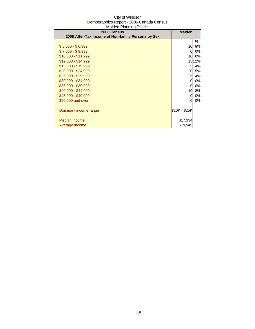| 2006 Census                                        | <b>Malden</b> |           |
|----------------------------------------------------|---------------|-----------|
| 2005 After-Tax Income of Non-family Persons by Sex |               |           |
|                                                    |               | ℅         |
| $$5,000 - $6,999$                                  | 10            | <b>8%</b> |
| $$7,000 - $9,999$                                  | 0             | 0%        |
| $$10,000 - $11,999$                                | 10            | 8%        |
| \$12,000 - \$14,999                                |               | 15 12%    |
| \$15,000 - \$19,999                                | 51            | 4%        |
| $$20,000 - $24,999$                                |               | 20 15%    |
| \$25,000 - \$29,999                                | 51            | 4%        |
| \$30,000 - \$34,999                                | 0             | 0%        |
| \$35,000 - \$39,999                                | 0             | 0%        |
| \$40,000 - \$44,999                                | 10            | 8%        |
| \$45,000 - \$49,999                                | 0             | 0%        |
| \$50,000 and over                                  | 0             | 0%        |
|                                                    |               |           |
| Dominant income range                              | \$20K - \$25K |           |
|                                                    |               |           |
| Median income                                      | \$17,334      |           |
| Average income                                     | \$19,949      |           |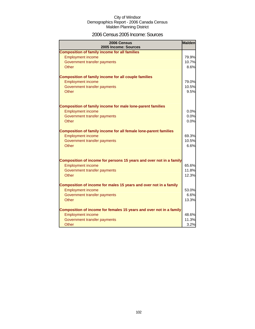### 2006 Census 2005 Income: Sources

| 2006 Census<br>2005 Income: Sources                                 | <b>Malden</b> |
|---------------------------------------------------------------------|---------------|
| <b>Composition of family income for all families</b>                |               |
| <b>Employment income</b>                                            | 79.9%         |
| Government transfer payments                                        | 10.7%         |
| Other                                                               | 8.6%          |
|                                                                     |               |
| <b>Composition of family income for all couple families</b>         |               |
| <b>Employment income</b>                                            | 79.0%         |
| Government transfer payments                                        | 10.5%         |
| <b>Other</b>                                                        | 9.5%          |
|                                                                     |               |
| <b>Composition of family income for male lone-parent families</b>   |               |
| <b>Employment income</b>                                            | 0.0%          |
| Government transfer payments                                        | 0.0%          |
| <b>Other</b>                                                        | 0.0%          |
|                                                                     |               |
| Composition of family income for all female lone-parent families    |               |
| <b>Employment income</b>                                            | 69.3%         |
| Government transfer payments                                        | 10.5%         |
| Other                                                               | 6.6%          |
|                                                                     |               |
| Composition of income for persons 15 years and over not in a family |               |
| <b>Employment income</b>                                            | 65.6%         |
| Government transfer payments                                        | 11.8%         |
| Other                                                               | 12.3%         |
|                                                                     |               |
| Composition of income for males 15 years and over not in a family   |               |
| <b>Employment income</b>                                            | 53.0%         |
| Government transfer payments                                        | 6.6%          |
| Other                                                               | 13.3%         |
|                                                                     |               |
| Composition of income for females 15 years and over not in a family |               |
| <b>Employment income</b>                                            | 48.6%         |
| Government transfer payments                                        | 11.3%         |
| Other                                                               | 3.2%          |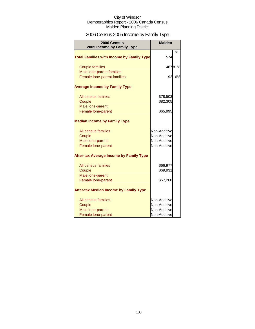# 2006 Census 2005 Income by Family Type

| 2006 Census<br>2005 Income by Family Type                               | <b>Malden</b>                                                |               |
|-------------------------------------------------------------------------|--------------------------------------------------------------|---------------|
| <b>Total Families with Income by Family Type</b>                        | 574                                                          | $\frac{0}{0}$ |
| <b>Couple families</b>                                                  |                                                              | 46781%        |
| Male lone-parent families<br>Female lone-parent families                |                                                              | 92 16%        |
| <b>Average Income by Family Type</b>                                    |                                                              |               |
| All census families<br>Couple                                           | \$78,503<br>\$82,305                                         |               |
| Male lone-parent<br>Female lone-parent                                  | \$65,995                                                     |               |
| <b>Median Income by Family Type</b>                                     |                                                              |               |
| All census families<br>Couple<br>Male lone-parent<br>Female lone-parent | Non-Additive<br>Non-Additive<br>Non-Additive<br>Non-Additive |               |
| <b>After-tax Average Income by Family Type</b>                          |                                                              |               |
| All census families<br>Couple<br>Male lone-parent                       | \$66,977<br>\$69,931                                         |               |
| Female lone-parent                                                      | \$57,268                                                     |               |
| <b>After-tax Median Income by Family Type</b>                           |                                                              |               |
| All census families<br>Couple<br>Male lone-parent<br>Female lone-parent | Non-Additive<br>Non-Additive<br>Non-Additive<br>Non-Additive |               |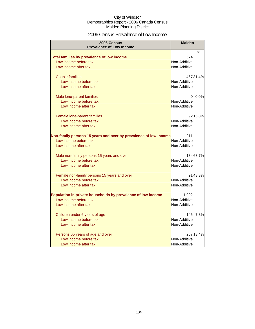### 2006 Census Prevalence of Low Income

| 2006 Census<br><b>Prevalence of Low Income</b>                   | <b>Malden</b> |           |
|------------------------------------------------------------------|---------------|-----------|
|                                                                  |               | %         |
| Total families by prevalence of low income                       | 574           |           |
| Low income before tax                                            | Non-Additive  |           |
| Low income after tax                                             | Non-Additive  |           |
| <b>Couple families</b>                                           |               | 46781.4%  |
| Low income before tax                                            | Non-Additive  |           |
| Low income after tax                                             | Non-Additive  |           |
| Male lone-parent families                                        | $\Omega$      | 0.0%      |
| Low income before tax                                            | Non-Additive  |           |
| Low income after tax                                             | Non-Additive  |           |
| Female lone-parent families                                      |               | 92 16.0%  |
| Low income before tax                                            | Non-Additive  |           |
| Low income after tax                                             | Non-Additive  |           |
| Non-family persons 15 years and over by prevalence of low income | 211           |           |
| Low income before tax                                            | Non-Additive  |           |
| Low income after tax                                             | Non-Additive  |           |
| Male non-family persons 15 years and over                        |               | 13463.7%  |
| Low income before tax                                            | Non-Additive  |           |
| Low income after tax                                             | Non-Additive  |           |
| Female non-family persons 15 years and over                      |               | 9143.3%   |
| Low income before tax                                            | Non-Additive  |           |
| Low income after tax                                             | Non-Additive  |           |
| Population in private households by prevalence of low income     | 1,992         |           |
| Low income before tax                                            | Non-Additive  |           |
| Low income after tax                                             | Non-Additive  |           |
| Children under 6 years of age                                    | 145           | 7.3%      |
| Low income before tax                                            | Non-Additive  |           |
| Low income after tax                                             | Non-Additive  |           |
| Persons 65 years of age and over                                 |               | 267 13.4% |
| Low income before tax                                            | Non-Additive  |           |
| Low income after tax                                             | Non-Additive  |           |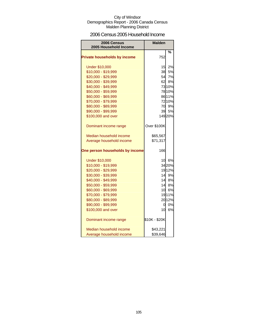### 2006 Census 2005 Household Income

| <b>2006 Census</b><br>2005 Household Income | <b>Malden</b> |        |
|---------------------------------------------|---------------|--------|
|                                             |               | %      |
| <b>Private households by income</b>         | 752           |        |
| <b>Under \$10,000</b>                       | 15            | 2%     |
| \$10,000 - \$19,999                         |               | 38 5%  |
| \$20,000 - \$29,999                         | 54            | 7%     |
| \$30,000 - \$39,999                         | 62            | 8%     |
| \$40,000 - \$49,999                         |               | 73 10% |
| \$50,000 - \$59,999                         |               | 78 10% |
| \$60,000 - \$69,999                         |               | 86 11% |
| \$70,000 - \$79,999                         |               | 72 10% |
| \$80,000 - \$89,999                         |               | 70 9%  |
| \$90,000 - \$99,999                         |               | 39 5%  |
| \$100,000 and over                          |               | 14920% |
| Dominant income range                       | Over \$100K   |        |
| Median household income                     | \$65,567      |        |
| Average household income                    | \$71,317      |        |
| One person households by income             | 166           |        |
| <b>Under \$10,000</b>                       | 10            | 6%     |
| \$10,000 - \$19,999                         |               | 3420%  |
| \$20,000 - \$29,999                         |               | 1912%  |
| \$30,000 - \$39,999                         |               | 14 9%  |
| \$40,000 - \$49,999                         |               | 14 8%  |
| \$50,000 - \$59,999                         |               | 14 8%  |
| \$60,000 - \$69,999                         | 10            | 6%     |
| \$70,000 - \$79,999                         |               | 1911%  |
| \$80,000 - \$89,999                         |               | 2012%  |
| \$90,000 - \$99,999                         | 01            | 0%     |
| \$100,000 and over                          | 10            | 6%     |
| Dominant income range                       | \$10K - \$20K |        |
| Median household income                     | \$43,221      |        |
| Average household income                    | \$39,646      |        |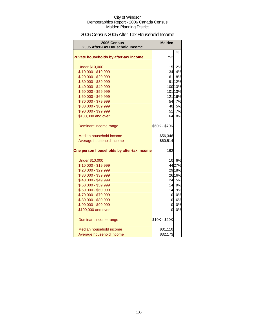### 2006 Census 2005 After-Tax Household Income

| 2006 Census<br>2005 After-Tax Household Income | <b>Malden</b>   |         |
|------------------------------------------------|-----------------|---------|
|                                                |                 | %       |
| Private households by after-tax income         | 752             |         |
| <b>Under \$10,000</b>                          | 15              | 2%      |
| \$10,000 - \$19,999                            | 34              | 4%      |
| \$20,000 - \$29,999                            | 61              | 8%      |
| \$30,000 - \$39,999                            |                 | 91 12%  |
| \$40,000 - \$49,999                            |                 | 100 13% |
| \$50,000 - \$59,999                            |                 | 101 13% |
| \$60,000 - \$69,999                            |                 | 121 16% |
| \$70,000 - \$79,999                            |                 | 54 7%   |
| \$80,000 - \$89,999                            | 40              | 5%      |
| \$90,000 - \$99,999                            | 51              | 7%      |
| \$100,000 and over                             | 64              | 8%      |
| Dominant income range                          | \$60K - \$70K   |         |
| Median household income                        | \$56,346        |         |
| Average household income                       | \$60,514        |         |
| One person households by after-tax income      | 162             |         |
| <b>Under \$10,000</b>                          | 10 <sup>1</sup> | 6%      |
| \$10,000 - \$19,999                            |                 | 4427%   |
| \$20,000 - \$29,999                            |                 | 29 18%  |
| \$30,000 - \$39,999                            |                 | 26 16%  |
| \$40,000 - \$49,999                            |                 | 24 15%  |
| \$50,000 - \$59,999                            |                 | 14 9%   |
| \$60,000 - \$69,999                            | 14              | 9%      |
| \$70,000 - \$79,999                            | <sub>0</sub>    | 0%      |
| \$80,000 - \$89,999                            | 10              | 6%      |
| \$90,000 - \$99,999                            | 0               | 0%      |
| \$100,000 and over                             | 0               | 0%      |
| Dominant income range                          | \$10K - \$20K   |         |
| Median household income                        | \$31,110        |         |
| Average household income                       | \$32,173        |         |